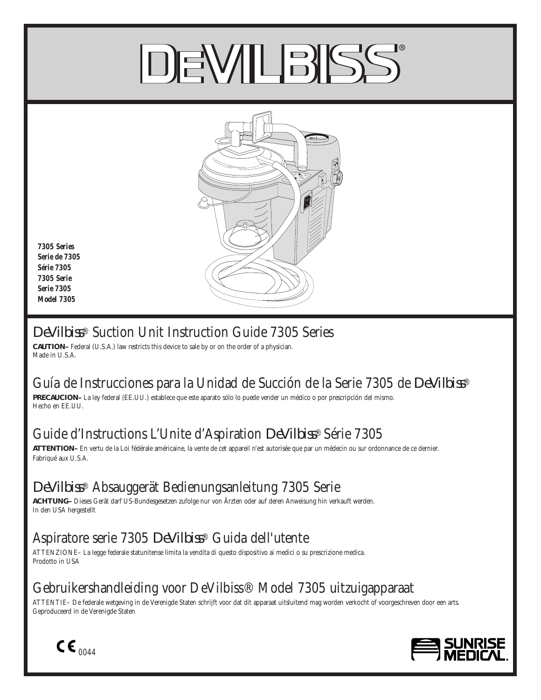# DEWILBIS



*7305 Series Serie de 7305 Série 7305 7305 Serie Serie 7305 Model 7305*

# *DeVilbiss*® Suction Unit Instruction Guide 7305 Series

**CAUTION–** Federal (U.S.A.) law restricts this device to sale by or on the order of a physician. Made in U.S.A.

# Guía de Instrucciones para la Unidad de Succión de la Serie 7305 de *DeVilbiss*®

**PRECAUCION–** La ley federal (EE.UU.) establece que este aparato sólo lo puede vender un médico o por prescripción del mismo. Hecho en EE.UU.

# Guide d'Instructions L'Unite d'Aspiration *DeVilbiss*® Série 7305

**ATTENTION–** En vertu de la Loi fédérale américaine, la vente de cet appareil n'est autorisée que par un médecin ou sur ordonnance de ce dernier. Fabriqué aux U.S.A.

# *DeVilbiss*® Absauggerät Bedienungsanleitung 7305 Serie

**ACHTUNG–** Dieses Gerät darf US-Bundesgesetzen zufolge nur von Ärzten oder auf deren Anweisung hin verkauft werden. In den USA hergestellt

# Aspiratore serie 7305 *DeVilbiss*® Guida dell'utente

ATTENZIONE– La legge federale statunitense limita la vendita di questo dispositivo ai medici o su prescrizione medica. Prodotto in USA

# Gebruikershandleiding voor DeVilbiss® Model 7305 uitzuigapparaat

ATTENTIE– De federale wetgeving in de Verenigde Staten schrijft voor dat dit apparaat uitsluitend mag worden verkocht of voorgeschreven door een arts. Geproduceerd in de Verenigde Staten



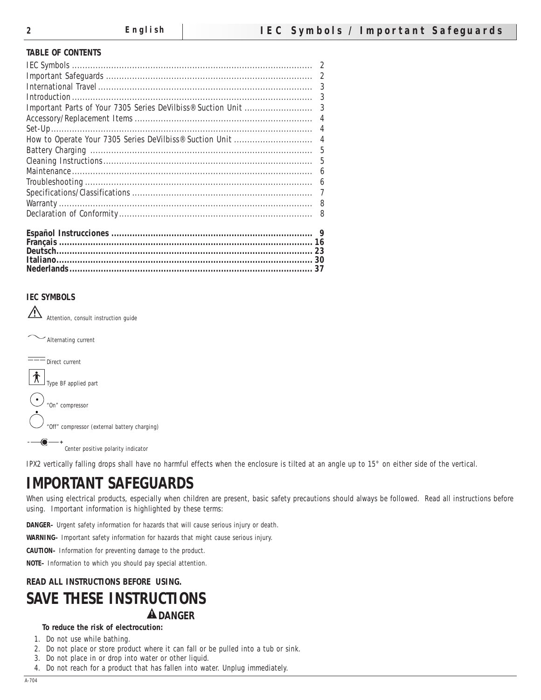#### **TABLE OF CONTENTS**

| 5 |
|---|
| 5 |
| 6 |
| 6 |
| 7 |
|   |
| 8 |
|   |
|   |
|   |
|   |

**Nederlands ............................................................................................. 37**

# **IEC SYMBOLS**

 $\sqrt{2}$ Attention, consult instruction guide

Alternating current



IPX2 vertically falling drops shall have no harmful effects when the enclosure is tilted at an angle up to 15° on either side of the vertical.

# **IMPORTANT SAFEGUARDS**

When using electrical products, especially when children are present, basic safety precautions should always be followed. Read all instructions before using. Important information is highlighted by these terms:

**DANGER–** Urgent safety information for hazards that will cause serious injury or death.

**WARNING–** Important safety information for hazards that might cause serious injury.

**CAUTION–** Information for preventing damage to the product.

**NOTE–** Information to which you should pay special attention.

# **READ ALL INSTRUCTIONS BEFORE USING. SAVE THESE INSTRUCTIONS A** DANGER

#### **To reduce the risk of electrocution:**

1. Do not use while bathing.

- 2. Do not place or store product where it can fall or be pulled into a tub or sink.
- 3. Do not place in or drop into water or other liquid.
- 4. Do not reach for a product that has fallen into water. Unplug immediately.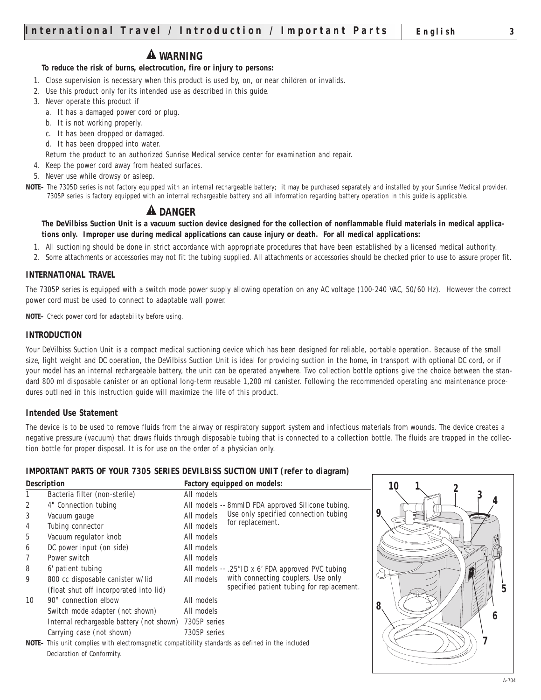# **WARNING**

# **To reduce the risk of burns, electrocution, fire or injury to persons:**

- 1. Close supervision is necessary when this product is used by, on, or near children or invalids.
- 2. Use this product only for its intended use as described in this guide.
- 3. Never operate this product if
	- a. It has a damaged power cord or plug.
	- b. It is not working properly.
	- c. It has been dropped or damaged.
	- d. It has been dropped into water.
	- Return the product to an authorized Sunrise Medical service center for examination and repair.
- 4. Keep the power cord away from heated surfaces.
- 5. Never use while drowsy or asleep.
- **NOTE–** The 7305D series is not factory equipped with an internal rechargeable battery; it may be purchased separately and installed by your Sunrise Medical provider. 7305P series is factory equipped with an internal rechargeable battery and all information regarding battery operation in this guide is applicable.

# **A** DANGER

**The DeVilbiss Suction Unit is a vacuum suction device designed for the collection of nonflammable fluid materials in medical applications only. Improper use during medical applications can cause injury or death. For all medical applications:**

- 1. All suctioning should be done in strict accordance with appropriate procedures that have been established by a licensed medical authority.
- 2. Some attachments or accessories may not fit the tubing supplied. All attachments or accessories should be checked prior to use to assure proper fit.

#### **INTERNATIONAL TRAVEL**

The 7305P series is equipped with a switch mode power supply allowing operation on any AC voltage (100-240 VAC, 50/60 Hz). However the correct power cord must be used to connect to adaptable wall power.

**NOTE–** Check power cord for adaptability before using.

#### **INTRODUCTION**

Your DeVilbiss Suction Unit is a compact medical suctioning device which has been designed for reliable, portable operation. Because of the small size, light weight and DC operation, the DeVilbiss Suction Unit is ideal for providing suction in the home, in transport with optional DC cord, or if your model has an internal rechargeable battery, the unit can be operated anywhere. Two collection bottle options give the choice between the standard 800 ml disposable canister or an optional long-term reusable 1,200 ml canister. Following the recommended operating and maintenance procedures outlined in this instruction guide will maximize the life of this product.

#### **Intended Use Statement**

The device is to be used to remove fluids from the airway or respiratory support system and infectious materials from wounds. The device creates a negative pressure (vacuum) that draws fluids through disposable tubing that is connected to a collection bottle. The fluids are trapped in the collection bottle for proper disposal. It is for use on the order of a physician only.

#### **IMPORTANT PARTS OF YOUR 7305 SERIES DEVILBISS SUCTION UNIT (refer to diagram)**

|                                                                                                          | <b>Description</b>                        | <b>Factory equipped on models:</b>                 |   |
|----------------------------------------------------------------------------------------------------------|-------------------------------------------|----------------------------------------------------|---|
|                                                                                                          | Bacteria filter (non-sterile)             | All models                                         |   |
| $\boldsymbol{2}$                                                                                         | 4" Connection tubing                      | All models -- 8mmID FDA approved Silicone tubing.  |   |
| 3                                                                                                        | Vacuum gauge                              | Use only specified connection tubing<br>All models |   |
| $\overline{4}$                                                                                           | Tubing connector                          | for replacement.<br>All models                     |   |
| $5\,$                                                                                                    | Vacuum regulator knob                     | All models                                         |   |
| 6                                                                                                        | DC power input (on side)                  | All models                                         |   |
| $\tau$                                                                                                   | Power switch                              | All models                                         |   |
| 8                                                                                                        | 6' patient tubing                         | All models -- .25"ID x 6' FDA approved PVC tubing  |   |
| 9                                                                                                        | 800 cc disposable canister w/lid          | with connecting couplers. Use only<br>All models   |   |
|                                                                                                          | (float shut off incorporated into lid)    | specified patient tubing for replacement.          |   |
| 10                                                                                                       | $90^\circ$ connection elbow               | All models                                         |   |
|                                                                                                          | Switch mode adapter (not shown)           | All models                                         | 8 |
|                                                                                                          | Internal rechargeable battery (not shown) | 7305P series                                       |   |
|                                                                                                          | Carrying case (not shown)                 | 7305P series                                       |   |
| <b>NOTE</b> - This unit complies with electromagnetic compatibility standards as defined in the included |                                           |                                                    |   |
|                                                                                                          | Declaration of Conformity.                |                                                    |   |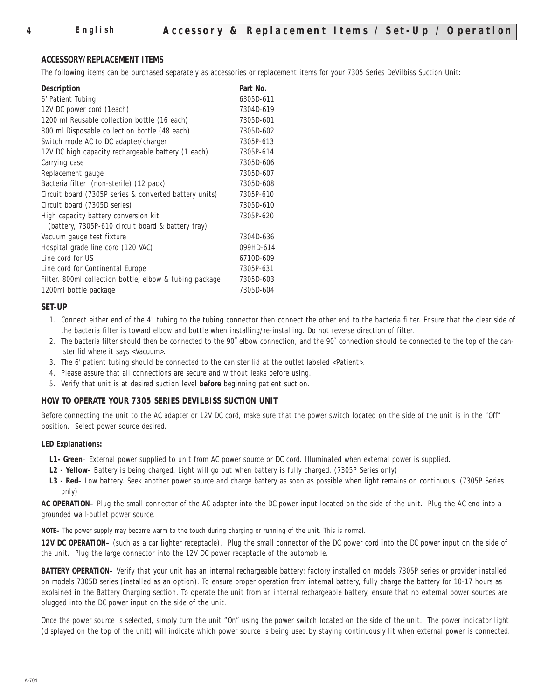#### **ACCESSORY/REPLACEMENT ITEMS**

The following items can be purchased separately as accessories or replacement items for your 7305 Series DeVilbiss Suction Unit:

| Description                                             | Part No.  |
|---------------------------------------------------------|-----------|
| 6' Patient Tubing                                       | 6305D-611 |
| 12V DC power cord (1each)                               | 7304D-619 |
| 1200 ml Reusable collection bottle (16 each)            | 7305D-601 |
| 800 ml Disposable collection bottle (48 each)           | 7305D-602 |
| Switch mode AC to DC adapter/charger                    | 7305P-613 |
| 12V DC high capacity rechargeable battery (1 each)      | 7305P-614 |
| Carrying case                                           | 7305D-606 |
| Replacement gauge                                       | 7305D-607 |
| Bacteria filter (non-sterile) (12 pack)                 | 7305D-608 |
| Circuit board (7305P series & converted battery units)  | 7305P-610 |
| Circuit board (7305D series)                            | 7305D-610 |
| High capacity battery conversion kit                    | 7305P-620 |
| (battery, 7305P-610 circuit board & battery tray)       |           |
| Vacuum gauge test fixture                               | 7304D-636 |
| Hospital grade line cord (120 VAC)                      | 099HD-614 |
| Line cord for US                                        | 6710D-609 |
| Line cord for Continental Europe                        | 7305P-631 |
| Filter, 800ml collection bottle, elbow & tubing package | 7305D-603 |
| 1200ml bottle package                                   | 7305D-604 |

#### **SET-UP**

- 1. Connect either end of the 4" tubing to the tubing connector then connect the other end to the bacteria filter. Ensure that the clear side of the bacteria filter is toward elbow and bottle when installing/re-installing. Do not reverse direction of filter.
- 2. The bacteria filter should then be connected to the 90˚ elbow connection, and the 90˚ connection should be connected to the top of the canister lid where it says <Vacuum>.
- 3. The 6' patient tubing should be connected to the canister lid at the outlet labeled <Patient>.
- 4. Please assure that all connections are secure and without leaks before using.
- 5. Verify that unit is at desired suction level **before** beginning patient suction.

#### **HOW TO OPERATE YOUR 7305 SERIES DEVILBISS SUCTION UNIT**

Before connecting the unit to the AC adapter or 12V DC cord, make sure that the power switch located on the side of the unit is in the "Off" position. Select power source desired.

#### **LED Explanations:**

- **L1- Green** External power supplied to unit from AC power source or DC cord. Illuminated when external power is supplied.
- **L2 Yellow** Battery is being charged. Light will go out when battery is fully charged. (7305P Series only)
- **L3 Red** Low battery. Seek another power source and charge battery as soon as possible when light remains on continuous. (7305P Series only)

**AC OPERATION–** Plug the small connector of the AC adapter into the DC power input located on the side of the unit. Plug the AC end into a grounded wall-outlet power source.

**NOTE–** The power supply may become warm to the touch during charging or running of the unit. This is normal.

**12V DC OPERATION–** (such as a car lighter receptacle). Plug the small connector of the DC power cord into the DC power input on the side of the unit. Plug the large connector into the 12V DC power receptacle of the automobile.

**BATTERY OPERATION–** Verify that your unit has an internal rechargeable battery; factory installed on models 7305P series or provider installed on models 7305D series (installed as an option). To ensure proper operation from internal battery, fully charge the battery for 10-17 hours as explained in the Battery Charging section. To operate the unit from an internal rechargeable battery, ensure that no external power sources are plugged into the DC power input on the side of the unit.

Once the power source is selected, simply turn the unit "On" using the power switch located on the side of the unit. The power indicator light (displayed on the top of the unit) will indicate which power source is being used by staying continuously lit when external power is connected.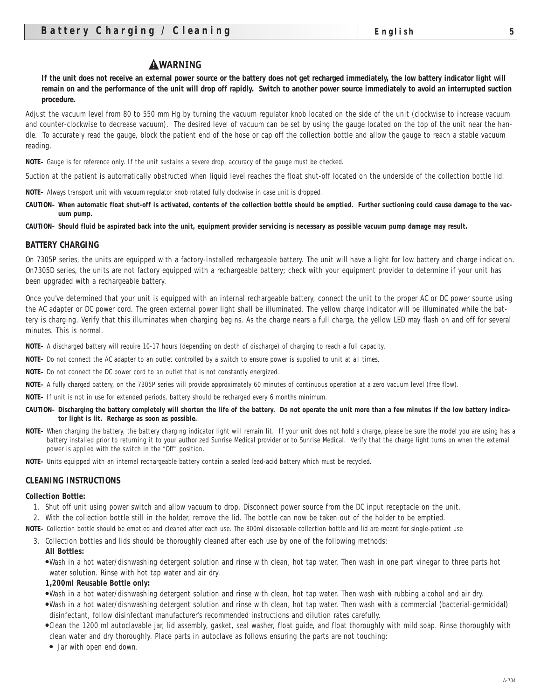#### **AWARNING**

**If the unit does not receive an external power source or the battery does not get recharged immediately, the low battery indicator light will remain on and the performance of the unit will drop off rapidly. Switch to another power source immediately to avoid an interrupted suction procedure.** 

Adjust the vacuum level from 80 to 550 mm Hg by turning the vacuum regulator knob located on the side of the unit (clockwise to increase vacuum and counter-clockwise to decrease vacuum). The desired level of vacuum can be set by using the gauge located on the top of the unit near the handle. To accurately read the gauge, block the patient end of the hose or cap off the collection bottle and allow the gauge to reach a stable vacuum reading.

**NOTE–** Gauge is for reference only. If the unit sustains a severe drop, accuracy of the gauge must be checked.

Suction at the patient is automatically obstructed when liquid level reaches the float shut-off located on the underside of the collection bottle lid.

**NOTE–** Always transport unit with vacuum regulator knob rotated fully clockwise in case unit is dropped.

**CAUTION– When automatic float shut-off is activated, contents of the collection bottle should be emptied. Further suctioning could cause damage to the vacuum pump.**

**CAUTION– Should fluid be aspirated back into the unit, equipment provider servicing is necessary as possible vacuum pump damage may result.**

#### **BATTERY CHARGING**

On 7305P series, the units are equipped with a factory-installed rechargeable battery. The unit will have a light for low battery and charge indication. On7305D series, the units are not factory equipped with a rechargeable battery; check with your equipment provider to determine if your unit has been upgraded with a rechargeable battery.

Once you've determined that your unit is equipped with an internal rechargeable battery, connect the unit to the proper AC or DC power source using the AC adapter or DC power cord. The green external power light shall be illuminated. The yellow charge indicator will be illuminated while the battery is charging. Verify that this illuminates when charging begins. As the charge nears a full charge, the yellow LED may flash on and off for several minutes. This is normal.

**NOTE–** A discharged battery will require 10-17 hours (depending on depth of discharge) of charging to reach a full capacity.

- **NOTE–** Do not connect the AC adapter to an outlet controlled by a switch to ensure power is supplied to unit at all times.
- **NOTE–** Do not connect the DC power cord to an outlet that is not constantly energized.
- **NOTE–** A fully charged battery, on the 7305P series will provide approximately 60 minutes of continuous operation at a zero vacuum level (free flow).

**NOTE–** If unit is not in use for extended periods, battery should be recharged every 6 months minimum.

- **CAUTION– Discharging the battery completely will shorten the life of the battery. Do not operate the unit more than a few minutes if the low battery indicator light is lit. Recharge as soon as possible.**
- **NOTE–** When charging the battery, the battery charging indicator light will remain lit. If your unit does not hold a charge, please be sure the model you are using has a battery installed prior to returning it to your authorized Sunrise Medical provider or to Sunrise Medical. Verify that the charge light turns on when the external power is applied with the switch in the "Off" position.
- **NOTE–** Units equipped with an internal rechargeable battery contain a sealed lead-acid battery which must be recycled.

#### **CLEANING INSTRUCTIONS**

#### **Collection Bottle:**

- 1. Shut off unit using power switch and allow vacuum to drop. Disconnect power source from the DC input receptacle on the unit.
- 2. With the collection bottle still in the holder, remove the lid. The bottle can now be taken out of the holder to be emptied.
- **NOTE–** Collection bottle should be emptied and cleaned after each use. The 800ml disposable collection bottle and lid are meant for single-patient use
	- 3. Collection bottles and lids should be thoroughly cleaned after each use by one of the following methods:
		- **All Bottles:**
		- ●Wash in a hot water/dishwashing detergent solution and rinse with clean, hot tap water. Then wash in one part vinegar to three parts hot water solution. Rinse with hot tap water and air dry.
		- **1,200ml Reusable Bottle only:**
		- ●Wash in a hot water/dishwashing detergent solution and rinse with clean, hot tap water. Then wash with rubbing alcohol and air dry.
		- ●Wash in a hot water/dishwashing detergent solution and rinse with clean, hot tap water. Then wash with a commercial (bacterial-germicidal) disinfectant, follow disinfectant manufacturer's recommended instructions and dilution rates carefully.
		- ●Clean the 1200 ml autoclavable jar, lid assembly, gasket, seal washer, float guide, and float thoroughly with mild soap. Rinse thoroughly with clean water and dry thoroughly. Place parts in autoclave as follows ensuring the parts are not touching:
		- Jar with open end down.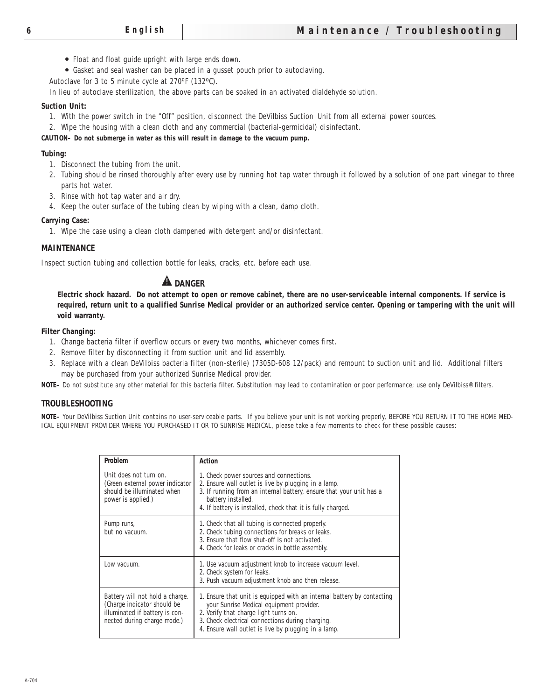- Float and float guide upright with large ends down.
- Gasket and seal washer can be placed in a gusset pouch prior to autoclaving.
- Autoclave for 3 to 5 minute cycle at 270ºF (132ºC).

In lieu of autoclave sterilization, the above parts can be soaked in an activated dialdehyde solution.

#### **Suction Unit:**

- 1. With the power switch in the "Off" position, disconnect the DeVilbiss Suction Unit from all external power sources.
- 2. Wipe the housing with a clean cloth and any commercial (bacterial-germicidal) disinfectant.

#### **CAUTION– Do not submerge in water as this will result in damage to the vacuum pump.**

#### **Tubing:**

- 1. Disconnect the tubing from the unit.
- 2. Tubing should be rinsed thoroughly after every use by running hot tap water through it followed by a solution of one part vinegar to three parts hot water.
- 3. Rinse with hot tap water and air dry.
- 4. Keep the outer surface of the tubing clean by wiping with a clean, damp cloth.

#### **Carrying Case:**

1. Wipe the case using a clean cloth dampened with detergent and/or disinfectant.

#### **MAINTENANCE**

Inspect suction tubing and collection bottle for leaks, cracks, etc. before each use.

# **A** DANGER

**Electric shock hazard. Do not attempt to open or remove cabinet, there are no user-serviceable internal components. If service is required, return unit to a qualified Sunrise Medical provider or an authorized service center. Opening or tampering with the unit will void warranty.**

#### **Filter Changing:**

- 1. Change bacteria filter if overflow occurs or every two months, whichever comes first.
- 2. Remove filter by disconnecting it from suction unit and lid assembly.
- 3. Replace with a clean DeVilbiss bacteria filter (non-sterile) (7305D-608 12/pack) and remount to suction unit and lid. Additional filters may be purchased from your authorized Sunrise Medical provider.

**NOTE–** Do not substitute any other material for this bacteria filter. Substitution may lead to contamination or poor performance; use only DeVilbiss® filters.

#### **TROUBLESHOOTING**

**NOTE–** Your DeVilbiss Suction Unit contains no user-serviceable parts. If you believe your unit is not working properly, BEFORE YOU RETURN IT TO THE HOME MED-ICAL EQUIPMENT PROVIDER WHERE YOU PURCHASED IT OR TO SUNRISE MEDICAL, please take a few moments to check for these possible causes:

| <b>Problem</b>                                                                                                                  | <b>Action</b>                                                                                                                                                                                                                                                           |
|---------------------------------------------------------------------------------------------------------------------------------|-------------------------------------------------------------------------------------------------------------------------------------------------------------------------------------------------------------------------------------------------------------------------|
| Unit does not turn on.<br>(Green external power indicator)<br>should be illuminated when<br>power is applied.)                  | 1. Check power sources and connections.<br>2. Ensure wall outlet is live by plugging in a lamp.<br>3. If running from an internal battery, ensure that your unit has a<br>battery installed.<br>4. If battery is installed, check that it is fully charged.             |
| Pump runs,<br>but no vacuum.                                                                                                    | 1. Check that all tubing is connected properly.<br>2. Check tubing connections for breaks or leaks.<br>3. Ensure that flow shut-off is not activated.<br>4. Check for leaks or cracks in bottle assembly.                                                               |
| Low vacuum.                                                                                                                     | 1. Use vacuum adjustment knob to increase vacuum level.<br>2. Check system for leaks.<br>3. Push vacuum adjustment knob and then release.                                                                                                                               |
| Battery will not hold a charge.<br>(Charge indicator should be<br>illuminated if battery is con-<br>nected during charge mode.) | 1. Ensure that unit is equipped with an internal battery by contacting<br>your Sunrise Medical equipment provider.<br>2. Verify that charge light turns on.<br>3. Check electrical connections during charging.<br>4. Ensure wall outlet is live by plugging in a lamp. |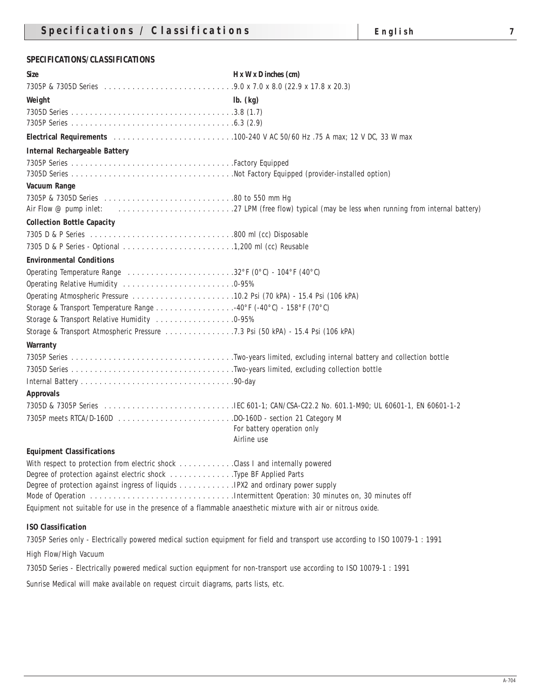## **SPECIFICATIONS/CLASSIFICATIONS**

| $\mathbf{lb.}$ (kg)<br>Air Flow @ pump inlet:<br>Operating Temperature Range 32°F (0°C) - 104°F (40°C)<br>0perating Relative Humidity 0-95%<br>Storage & Transport Temperature Range 40°F (-40°C) - 158°F (70°C)<br>Storage & Transport Relative Humidity 0-95%<br>For battery operation only<br>Airline use<br>With respect to protection from electric shock Class I and internally powered<br>Degree of protection against electric shock Type BF Applied Parts | <b>Size</b>                          | $H \times W \times D$ inches $(cm)$ |
|--------------------------------------------------------------------------------------------------------------------------------------------------------------------------------------------------------------------------------------------------------------------------------------------------------------------------------------------------------------------------------------------------------------------------------------------------------------------|--------------------------------------|-------------------------------------|
|                                                                                                                                                                                                                                                                                                                                                                                                                                                                    |                                      |                                     |
|                                                                                                                                                                                                                                                                                                                                                                                                                                                                    | Weight                               |                                     |
|                                                                                                                                                                                                                                                                                                                                                                                                                                                                    |                                      |                                     |
|                                                                                                                                                                                                                                                                                                                                                                                                                                                                    |                                      |                                     |
|                                                                                                                                                                                                                                                                                                                                                                                                                                                                    |                                      |                                     |
|                                                                                                                                                                                                                                                                                                                                                                                                                                                                    | <b>Internal Rechargeable Battery</b> |                                     |
|                                                                                                                                                                                                                                                                                                                                                                                                                                                                    |                                      |                                     |
|                                                                                                                                                                                                                                                                                                                                                                                                                                                                    |                                      |                                     |
|                                                                                                                                                                                                                                                                                                                                                                                                                                                                    | <b>Vacuum Range</b>                  |                                     |
|                                                                                                                                                                                                                                                                                                                                                                                                                                                                    |                                      |                                     |
|                                                                                                                                                                                                                                                                                                                                                                                                                                                                    |                                      |                                     |
|                                                                                                                                                                                                                                                                                                                                                                                                                                                                    | <b>Collection Bottle Capacity</b>    |                                     |
|                                                                                                                                                                                                                                                                                                                                                                                                                                                                    |                                      |                                     |
|                                                                                                                                                                                                                                                                                                                                                                                                                                                                    |                                      |                                     |
|                                                                                                                                                                                                                                                                                                                                                                                                                                                                    | <b>Environmental Conditions</b>      |                                     |
|                                                                                                                                                                                                                                                                                                                                                                                                                                                                    |                                      |                                     |
|                                                                                                                                                                                                                                                                                                                                                                                                                                                                    |                                      |                                     |
|                                                                                                                                                                                                                                                                                                                                                                                                                                                                    |                                      |                                     |
|                                                                                                                                                                                                                                                                                                                                                                                                                                                                    |                                      |                                     |
|                                                                                                                                                                                                                                                                                                                                                                                                                                                                    |                                      |                                     |
|                                                                                                                                                                                                                                                                                                                                                                                                                                                                    |                                      |                                     |
|                                                                                                                                                                                                                                                                                                                                                                                                                                                                    | <b>Warranty</b>                      |                                     |
|                                                                                                                                                                                                                                                                                                                                                                                                                                                                    |                                      |                                     |
|                                                                                                                                                                                                                                                                                                                                                                                                                                                                    |                                      |                                     |
|                                                                                                                                                                                                                                                                                                                                                                                                                                                                    |                                      |                                     |
|                                                                                                                                                                                                                                                                                                                                                                                                                                                                    | <b>Approvals</b>                     |                                     |
|                                                                                                                                                                                                                                                                                                                                                                                                                                                                    |                                      |                                     |
|                                                                                                                                                                                                                                                                                                                                                                                                                                                                    |                                      |                                     |
|                                                                                                                                                                                                                                                                                                                                                                                                                                                                    |                                      |                                     |
|                                                                                                                                                                                                                                                                                                                                                                                                                                                                    |                                      |                                     |
|                                                                                                                                                                                                                                                                                                                                                                                                                                                                    | <b>Equipment Classifications</b>     |                                     |
|                                                                                                                                                                                                                                                                                                                                                                                                                                                                    |                                      |                                     |
|                                                                                                                                                                                                                                                                                                                                                                                                                                                                    |                                      |                                     |
|                                                                                                                                                                                                                                                                                                                                                                                                                                                                    |                                      |                                     |
| Equipment not suitable for use in the presence of a flammable anaesthetic mixture with air or nitrous oxide.                                                                                                                                                                                                                                                                                                                                                       |                                      |                                     |

#### **ISO Classification**

7305P Series only - Electrically powered medical suction equipment for field and transport use according to ISO 10079-1 : 1991

High Flow/High Vacuum

7305D Series - Electrically powered medical suction equipment for non-transport use according to ISO 10079-1 : 1991

Sunrise Medical will make available on request circuit diagrams, parts lists, etc.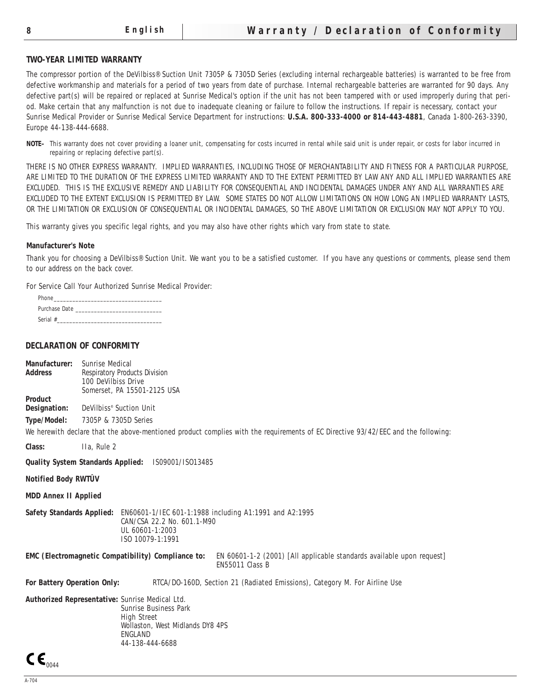#### **TWO-YEAR LIMITED WARRANTY**

The compressor portion of the DeVilbiss® Suction Unit 7305P & 7305D Series (excluding internal rechargeable batteries) is warranted to be free from defective workmanship and materials for a period of two years from date of purchase. Internal rechargeable batteries are warranted for 90 days. Any defective part(s) will be repaired or replaced at Sunrise Medical's option if the unit has not been tampered with or used improperly during that period. Make certain that any malfunction is not due to inadequate cleaning or failure to follow the instructions. If repair is necessary, contact your Sunrise Medical Provider or Sunrise Medical Service Department for instructions: **U.S.A. 800-333-4000 or 814-443-4881**, Canada 1-800-263-3390, Europe 44-138-444-6688.

**NOTE–** This warranty does not cover providing a loaner unit, compensating for costs incurred in rental while said unit is under repair, or costs for labor incurred in repairing or replacing defective part(s).

THERE IS NO OTHER EXPRESS WARRANTY. IMPLIED WARRANTIES, INCLUDING THOSE OF MERCHANTABILITY AND FITNESS FOR A PARTICULAR PURPOSE, ARE LIMITED TO THE DURATION OF THE EXPRESS LIMITED WARRANTY AND TO THE EXTENT PERMITTED BY LAW ANY AND ALL IMPLIED WARRANTIES ARE EXCLUDED. THIS IS THE EXCLUSIVE REMEDY AND LIABILITY FOR CONSEQUENTIAL AND INCIDENTAL DAMAGES UNDER ANY AND ALL WARRANTIES ARE EXCLUDED TO THE EXTENT EXCLUSION IS PERMITTED BY LAW. SOME STATES DO NOT ALLOW LIMITATIONS ON HOW LONG AN IMPLIED WARRANTY LASTS, OR THE LIMITATION OR EXCLUSION OF CONSEQUENTIAL OR INCIDENTAL DAMAGES, SO THE ABOVE LIMITATION OR EXCLUSION MAY NOT APPLY TO YOU.

This warranty gives you specific legal rights, and you may also have other rights which vary from state to state.

#### **Manufacturer's Note**

Thank you for choosing a DeVilbiss® Suction Unit. We want you to be a satisfied customer. If you have any questions or comments, please send them to our address on the back cover.

For Service Call Your Authorized Sunrise Medical Provider:

| Phone         |
|---------------|
| Purchase Date |
| Serial #      |

#### **DECLARATION OF CONFORMITY**

| <b>Manufacturer:</b><br><b>Address</b>                                                                                                                          | <b>Sunrise Medical</b><br><b>Respiratory Products Division</b><br>100 DeVilbiss Drive<br>Somerset, PA 15501-2125 USA                                                                  |  |  |  |
|-----------------------------------------------------------------------------------------------------------------------------------------------------------------|---------------------------------------------------------------------------------------------------------------------------------------------------------------------------------------|--|--|--|
| <b>Product</b><br>Designation:                                                                                                                                  | DeVilbiss <sup>®</sup> Suction Unit                                                                                                                                                   |  |  |  |
| Type/Model:                                                                                                                                                     | 7305P & 7305D Series                                                                                                                                                                  |  |  |  |
|                                                                                                                                                                 | We herewith declare that the above-mentioned product complies with the requirements of EC Directive 93/42/EEC and the following:                                                      |  |  |  |
| Class:                                                                                                                                                          | IIa, Rule 2                                                                                                                                                                           |  |  |  |
|                                                                                                                                                                 | <b>Quality System Standards Applied:</b><br>IS09001/IS013485                                                                                                                          |  |  |  |
| <b>Notified Body RWTÛV</b>                                                                                                                                      |                                                                                                                                                                                       |  |  |  |
| <b>MDD Annex II Applied</b>                                                                                                                                     |                                                                                                                                                                                       |  |  |  |
| <b>Safety Standards Applied:</b><br>EN60601-1/IEC 601-1:1988 including A1:1991 and A2:1995<br>CAN/CSA 22.2 No. 601.1-M90<br>UL 60601-1:2003<br>ISO 10079-1:1991 |                                                                                                                                                                                       |  |  |  |
| <b>EMC</b> (Electromagnetic Compatibility) Compliance to:<br>EN 60601-1-2 (2001) [All applicable standards available upon request]<br><b>EN55011 Class B</b>    |                                                                                                                                                                                       |  |  |  |
| <b>For Battery Operation Only:</b>                                                                                                                              | RTCA/DO-160D, Section 21 (Radiated Emissions), Category M. For Airline Use                                                                                                            |  |  |  |
|                                                                                                                                                                 | <b>Authorized Representative:</b> Sunrise Medical Ltd.<br><b>Sunrise Business Park</b><br><b>High Street</b><br>Wollaston, West Midlands DY8 4PS<br><b>ENGLAND</b><br>44-138-444-6688 |  |  |  |
| r c                                                                                                                                                             |                                                                                                                                                                                       |  |  |  |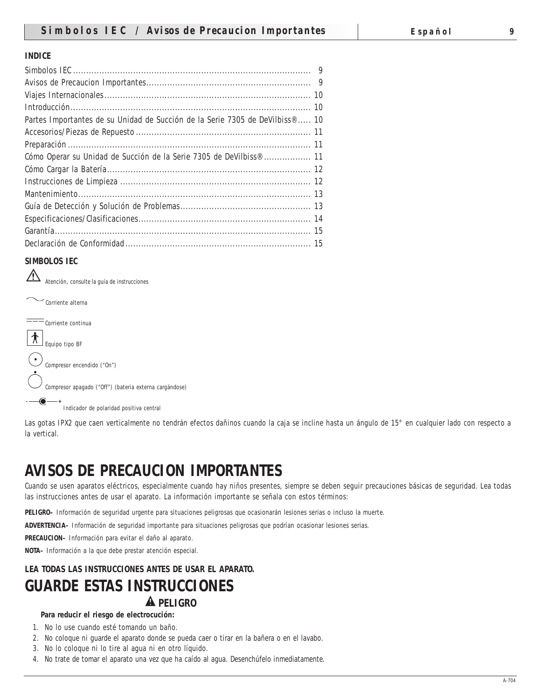#### **INDICE**

| Partes Importantes de su Unidad de Succión de la Serie 7305 de DeVilbiss®  10  |  |
|--------------------------------------------------------------------------------|--|
|                                                                                |  |
|                                                                                |  |
| Cómo Operar su Unidad de Succión de la Serie 7305 de DeVilbiss <sup>®</sup> 11 |  |
|                                                                                |  |
|                                                                                |  |
|                                                                                |  |
|                                                                                |  |
|                                                                                |  |
|                                                                                |  |
|                                                                                |  |

#### **SIMBOLOS IEC**

Atención, consulte la guía de instrucciones

Corriente alterna  $\overline{\phantom{a}}$ Corriente continua  $\begin{bmatrix} \boldsymbol{\hat{\pi}} \end{bmatrix}$  Equipo tipo BF  $\fbox{\begin{minipage}{4cm} \begin{equation}\label{eq:cond_1} \begin{pmatrix} \bullet \\ \bullet \end{pmatrix} \end{equation} } \begin{minipage}{0.5cm} \begin{equation}\label{eq:cond_1} \begin{pmatrix} \bullet \\ \bullet \end{pmatrix} \end{minip_1} \end{minipage} \vspace{-0.5cm}$ Compresor apagado ("Off") (bateria externa cargándose) Indicador de polaridad positiva central

Las gotas IPX2 que caen verticalmente no tendrán efectos dañinos cuando la caja se incline hasta un ángulo de 15° en cualquier lado con respecto a la vertical.

# **AVISOS DE PRECAUCION IMPORTANTES**

Cuando se usen aparatos eléctricos, especialmente cuando hay niños presentes, siempre se deben seguir precauciones básicas de seguridad. Lea todas las instrucciones antes de usar el aparato. La información importante se señala con estos términos:

**PELIGRO–** Información de seguridad urgente para situaciones peligrosas que ocasionarán lesiones serias o incluso la muerte.

**ADVERTENCIA–** Información de seguridad importante para situaciones peligrosas que podrían ocasionar lesiones serias.

**PRECAUCION–** Información para evitar el daño al aparato.

**NOTA–** Información a la que debe prestar atención especial.

# **LEA TODAS LAS INSTRUCCIONES ANTES DE USAR EL APARATO. GUARDE ESTAS INSTRUCCIONES A** PELIGRO

#### **Para reducir el riesgo de electrocución:**

- 1. No lo use cuando esté tomando un baño.
- 2. No coloque ni guarde el aparato donde se pueda caer o tirar en la bañera o en el lavabo.
- 3. No lo coloque ni lo tire al agua ni en otro líquido.
- 4. No trate de tomar el aparato una vez que ha caído al agua. Desenchúfelo inmediatamente.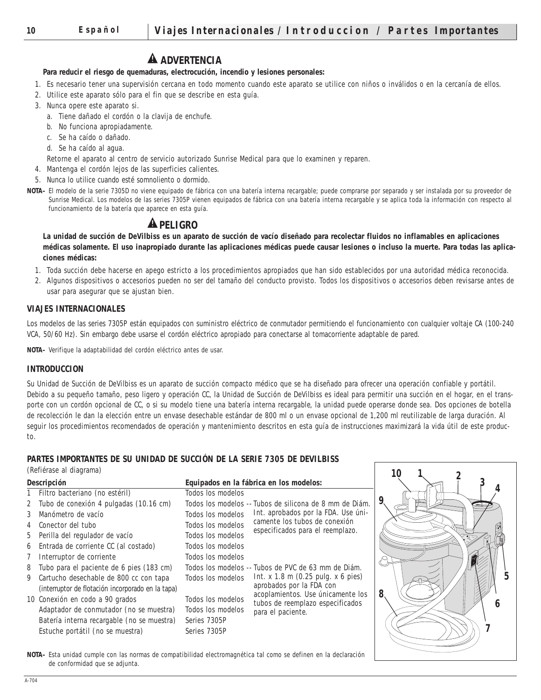# **A** ADVERTENCIA

#### **Para reducir el riesgo de quemaduras, electrocución, incendio y lesiones personales:**

- 1. Es necesario tener una supervisión cercana en todo momento cuando este aparato se utilice con niños o inválidos o en la cercanía de ellos.
- 2. Utilice este aparato sólo para el fin que se describe en esta guía.
- 3. Nunca opere este aparato si.
	- a. Tiene dañado el cordón o la clavija de enchufe.
	- b. No funciona apropiadamente.
	- c. Se ha caído o dañado.
	- d. Se ha caído al agua.
	- Retorne el aparato al centro de servicio autorizado Sunrise Medical para que lo examinen y reparen.
- 4. Mantenga el cordón lejos de las superficies calientes.
- 5. Nunca lo utilice cuando esté somnoliento o dormido.
- **NOTA–** El modelo de la serie 7305D no viene equipado de fábrica con una batería interna recargable; puede comprarse por separado y ser instalada por su proveedor de Sunrise Medical. Los modelos de las series 7305P vienen equipados de fábrica con una batería interna recargable y se aplica toda la información con respecto al funcionamiento de la batería que aparece en esta guía.

# **A PELIGRO**

**La unidad de succión de DeVilbiss es un aparato de succión de vacío diseñado para recolectar fluidos no inflamables en aplicaciones médicas solamente. El uso inapropiado durante las aplicaciones médicas puede causar lesiones o incluso la muerte. Para todas las aplicaciones médicas:** 

- 1. Toda succión debe hacerse en apego estricto a los procedimientos apropiados que han sido establecidos por una autoridad médica reconocida.
- 2. Algunos dispositivos o accesorios pueden no ser del tamaño del conducto provisto. Todos los dispositivos o accesorios deben revisarse antes de usar para asegurar que se ajustan bien.

#### **VIAJES INTERNACIONALES**

Los modelos de las series 7305P están equipados con suministro eléctrico de conmutador permitiendo el funcionamiento con cualquier voltaje CA (100-240 VCA, 50/60 Hz). Sin embargo debe usarse el cordón eléctrico apropiado para conectarse al tomacorriente adaptable de pared.

**NOTA–** Verifique la adaptabilidad del cordón eléctrico antes de usar.

#### **INTRODUCCION**

Su Unidad de Succión de DeVilbiss es un aparato de succión compacto médico que se ha diseñado para ofrecer una operación confiable y portátil. Debido a su pequeño tamaño, peso ligero y operación CC, la Unidad de Succión de DeVilbiss es ideal para permitir una succión en el hogar, en el transporte con un cordón opcional de CC, o si su modelo tiene una batería interna recargable, la unidad puede operarse donde sea. Dos opciones de botella de recolección le dan la elección entre un envase desechable estándar de 800 ml o un envase opcional de 1,200 ml reutilizable de larga duración. Al seguir los procedimientos recomendados de operación y mantenimiento descritos en esta guía de instrucciones maximizará la vida útil de este producto.

#### **PARTES IMPORTANTES DE SU UNIDAD DE SUCCIÓN DE LA SERIE 7305 DE DEVILBISS**

(Refiérase al diagrama)

|                    | (Reflerase al diagrama)                           |                                         |                                                                   |   |  |
|--------------------|---------------------------------------------------|-----------------------------------------|-------------------------------------------------------------------|---|--|
| <b>Descripción</b> |                                                   | Equipados en la fábrica en los modelos: |                                                                   |   |  |
|                    | 1 Filtro bacteriano (no estéril)                  | Todos los modelos                       |                                                                   |   |  |
|                    | 2 Tubo de conexión 4 pulgadas (10.16 cm)          |                                         | Todos los modelos -- Tubos de silicona de 8 mm de Diám.           |   |  |
| 3                  | Manómetro de vacío                                | Todos los modelos                       | Int. aprobados por la FDA. Use úni-                               |   |  |
|                    | 4 Conector del tubo                               | Todos los modelos                       | camente los tubos de conexión<br>especificados para el reemplazo. |   |  |
|                    | 5 Perilla del regulador de vacío                  | Todos los modelos                       |                                                                   |   |  |
|                    | 6 Entrada de corriente CC (al costado)            | Todos los modelos                       |                                                                   |   |  |
|                    | Interruptor de corriente                          | Todos los modelos                       |                                                                   |   |  |
| 8                  | Tubo para el paciente de 6 pies (183 cm)          |                                         | Todos los modelos -- Tubos de PVC de 63 mm de Diám.               |   |  |
| 9                  | Cartucho desechable de 800 cc con tapa            | Todos los modelos                       | Int. $x$ 1.8 m (0.25 pulg. $x$ 6 pies)                            |   |  |
|                    | (interruptor de flotación incorporado en la tapa) |                                         | aprobados por la FDA con<br>acoplamientos. Use únicamente los     | 8 |  |
|                    | 10 Conexión en codo a 90 grados                   | Todos los modelos                       | tubos de reemplazo especificados                                  |   |  |
|                    | Adaptador de conmutador (no se muestra)           | Todos los modelos                       | para el paciente.                                                 |   |  |
|                    | Batería interna recargable (no se muestra)        | Series 7305P                            |                                                                   |   |  |
|                    | Estuche portátil (no se muestra)                  | Series 7305P                            |                                                                   |   |  |
|                    |                                                   |                                         |                                                                   |   |  |

*10*

*5*

**NOTA–** Esta unidad cumple con las normas de compatibilidad electromagnética tal como se definen en la declaración de conformidad que se adjunta.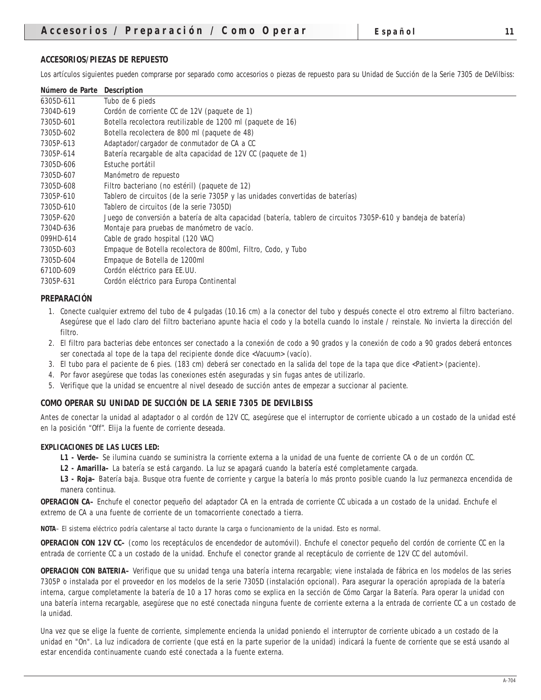Los artículos siguientes pueden comprarse por separado como accesorios o piezas de repuesto para su Unidad de Succión de la Serie 7305 de DeVilbiss:

| Número de Parte Description |                                                                                                                |
|-----------------------------|----------------------------------------------------------------------------------------------------------------|
| 6305D-611                   | Tubo de 6 pieds                                                                                                |
| 7304D-619                   | Cordón de corriente CC de 12V (paquete de 1)                                                                   |
| 7305D-601                   | Botella recolectora reutilizable de 1200 ml (paquete de 16)                                                    |
| 7305D-602                   | Botella recolectera de 800 ml (paquete de 48)                                                                  |
| 7305P-613                   | Adaptador/cargador de conmutador de CA a CC                                                                    |
| 7305P-614                   | Batería recargable de alta capacidad de 12V CC (paquete de 1)                                                  |
| 7305D-606                   | Estuche portátil                                                                                               |
| 7305D-607                   | Manómetro de repuesto                                                                                          |
| 7305D-608                   | Filtro bacteriano (no estéril) (paquete de 12)                                                                 |
| 7305P-610                   | Tablero de circuitos (de la serie 7305P y las unidades convertidas de baterías)                                |
| 7305D-610                   | Tablero de circuitos (de la serie 7305D)                                                                       |
| 7305P-620                   | Juego de conversión a batería de alta capacidad (batería, tablero de circuitos 7305P-610 y bandeja de batería) |
| 7304D-636                   | Montaje para pruebas de manómetro de vacío.                                                                    |
| 099HD-614                   | Cable de grado hospital (120 VAC)                                                                              |
| 7305D-603                   | Empaque de Botella recolectora de 800ml, Filtro, Codo, y Tubo                                                  |
| 7305D-604                   | Empaque de Botella de 1200ml                                                                                   |
| 6710D-609                   | Cordón eléctrico para EE.UU.                                                                                   |
| 7305P-631                   | Cordón eléctrico para Europa Continental                                                                       |

#### **PREPARACIÓN**

- 1. Conecte cualquier extremo del tubo de 4 pulgadas (10.16 cm) a la conector del tubo y después conecte el otro extremo al filtro bacteriano. Asegúrese que el lado claro del filtro bacteriano apunte hacia el codo y la botella cuando lo instale / reinstale. No invierta la dirección del filtro.
- 2. El filtro para bacterias debe entonces ser conectado a la conexión de codo a 90 grados y la conexión de codo a 90 grados deberá entonces ser conectada al tope de la tapa del recipiente donde dice <Vacuum> (vacío).
- 3. El tubo para el paciente de 6 pies. (183 cm) deberá ser conectado en la salida del tope de la tapa que dice <Patient> (paciente).
- 4. Por favor asegúrese que todas las conexiones estén aseguradas y sin fugas antes de utilizarlo.
- 5. Verifique que la unidad se encuentre al nivel deseado de succión antes de empezar a succionar al paciente.

#### **COMO OPERAR SU UNIDAD DE SUCCIÓN DE LA SERIE 7305 DE DEVILBISS**

Antes de conectar la unidad al adaptador o al cordón de 12V CC, asegúrese que el interruptor de corriente ubicado a un costado de la unidad esté en la posición "Off". Elija la fuente de corriente deseada.

#### **EXPLICACIONES DE LAS LUCES LED:**

- **L1 Verde–** Se ilumina cuando se suministra la corriente externa a la unidad de una fuente de corriente CA o de un cordón CC.
- **L2 Amarilla–** La batería se está cargando. La luz se apagará cuando la batería esté completamente cargada.

**L3 - Roja–** Batería baja. Busque otra fuente de corriente y cargue la batería lo más pronto posible cuando la luz permanezca encendida de manera continua.

**OPERACION CA–** Enchufe el conector pequeño del adaptador CA en la entrada de corriente CC ubicada a un costado de la unidad. Enchufe el extremo de CA a una fuente de corriente de un tomacorriente conectado a tierra.

**NOTA**– El sistema eléctrico podría calentarse al tacto durante la carga o funcionamiento de la unidad. Esto es normal.

**OPERACION CON 12V CC–** (como los receptáculos de encendedor de automóvil). Enchufe el conector pequeño del cordón de corriente CC en la entrada de corriente CC a un costado de la unidad. Enchufe el conector grande al receptáculo de corriente de 12V CC del automóvil.

**OPERACION CON BATERIA–** Verifique que su unidad tenga una batería interna recargable; viene instalada de fábrica en los modelos de las series 7305P o instalada por el proveedor en los modelos de la serie 7305D (instalación opcional). Para asegurar la operación apropiada de la batería interna, cargue completamente la batería de 10 a 17 horas como se explica en la sección de Cómo Cargar la Batería. Para operar la unidad con una batería interna recargable, asegúrese que no esté conectada ninguna fuente de corriente externa a la entrada de corriente CC a un costado de la unidad.

Una vez que se elige la fuente de corriente, simplemente encienda la unidad poniendo el interruptor de corriente ubicado a un costado de la unidad en "On". La luz indicadora de corriente (que está en la parte superior de la unidad) indicará la fuente de corriente que se está usando al estar encendida continuamente cuando esté conectada a la fuente externa.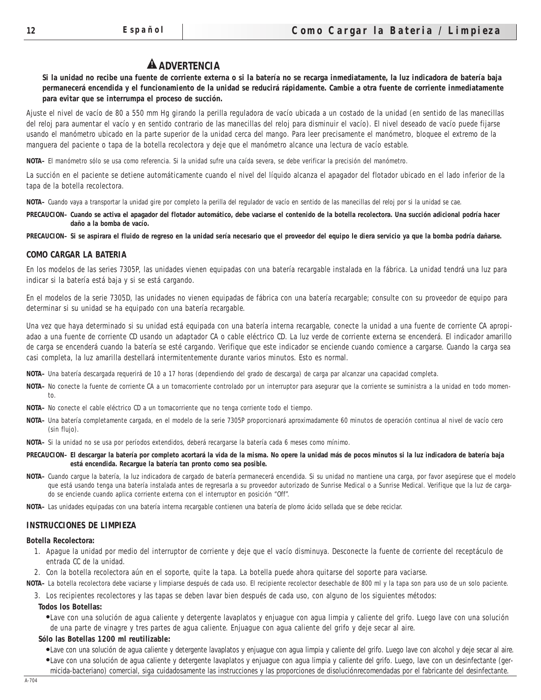# **A** ADVERTENCIA

**Si la unidad no recibe una fuente de corriente externa o si la batería no se recarga inmediatamente, la luz indicadora de batería baja permanecerá encendida y el funcionamiento de la unidad se reducirá rápidamente. Cambie a otra fuente de corriente inmediatamente para evitar que se interrumpa el proceso de succión.**

Ajuste el nivel de vacío de 80 a 550 mm Hg girando la perilla reguladora de vacío ubicada a un costado de la unidad (en sentido de las manecillas del reloj para aumentar el vacío y en sentido contrario de las manecillas del reloj para disminuir el vacío). El nivel deseado de vacío puede fijarse usando el manómetro ubicado en la parte superior de la unidad cerca del mango. Para leer precisamente el manómetro, bloquee el extremo de la manguera del paciente o tapa de la botella recolectora y deje que el manómetro alcance una lectura de vacío estable.

**NOTA–** El manómetro sólo se usa como referencia. Si la unidad sufre una caída severa, se debe verificar la precisión del manómetro.

La succión en el paciente se detiene automáticamente cuando el nivel del líquido alcanza el apagador del flotador ubicado en el lado inferior de la tapa de la botella recolectora.

**NOTA–** Cuando vaya a transportar la unidad gire por completo la perilla del regulador de vacío en sentido de las manecillas del reloj por si la unidad se cae.

**PRECAUCION– Cuando se activa el apagador del flotador automático, debe vaciarse el contenido de la botella recolectora. Una succión adicional podría hacer daño a la bomba de vacío.**

**PRECAUCION– Si se aspirara el fluido de regreso en la unidad sería necesario que el proveedor del equipo le diera servicio ya que la bomba podría dañarse.** 

#### **COMO CARGAR LA BATERIA**

En los modelos de las series 7305P, las unidades vienen equipadas con una batería recargable instalada en la fábrica. La unidad tendrá una luz para indicar si la batería está baja y si se está cargando.

En el modelos de la serie 7305D, las unidades no vienen equipadas de fábrica con una batería recargable; consulte con su proveedor de equipo para determinar si su unidad se ha equipado con una batería recargable.

Una vez que haya determinado si su unidad está equipada con una batería interna recargable, conecte la unidad a una fuente de corriente CA apropiadao a una fuente de corriente CD usando un adaptador CA o cable eléctrico CD. La luz verde de corriente externa se encenderá. El indicador amarillo de carga se encenderá cuando la batería se esté cargando. Verifique que este indicador se enciende cuando comience a cargarse. Cuando la carga sea casi completa, la luz amarilla destellará intermitentemente durante varios minutos. Esto es normal.

**NOTA–** Una batería descargada requerirá de 10 a 17 horas (dependiendo del grado de descarga) de carga par alcanzar una capacidad completa.

- **NOTA–** No conecte la fuente de corriente CA a un tomacorriente controlado por un interruptor para asegurar que la corriente se suministra a la unidad en todo momento.
- **NOTA–** No conecte el cable eléctrico CD a un tomacorriente que no tenga corriente todo el tiempo.
- **NOTA–** Una batería completamente cargada, en el modelo de la serie 7305P proporcionará aproximadamente 60 minutos de operación continua al nivel de vacío cero (sin flujo).
- **NOTA–** Si la unidad no se usa por períodos extendidos, deberá recargarse la batería cada 6 meses como mínimo.
- **PRECAUCION– El descargar la batería por completo acortará la vida de la misma. No opere la unidad más de pocos minutos si la luz indicadora de batería baja está encendida. Recargue la batería tan pronto como sea posible.**
- **NOTA–** Cuando cargue la batería, la luz indicadora de cargado de batería permanecerá encendida. Si su unidad no mantiene una carga, por favor asegúrese que el modelo que está usando tenga una batería instalada antes de regresarla a su proveedor autorizado de Sunrise Medical o a Sunrise Medical. Verifique que la luz de cargado se enciende cuando aplica corriente externa con el interruptor en posición "Off".
- **NOTA–** Las unidades equipadas con una batería interna recargable contienen una batería de plomo ácido sellada que se debe reciclar.

#### **INSTRUCCIONES DE LIMPIEZA**

#### **Botella Recolectora:**

- 1. Apague la unidad por medio del interruptor de corriente y deje que el vacío disminuya. Desconecte la fuente de corriente del receptáculo de entrada CC de la unidad.
- 2. Con la botella recolectora aún en el soporte, quite la tapa. La botella puede ahora quitarse del soporte para vaciarse.

**NOTA–** La botella recolectora debe vaciarse y limpiarse después de cada uso. El recipiente recolector desechable de 800 ml y la tapa son para uso de un solo paciente.

3. Los recipientes recolectores y las tapas se deben lavar bien después de cada uso, con alguno de los siguientes métodos:

#### **Todos los Botellas:**

●Lave con una solución de agua caliente y detergente lavaplatos y enjuague con agua limpia y caliente del grifo. Luego lave con una solución de una parte de vinagre y tres partes de agua caliente. Enjuague con agua caliente del grifo y deje secar al aire.

#### **Sólo las Botellas 1200 ml reutilizable:**

●Lave con una solución de agua caliente y detergente lavaplatos y enjuague con agua limpia y caliente del grifo. Luego lave con alcohol y deje secar al aire. ●Lave con una solución de agua caliente y detergente lavaplatos y enjuague con agua limpia y caliente del grifo. Luego, lave con un desinfectante (germicida-bacteriano) comercial, siga cuidadosamente las instrucciones y las proporciones de disoluciónrecomendadas por el fabricante del desinfectante.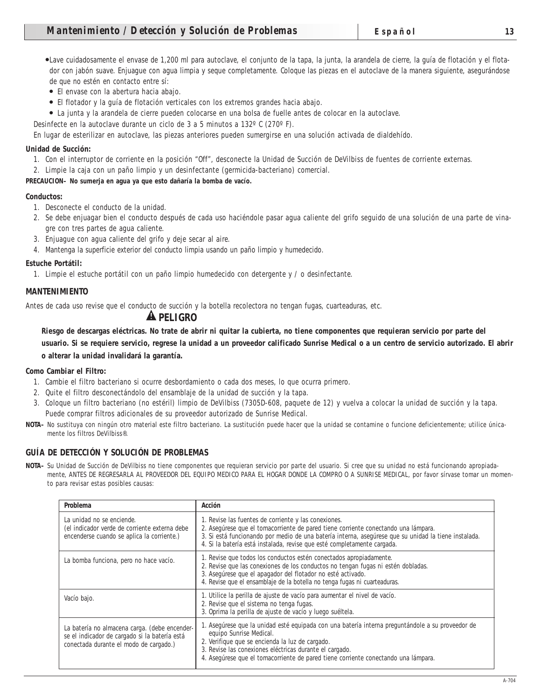●Lave cuidadosamente el envase de 1,200 ml para autoclave, el conjunto de la tapa, la junta, la arandela de cierre, la guía de flotación y el flotador con jabón suave. Enjuague con agua limpia y seque completamente. Coloque las piezas en el autoclave de la manera siguiente, asegurándose de que no estén en contacto entre sí:

- El envase con la abertura hacia abajo.
- El flotador y la guía de flotación verticales con los extremos grandes hacia abajo.
- La junta y la arandela de cierre pueden colocarse en una bolsa de fuelle antes de colocar en la autoclave.
- Desinfecte en la autoclave durante un ciclo de 3 a 5 minutos a 132º C (270º F).

En lugar de esterilizar en autoclave, las piezas anteriores pueden sumergirse en una solución activada de dialdehído.

#### **Unidad de Succión:**

- 1. Con el interruptor de corriente en la posición "Off", desconecte la Unidad de Succión de DeVilbiss de fuentes de corriente externas.
- 2. Limpie la caja con un paño limpio y un desinfectante (germicida-bacteriano) comercial.

#### **PRECAUCION– No sumerja en agua ya que esto dañaría la bomba de vacío.**

#### **Conductos:**

- 1. Desconecte el conducto de la unidad.
- 2. Se debe enjuagar bien el conducto después de cada uso haciéndole pasar agua caliente del grifo seguido de una solución de una parte de vinagre con tres partes de agua caliente.
- 3. Enjuague con agua caliente del grifo y deje secar al aire.
- 4. Mantenga la superficie exterior del conducto limpia usando un paño limpio y humedecido.

#### **Estuche Portátil:**

1. Limpie el estuche portátil con un paño limpio humedecido con detergente y / o desinfectante.

#### **MANTENIMIENTO**

Antes de cada uso revise que el conducto de succión y la botella recolectora no tengan fugas, cuarteaduras, etc.

#### **A PELIGRO**

**Riesgo de descargas eléctricas. No trate de abrir ni quitar la cubierta, no tiene componentes que requieran servicio por parte del**

**usuario. Si se requiere servicio, regrese la unidad a un proveedor calificado Sunrise Medical o a un centro de servicio autorizado. El abrir o alterar la unidad invalidará la garantía.**

#### **Como Cambiar el Filtro:**

- 1. Cambie el filtro bacteriano si ocurre desbordamiento o cada dos meses, lo que ocurra primero.
- 2. Quite el filtro desconectándolo del ensamblaje de la unidad de succión y la tapa.
- 3. Coloque un filtro bacteriano (no estéril) limpio de DeVilbiss (7305D-608, paquete de 12) y vuelva a colocar la unidad de succión y la tapa. Puede comprar filtros adicionales de su proveedor autorizado de Sunrise Medical.
- **NOTA–** No sustituya con ningún otro material este filtro bacteriano. La sustitución puede hacer que la unidad se contamine o funcione deficientemente; utilice únicamente los filtros DeVilbiss®.

#### **GUÍA DE DETECCIÓN Y SOLUCIÓN DE PROBLEMAS**

**NOTA–** Su Unidad de Succión de DeVilbiss no tiene componentes que requieran servicio por parte del usuario. Si cree que su unidad no está funcionando apropiadamente, ANTES DE REGRESARLA AL PROVEEDOR DEL EQUIPO MEDICO PARA EL HOGAR DONDE LA COMPRO O A SUNRISE MEDICAL, por favor sírvase tomar un momento para revisar estas posibles causas:

| <b>Problema</b>                                                                                                                          | <b>Acción</b>                                                                                                                                                                                                                                                                                                                   |
|------------------------------------------------------------------------------------------------------------------------------------------|---------------------------------------------------------------------------------------------------------------------------------------------------------------------------------------------------------------------------------------------------------------------------------------------------------------------------------|
| La unidad no se enciende.<br>(el indicador verde de corriente externa debe<br>encenderse cuando se aplica la corriente.)                 | 1. Revise las fuentes de corriente y las conexiones.<br>2. Asegúrese que el tomacorriente de pared tiene corriente conectando una lámpara.<br>3. Si está funcionando por medio de una batería interna, asegúrese que su unidad la tiene instalada.<br>4. Si la batería está instalada, revise que esté completamente cargada.   |
| La bomba funciona, pero no hace vacío.                                                                                                   | 1. Revise que todos los conductos estén conectados apropiadamente.<br>2. Revise que las conexiones de los conductos no tengan fugas ni estén dobladas.<br>3. Asegúrese que el apagador del flotador no esté activado.<br>4. Revise que el ensamblaje de la botella no tenga fugas ni cuarteaduras.                              |
| Vacío bajo.                                                                                                                              | 1. Utilice la perilla de ajuste de vacío para aumentar el nivel de vacío.<br>2. Revise que el sistema no tenga fugas.<br>3. Oprima la perilla de ajuste de vacío y luego suéltela.                                                                                                                                              |
| La batería no almacena carga. (debe encender-<br>se el indicador de cargado si la batería está<br>conectada durante el modo de cargado.) | 1. Asegúrese que la unidad esté equipada con una batería interna preguntándole a su proveedor de<br>equipo Sunrise Medical.<br>2. Verifique que se encienda la luz de cargado.<br>3. Revise las conexiones eléctricas durante el cargado.<br>4. Asegúrese que el tomacorriente de pared tiene corriente conectando una lámpara. |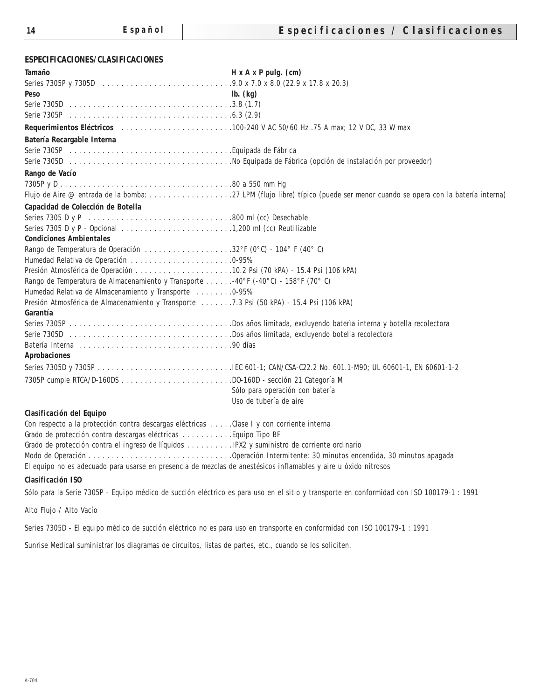#### **ESPECIFICACIONES/CLASIFICACIONES**

| Tamaño                                                                                                          | $H x A x P pulg.$ (cm)                                                                                                                    |
|-----------------------------------------------------------------------------------------------------------------|-------------------------------------------------------------------------------------------------------------------------------------------|
|                                                                                                                 |                                                                                                                                           |
| <b>Peso</b>                                                                                                     | $\mathbf{lb.}$ (kg)                                                                                                                       |
|                                                                                                                 |                                                                                                                                           |
|                                                                                                                 |                                                                                                                                           |
|                                                                                                                 |                                                                                                                                           |
| <b>Batería Recargable Interna</b>                                                                               |                                                                                                                                           |
|                                                                                                                 |                                                                                                                                           |
| Rango de Vacío                                                                                                  |                                                                                                                                           |
|                                                                                                                 |                                                                                                                                           |
|                                                                                                                 |                                                                                                                                           |
| Capacidad de Colección de Botella                                                                               |                                                                                                                                           |
|                                                                                                                 |                                                                                                                                           |
|                                                                                                                 |                                                                                                                                           |
| <b>Condiciones Ambientales</b>                                                                                  |                                                                                                                                           |
| Rango de Temperatura de Operación 32°F (0°C) - 104°F (40°C)                                                     |                                                                                                                                           |
| Humedad Relativa de Operación 0-95%                                                                             |                                                                                                                                           |
|                                                                                                                 |                                                                                                                                           |
| Rango de Temperatura de Almacenamiento y Transporte -40°F (-40°C) - 158°F (70°C)                                |                                                                                                                                           |
| Humedad Relativa de Almacenamiento y Transporte  0-95%                                                          |                                                                                                                                           |
| Presión Atmosférica de Almacenamiento y Transporte 7.3 Psi (50 kPA) - 15.4 Psi (106 kPA)                        |                                                                                                                                           |
| Garantía                                                                                                        |                                                                                                                                           |
|                                                                                                                 |                                                                                                                                           |
|                                                                                                                 |                                                                                                                                           |
| <b>Aprobaciones</b>                                                                                             |                                                                                                                                           |
|                                                                                                                 |                                                                                                                                           |
|                                                                                                                 |                                                                                                                                           |
|                                                                                                                 | Sólo para operación con batería                                                                                                           |
|                                                                                                                 | Uso de tubería de aire                                                                                                                    |
| Clasificación del Equipo                                                                                        |                                                                                                                                           |
| Con respecto a la protección contra descargas eléctricas Clase I y con corriente interna                        |                                                                                                                                           |
| Grado de protección contra descargas eléctricas Equipo Tipo BF                                                  |                                                                                                                                           |
|                                                                                                                 |                                                                                                                                           |
|                                                                                                                 | Modo de Operación Operación Intermitente: 30 minutos encendida, 30 minutos apagada                                                        |
| El equipo no es adecuado para usarse en presencia de mezclas de anestésicos inflamables y aire u óxido nitrosos |                                                                                                                                           |
| <b>Clasificación ISO</b>                                                                                        |                                                                                                                                           |
|                                                                                                                 | Sólo para la Serie 7305P - Equipo médico de succión eléctrico es para uso en el sitio y transporte en conformidad con ISO 100179-1 : 1991 |

Alto Flujo / Alto Vacío

Series 7305D - El equipo médico de succión eléctrico no es para uso en transporte en conformidad con ISO 100179-1 : 1991

Sunrise Medical suministrar los diagramas de circuitos, listas de partes, etc., cuando se los soliciten.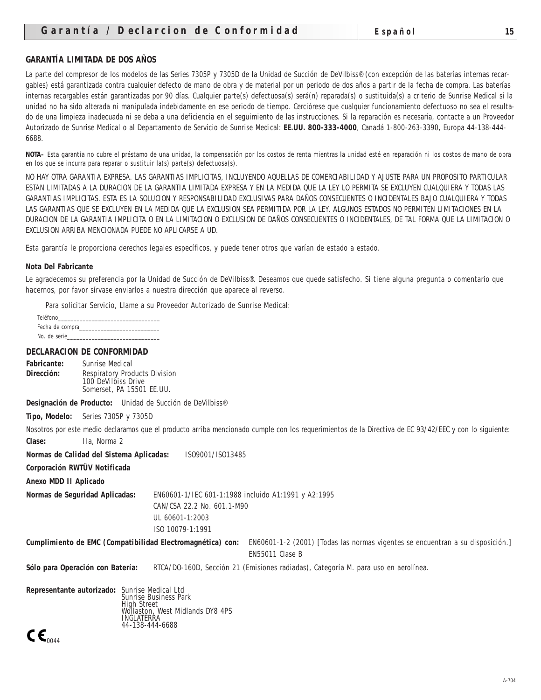#### **GARANTÍA LIMITADA DE DOS AÑOS**

La parte del compresor de los modelos de las Series 7305P y 7305D de la Unidad de Succión de DeVilbiss® (con excepción de las baterías internas recargables) está garantizada contra cualquier defecto de mano de obra y de material por un periodo de dos años a partir de la fecha de compra. Las baterías internas recargables están garantizadas por 90 días. Cualquier parte(s) defectuosa(s) será(n) reparada(s) o sustituida(s) a criterio de Sunrise Medical si la unidad no ha sido alterada ni manipulada indebidamente en ese periodo de tiempo. Cerciórese que cualquier funcionamiento defectuoso no sea el resultado de una limpieza inadecuada ni se deba a una deficiencia en el seguimiento de las instrucciones. Si la reparación es necesaria, contacte a un Proveedor Autorizado de Sunrise Medical o al Departamento de Servicio de Sunrise Medical: **EE.UU. 800-333-4000**, Canadá 1-800-263-3390, Europa 44-138-444- 6688.

**NOTA–** Esta garantía no cubre el préstamo de una unidad, la compensación por los costos de renta mientras la unidad esté en reparación ni los costos de mano de obra en los que se incurra para reparar o sustituir la(s) parte(s) defectuosa(s).

NO HAY OTRA GARANTIA EXPRESA. LAS GARANTIAS IMPLICITAS, INCLUYENDO AQUELLAS DE COMERCIABILIDAD Y AJUSTE PARA UN PROPOSITO PARTICULAR ESTAN LIMITADAS A LA DURACION DE LA GARANTIA LIMITADA EXPRESA Y EN LA MEDIDA QUE LA LEY LO PERMITA SE EXCLUYEN CUALQUIERA Y TODAS LAS GARANTIAS IMPLICITAS. ESTA ES LA SOLUCION Y RESPONSABILIDAD EXCLUSIVAS PARA DAÑOS CONSECUENTES O INCIDENTALES BAJO CUALQUIERA Y TODAS LAS GARANTIAS QUE SE EXCLUYEN EN LA MEDIDA QUE LA EXCLUSION SEA PERMITIDA POR LA LEY. ALGUNOS ESTADOS NO PERMITEN LIMITACIONES EN LA DURACION DE LA GARANTIA IMPLICITA O EN LA LIMITACION O EXCLUSION DE DAÑOS CONSECUENTES O INCIDENTALES, DE TAL FORMA QUE LA LIMITACION O EXCLUSION ARRIBA MENCIONADA PUEDE NO APLICARSE A UD.

Esta garantía le proporciona derechos legales específicos, y puede tener otros que varían de estado a estado.

#### **Nota Del Fabricante**

Le agradecemos su preferencia por la Unidad de Succión de DeVilbiss®. Deseamos que quede satisfecho. Si tiene alguna pregunta o comentario que hacernos, por favor sírvase enviarlos a nuestra dirección que aparece al reverso.

Para solicitar Servicio, Llame a su Proveedor Autorizado de Sunrise Medical:

| Teléfono        |  |
|-----------------|--|
| Fecha de compra |  |
| No. de serie    |  |

#### **DECLARACION DE CONFORMIDAD**

| <b>Fabricante:</b>           | <b>Sunrise Medical</b>                                                                                                                                 |  |
|------------------------------|--------------------------------------------------------------------------------------------------------------------------------------------------------|--|
| Dirección:                   | <b>Respiratory Products Division</b>                                                                                                                   |  |
|                              | 100 DeVilbiss Drive<br>Somerset, PA 15501 EE.UU.                                                                                                       |  |
|                              |                                                                                                                                                        |  |
|                              | Designación de Producto: Unidad de Succión de DeVilbiss®                                                                                               |  |
| Tipo, Modelo:                | Series 7305P y 7305D                                                                                                                                   |  |
|                              | Nosotros por este medio declaramos que el producto arriba mencionado cumple con los requerimientos de la Directiva de EC 93/42/EEC y con lo siguiente: |  |
| Clase:                       | IIa. Norma 2                                                                                                                                           |  |
|                              | Normas de Calidad del Sistema Aplicadas:<br>IS09001/IS013485                                                                                           |  |
| Corporación RWTÜV Notificada |                                                                                                                                                        |  |
| Anexo MDD II Aplicado        |                                                                                                                                                        |  |
|                              | <b>Normas de Seguridad Aplicadas:</b><br>EN60601-1/IEC 601-1:1988 incluido A1:1991 y A2:1995                                                           |  |
|                              | CAN/CSA 22.2 No. 601.1-M90                                                                                                                             |  |
|                              | UL 60601-1:2003                                                                                                                                        |  |
|                              | ISO 10079-1:1991                                                                                                                                       |  |
|                              | Cumplimiento de EMC (Compatibilidad Electromagnética) con: EN60601-1-2 (2001) [Todas las normas vigentes se encuentran a su disposición.]              |  |
|                              | EN55011 Clase B                                                                                                                                        |  |
|                              | Sólo para Operación con Batería:<br>RTCA/DO-160D, Sección 21 (Emisiones radiadas), Categoría M. para uso en aerolínea.                                 |  |
|                              | Representante autorizado: Sunrise Medical Ltd<br>Sunrise Business Park<br><b>High Street</b><br>Wollaston, West Midlands DY8 4PS<br>INGLATERRA         |  |
| $\epsilon$                   | 44-138-444-6688                                                                                                                                        |  |
|                              |                                                                                                                                                        |  |

 $C_{0044}$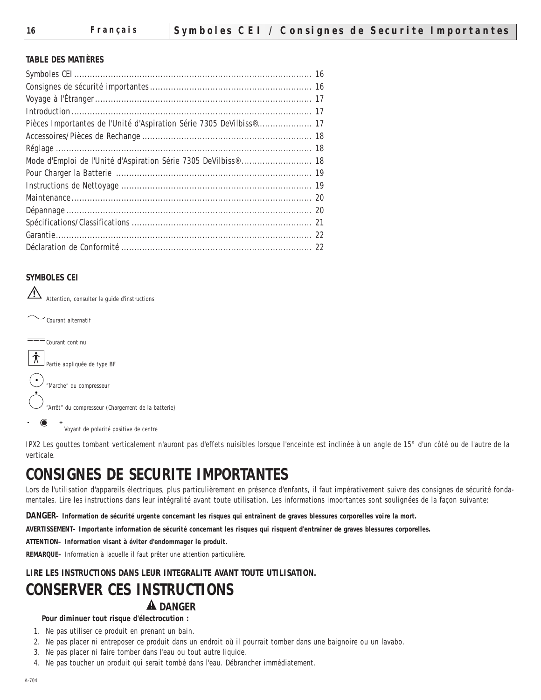#### **TABLE DES MATIÈRES**

| Pièces Importantes de l'Unité d'Aspiration Série 7305 DeVilbiss® 17 |  |
|---------------------------------------------------------------------|--|
|                                                                     |  |
|                                                                     |  |
| Mode d'Emploi de l'Unité d'Aspiration Série 7305 DeVilbiss®  18     |  |
|                                                                     |  |
|                                                                     |  |
|                                                                     |  |
|                                                                     |  |
|                                                                     |  |
|                                                                     |  |
|                                                                     |  |
|                                                                     |  |

## **SYMBOLES CEI**

 $\sqrt{2}$ Attention, consulter le guide d'instructions

Courant alternatif

 $\overline{\phantom{a}---}$ Courant continu

 $\left| \bigwedge^{\bullet} \right|$  Partie appliquée de type BF

 $\bigodot$  "Marche" du compresseur

"Arrêt" du compresseur (Chargement de la batterie)

Voyant de polarité positive de centre

IPX2 Les gouttes tombant verticalement n'auront pas d'effets nuisibles lorsque l'enceinte est inclinée à un angle de 15° d'un côté ou de l'autre de la verticale.

# **CONSIGNES DE SECURITE IMPORTANTES**

Lors de l'utilisation d'appareils électriques, plus particulièrement en présence d'enfants, il faut impérativement suivre des consignes de sécurité fondamentales. Lire les instructions dans leur intégralité avant toute utilisation. Les informations importantes sont soulignées de la façon suivante:

**DANGER– Information de sécurité urgente concernant les risques qui entraînent de graves blessures corporelles voire la mort.**

**AVERTISSEMENT– Importante information de sécurité concernant les risques qui risquent d'entraîner de graves blessures corporelles.**

**ATTENTION– Information visant à éviter d'endommager le produit.**

**REMARQUE–** Information à laquelle il faut prêter une attention particulière.

## **LIRE LES INSTRUCTIONS DANS LEUR INTEGRALITE AVANT TOUTE UTILISATION.**

# **CONSERVER CES INSTRUCTIONS A** DANGER

#### **Pour diminuer tout risque d'électrocution :**

- 1. Ne pas utiliser ce produit en prenant un bain.
- 2. Ne pas placer ni entreposer ce produit dans un endroit où il pourrait tomber dans une baignoire ou un lavabo.
- 3. Ne pas placer ni faire tomber dans l'eau ou tout autre liquide.
- 4. Ne pas toucher un produit qui serait tombé dans l'eau. Débrancher immédiatement.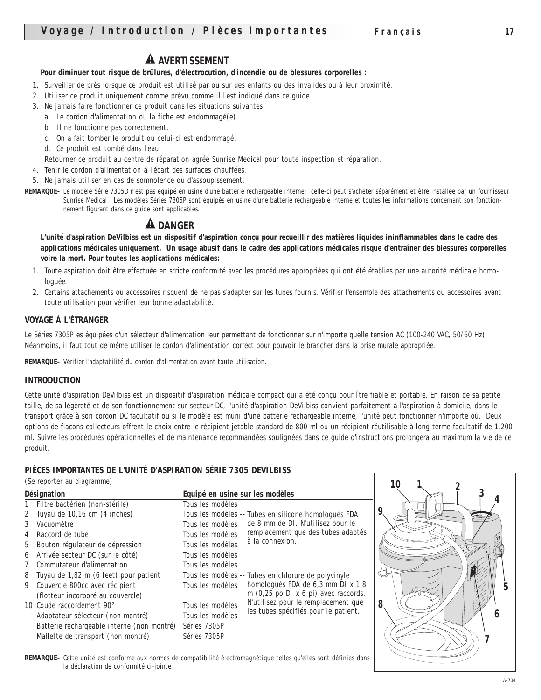# **A** AVERTISSEMENT

#### **Pour diminuer tout risque de brûlures, d'électrocution, d'incendie ou de blessures corporelles :**

- 1. Surveiller de près lorsque ce produit est utilisé par ou sur des enfants ou des invalides ou à leur proximité.
- 2. Utiliser ce produit uniquement comme prévu comme il l'est indiqué dans ce guide.
- 3. Ne jamais faire fonctionner ce produit dans les situations suivantes:
	- a. Le cordon d'alimentation ou la fiche est endommagé(e).
	- b. Il ne fonctionne pas correctement.
	- c. On a fait tomber le produit ou celui-ci est endommagé.
	- d. Ce produit est tombé dans l'eau.
	- Retourner ce produit au centre de réparation agréé Sunrise Medical pour toute inspection et réparation.
- 4. Tenir le cordon d'alimentation á l'écart des surfaces chauffées.
- 5. Ne jamais utiliser en cas de somnolence ou d'assoupissement.
- **REMARQUE–** Le modèle Série 7305D n'est pas équipé en usine d'une batterie rechargeable interne; celle-ci peut s'acheter séparément et être installée par un fournisseur Sunrise Medical. Les modèles Séries 7305P sont équipés en usine d'une batterie rechargeable interne et toutes les informations concernant son fonctionnement figurant dans ce guide sont applicables.

# **A** DANGER

**L'unité d'aspiration DeVilbiss est un dispositif d'aspiration conçu pour recueillir des matières liquides ininflammables dans le cadre des applications médicales uniquement. Un usage abusif dans le cadre des applications médicales risque d'entraîner des blessures corporelles voire la mort. Pour toutes les applications médicales:**

- 1. Toute aspiration doit être effectuée en stricte conformité avec les procédures appropriées qui ont été établies par une autorité médicale homologuée.
- 2. Certains attachements ou accessoires risquent de ne pas s'adapter sur les tubes fournis. Vérifier l'ensemble des attachements ou accessoires avant toute utilisation pour vérifier leur bonne adaptabilité.

#### **VOYAGE À L'ÈTRANGER**

Le Séries 7305P es équipées d'un sélecteur d'alimentation leur permettant de fonctionner sur n'importe quelle tension AC (100-240 VAC, 50/60 Hz). Néanmoins, il faut tout de même utiliser le cordon d'alimentation correct pour pouvoir le brancher dans la prise murale appropriée.

**REMARQUE–** Vérifier l'adaptabilité du cordon d'alimentation avant toute utilisation.

#### **INTRODUCTION**

Cette unité d'aspiration DeVilbiss est un dispositif d'aspiration médicale compact qui a été conçu pour Ítre fiable et portable. En raison de sa petite taille, de sa légèreté et de son fonctionnement sur secteur DC, l'unité d'aspiration DeVilbiss convient parfaitement à l'aspiration à domicile, dans le transport grâce à son cordon DC facultatif ou si le modèle est muni d'une batterie rechargeable interne, l'unité peut fonctionner n'importe où. Deux options de flacons collecteurs offrent le choix entre le récipient jetable standard de 800 ml ou un récipient réutilisable à long terme facultatif de 1.200 ml. Suivre les procédures opérationnelles et de maintenance recommandées soulignées dans ce guide d'instructions prolongera au maximum la vie de ce produit.

# **PIÈCES IMPORTANTES DE L'UNITÉ D'ASPIRATION SÉRIE 7305 DEVILBISS**

| (Se reporter au diagramme)                 |                                 |                                                                             |   |  |
|--------------------------------------------|---------------------------------|-----------------------------------------------------------------------------|---|--|
| <b>Désignation</b>                         | Equipé en usine sur les modèles |                                                                             |   |  |
| 1 Filtre bactérien (non-stérile)           | Tous les modèles                |                                                                             |   |  |
| 2 Tuyau de 10,16 cm (4 inches)             |                                 | Tous les modèles -- Tubes en silicone homologués FDA                        |   |  |
| 3 Vacuomètre                               | Tous les modèles                | de 8 mm de DI. N'utilisez pour le                                           |   |  |
| 4 Raccord de tube                          | Tous les modèles                | remplacement que des tubes adaptés                                          |   |  |
| 5 Bouton régulateur de dépression          | Tous les modèles                | à la connexion.                                                             |   |  |
| 6 Arrivée secteur DC (sur le côté)         | Tous les modèles                |                                                                             |   |  |
| 7 Commutateur d'alimentation               | Tous les modèles                |                                                                             |   |  |
| 8 Tuyau de 1,82 m (6 feet) pour patient    |                                 | Tous les modèles -- Tubes en chlorure de polyvinyle                         |   |  |
| 9 Couvercle 800cc avec récipient           | Tous les modèles                | homologués FDA de 6,3 mm DI x 1,8                                           |   |  |
| (flotteur incorporé au couvercle)          |                                 | m $(0,25$ po DI x 6 pi) avec raccords.                                      |   |  |
| 10 Coude raccordement 90°                  | Tous les modèles                | N'utilisez pour le remplacement que<br>les tubes spécifiés pour le patient. | 8 |  |
| Adaptateur sélecteur (non montré)          | Tous les modèles                |                                                                             |   |  |
| Batterie rechargeable interne (non montré) | Séries 7305P                    |                                                                             |   |  |
| Mallette de transport (non montré)         | Séries 7305P                    |                                                                             |   |  |

**REMARQUE–** Cette unité est conforme aux normes de compatibilité électromagnétique telles qu'elles sont définies dans la déclaration de conformité ci-jointe.

*5*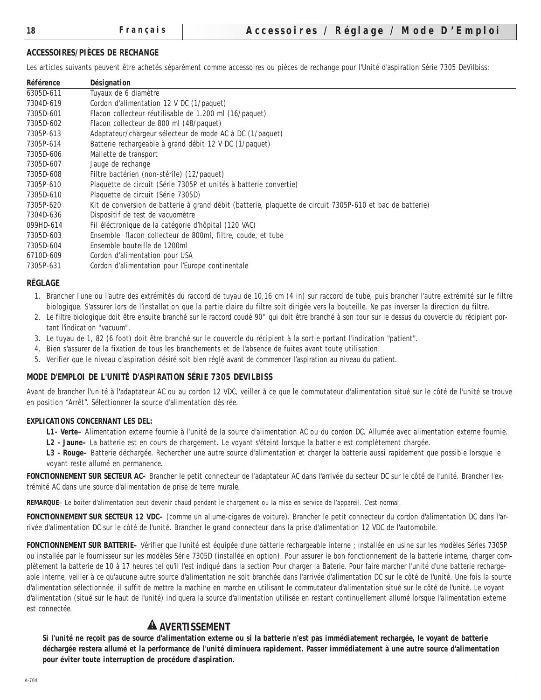#### **ACCESSOIRES/PIÈCES DE RECHANGE**

Les articles suivants peuvent être achetés séparément comme accessoires ou pièces de rechange pour l'Unité d'aspiration Série 7305 DeVilbiss:

| <b>Référence</b> | <b>Désignation</b>                                                                                        |
|------------------|-----------------------------------------------------------------------------------------------------------|
| 6305D-611        | Tuyaux de 6 diamètre                                                                                      |
| 7304D-619        | Cordon d'alimentation 12 V DC $(1/paquet)$                                                                |
| 7305D-601        | Flacon collecteur réutilisable de 1.200 ml (16/paquet)                                                    |
| 7305D-602        | Flacon collecteur de 800 ml (48/paquet)                                                                   |
| 7305P-613        | Adaptateur/chargeur sélecteur de mode AC à DC (1/paquet)                                                  |
| 7305P-614        | Batterie rechargeable à grand débit 12 V DC (1/paquet)                                                    |
| 7305D-606        | Mallette de transport                                                                                     |
| 7305D-607        | Jauge de rechange                                                                                         |
| 7305D-608        | Filtre bactérien (non-stérile) (12/paquet)                                                                |
| 7305P-610        | Plaquette de circuit (Série 7305P et unités à batterie convertie)                                         |
| 7305D-610        | Plaquette de circuit (Série 7305D)                                                                        |
| 7305P-620        | Kit de conversion de batterie à grand débit (batterie, plaquette de circuit 7305P-610 et bac de batterie) |
| 7304D-636        | Dispositif de test de vacuomètre                                                                          |
| 099HD-614        | Fil éléctronique de la catégorie d'hôpital (120 VAC)                                                      |
| 7305D-603        | Ensemble flacon collecteur de 800ml, filtre, coude, et tube                                               |
| 7305D-604        | Ensemble bouteille de 1200ml                                                                              |
| 6710D-609        | Cordon d'alimentation pour USA                                                                            |
| 7305P-631        | Cordon d'alimentation pour l'Europe continentale                                                          |

#### **RÉGLAGE**

- 1. Brancher l'une ou l'autre des extrémités du raccord de tuyau de 10,16 cm (4 in) sur raccord de tube, puis brancher l'autre extrémité sur le filtre biologique. S'assurer lors de l'installation que la partie claire du filtre soit dirigée vers la bouteille. Ne pas inverser la direction du filtre.
- 2. Le filtre biologique doit être ensuite branché sur le raccord coudé 90° qui doit être branché à son tour sur le dessus du couvercle du récipient portant l'indication "vacuum".
- 3. Le tuyau de 1, 82 (6 foot) doit être branché sur le couvercle du récipient à la sortie portant l'indication ''patient''.
- 4. Bien s'assurer de la fixation de tous les branchements et de l'absence de fuites avant toute utilisation.
- 5. Verifier que le niveau d'aspiration désiré soit bien réglé avant de commencer l'aspiration au niveau du patient.

#### **MODE D'EMPLOI DE L'UNITÉ D'ASPIRATION SÉRIE 7305 DEVILBISS**

Avant de brancher l'unité à l'adaptateur AC ou au cordon 12 VDC, veiller à ce que le commutateur d'alimentation situé sur le côté de l'unité se trouve en position "Arrêt". Sélectionner la source d'alimentation désirée.

#### **EXPLICATIONS CONCERNANT LES DEL:**

- **L1- Verte–** Alimentation externe fournie à l'unité de la source d'alimentation AC ou du cordon DC. Allumée avec alimentation externe fournie.
- **L2 Jaune–** La batterie est en cours de chargement. Le voyant s'éteint lorsque la batterie est complètement chargée.

**L3 - Rouge–** Batterie déchargée. Rechercher une autre source d'alimentation et charger la batterie aussi rapidement que possible lorsque le voyant reste allumé en permanence.

**FONCTIONNEMENT SUR SECTEUR AC–** Brancher le petit connecteur de l'adaptateur AC dans l'arrivée du secteur DC sur le côté de l'unité. Brancher l'extrémité AC dans une source d'alimentation de prise de terre murale.

**REMARQUE**– Le boiter d'alimentation peut devenir chaud pendant le chargement ou la mise en service de l'appareil. C'est normal.

**FONCTIONNEMENT SUR SECTEUR 12 VDC–** (comme un allume-cigares de voiture). Brancher le petit connecteur du cordon d'alimentation DC dans l'arrivée d'alimentation DC sur le côté de l'unité. Brancher le grand connecteur dans la prise d'alimentation 12 VDC de l'automobile.

**FONCTIONNEMENT SUR BATTERIE–** Vérifier que l'unité est équipée d'une batterie rechargeable interne ; installée en usine sur les modèles Séries 7305P ou installée par le fournisseur sur les modèles Série 7305D (installée en option). Pour assurer le bon fonctionnement de la batterie interne, charger complètement la batterie de 10 à 17 heures tel qu'il l'est indiqué dans la section Pour charger la Baterie. Pour faire marcher l'unité d'une batterie rechargeable interne, veiller à ce qu'aucune autre source d'alimentation ne soit branchée dans l'arrivée d'alimentation DC sur le côté de l'unité. Une fois la source d'alimentation sélectionnée, il suffit de mettre la machine en marche en utilisant le commutateur d'alimentation situé sur le côté de l'unité. Le voyant d'alimentation (situé sur le haut de l'unité) indiquera la source d'alimentation utilisée en restant continuellement allumé lorsque l'alimentation externe est connectée.

# **AVERTISSEMENT**

**Si l'unité ne reçoit pas de source d'alimentation externe ou si la batterie n'est pas immédiatement rechargée, le voyant de batterie déchargée restera allumé et la performance de l'unité diminuera rapidement. Passer immédiatement à une autre source d'alimentation pour éviter toute interruption de procédure d'aspiration.**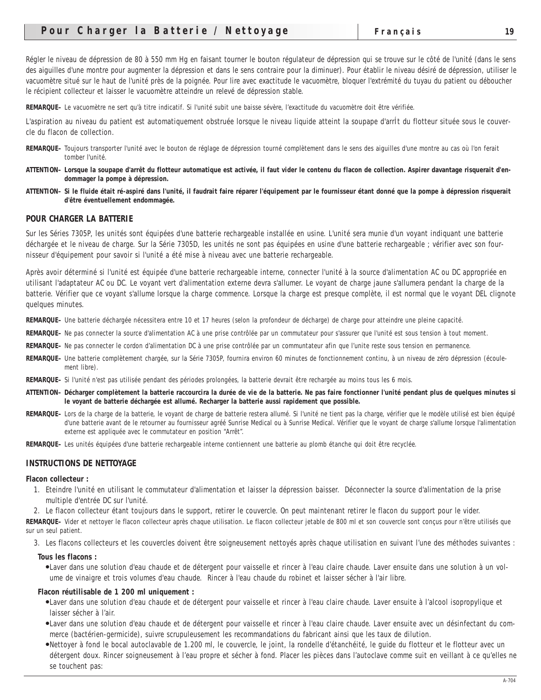Régler le niveau de dépression de 80 à 550 mm Hg en faisant tourner le bouton régulateur de dépression qui se trouve sur le côté de l'unité (dans le sens des aiguilles d'une montre pour augmenter la dépression et dans le sens contraire pour la diminuer). Pour établir le niveau désiré de dépression, utiliser le vacuomètre situé sur le haut de l'unité près de la poignée. Pour lire avec exactitude le vacuomètre, bloquer l'extrémité du tuyau du patient ou déboucher le récipient collecteur et laisser le vacuomètre atteindre un relevé de dépression stable.

**REMARQUE–** Le vacuomètre ne sert qu'à titre indicatif. Si l'unité subit une baisse sévère, l'exactitude du vacuomètre doit être vérifiée.

L'aspiration au niveau du patient est automatiquement obstruée lorsque le niveau liquide atteint la soupape d'arrÍt du flotteur située sous le couvercle du flacon de collection.

- **REMARQUE–** Toujours transporter l'unité avec le bouton de réglage de dépression tourné complètement dans le sens des aiguilles d'une montre au cas où l'on ferait tomber l'unité.
- **ATTENTION– Lorsque la soupape d'arrêt du flotteur automatique est activée, il faut vider le contenu du flacon de collection. Aspirer davantage risquerait d'endommager la pompe à dépression.**
- **ATTENTION– Si le fluide était ré-aspiré dans l'unité, il faudrait faire réparer l'équipement par le fournisseur étant donné que la pompe à dépression risquerait d'être éventuellement endommagée.**

#### **POUR CHARGER LA BATTERIE**

Sur les Séries 7305P, les unités sont équipées d'une batterie rechargeable installée en usine. L'unité sera munie d'un voyant indiquant une batterie déchargée et le niveau de charge. Sur la Série 7305D, les unités ne sont pas équipées en usine d'une batterie rechargeable ; vérifier avec son fournisseur d'équipement pour savoir si l'unité a été mise à niveau avec une batterie rechargeable.

Après avoir déterminé si l'unité est équipée d'une batterie rechargeable interne, connecter l'unité à la source d'alimentation AC ou DC appropriée en utilisant l'adaptateur AC ou DC. Le voyant vert d'alimentation externe devra s'allumer. Le voyant de charge jaune s'allumera pendant la charge de la batterie. Vérifier que ce voyant s'allume lorsque la charge commence. Lorsque la charge est presque complète, il est normal que le voyant DEL clignote quelques minutes.

**REMARQUE–** Une batterie déchargée nécessitera entre 10 et 17 heures (selon la profondeur de décharge) de charge pour atteindre une pleine capacité.

- **REMARQUE–** Ne pas connecter la source d'alimentation AC à une prise contrôlée par un commutateur pour s'assurer que l'unité est sous tension à tout moment.
- **REMARQUE–** Ne pas connecter le cordon d'alimentation DC à une prise contrôlée par un communtateur afin que l'unite reste sous tension en permanence.
- **REMARQUE–** Une batterie complètement chargée, sur la Série 7305P, fournira environ 60 minutes de fonctionnement continu, à un niveau de zéro dépression (écoulement libre).
- **REMARQUE–** Si l'unité n'est pas utilisée pendant des périodes prolongées, la batterie devrait être rechargée au moins tous les 6 mois.
- **ATTENTION– Décharger complètement la batterie raccourcira la durée de vie de la batterie. Ne pas faire fonctionner l'unité pendant plus de quelques minutes si le voyant de batterie déchargée est allumé. Recharger la batterie aussi rapidement que possible.**
- **REMARQUE–** Lors de la charge de la batterie, le voyant de charge de batterie restera allumé. Si l'unité ne tient pas la charge, vérifier que le modèle utilisé est bien équipé d'une batterie avant de le retourner au fournisseur agréé Sunrise Medical ou à Sunrise Medical. Vérifier que le voyant de charge s'allume lorsque l'alimentation externe est appliquée avec le commutateur en position "Arrêt".
- **REMARQUE–** Les unités équipées d'une batterie rechargeable interne contiennent une batterie au plomb étanche qui doit être recyclée.

#### **INSTRUCTIONS DE NETTOYAGE**

#### **Flacon collecteur :**

- 1. Eteindre l'unité en utilisant le commutateur d'alimentation et laisser la dépression baisser. Déconnecter la source d'alimentation de la prise multiple d'entrée DC sur l'unité.
- 2. Le flacon collecteur étant toujours dans le support, retirer le couvercle. On peut maintenant retirer le flacon du support pour le vider.

**REMARQUE–** Vider et nettoyer le flacon collecteur après chaque utilisation. Le flacon collecteur jetable de 800 ml et son couvercle sont conçus pour n'être utilisés que sur un seul patient.

3. Les flacons collecteurs et les couvercles doivent être soigneusement nettoyés après chaque utilisation en suivant l'une des méthodes suivantes :

#### **Tous les flacons :**

●Laver dans une solution d'eau chaude et de détergent pour vaisselle et rincer à l'eau claire chaude. Laver ensuite dans une solution à un volume de vinaigre et trois volumes d'eau chaude. Rincer à l'eau chaude du robinet et laisser sécher à l'air libre.

#### **Flacon réutilisable de 1 200 ml uniquement :**

- ●Laver dans une solution d'eau chaude et de détergent pour vaisselle et rincer à l'eau claire chaude. Laver ensuite à l'alcool isopropylique et laisser sécher à l'air.
- ●Laver dans une solution d'eau chaude et de détergent pour vaisselle et rincer à l'eau claire chaude. Laver ensuite avec un désinfectant du commerce (bactérien-germicide), suivre scrupuleusement les recommandations du fabricant ainsi que les taux de dilution.
- ●Nettoyer à fond le bocal autoclavable de 1.200 ml, le couvercle, le joint, la rondelle d'étanchéité, le guide du flotteur et le flotteur avec un détergent doux. Rincer soigneusement à l'eau propre et sécher à fond. Placer les pièces dans l'autoclave comme suit en veillant à ce qu'elles ne se touchent pas: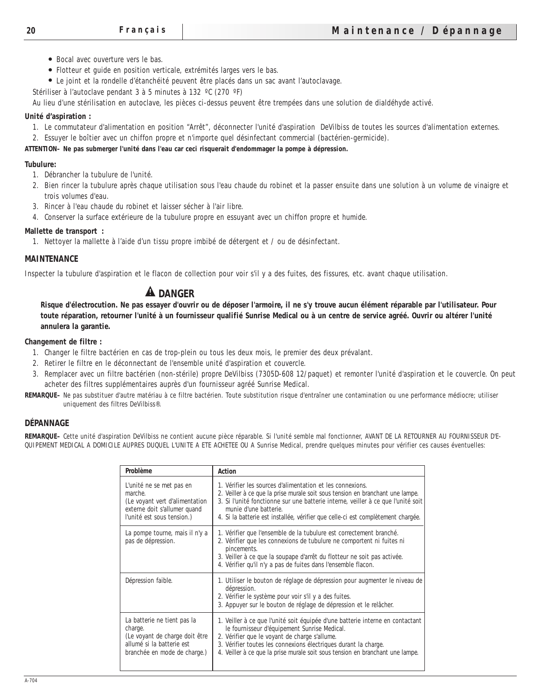- Bocal avec ouverture vers le bas.
- Flotteur et guide en position verticale, extrémités larges vers le bas.
- Le joint et la rondelle d'étanchéité peuvent être placés dans un sac avant l'autoclavage.

Stériliser à l'autoclave pendant 3 à 5 minutes à 132 ºC (270 ºF)

Au lieu d'une stérilisation en autoclave, les pièces ci-dessus peuvent être trempées dans une solution de dialdéhyde activé.

## **Unité d'aspiration :**

- 1. Le commutateur d'alimentation en position "Arrêt", déconnecter l'unité d'aspiration DeVilbiss de toutes les sources d'alimentation externes.
- 2. Essuyer le boîtier avec un chiffon propre et n'importe quel désinfectant commercial (bactérien-germicide).

## **ATTENTION– Ne pas submerger l'unité dans l'eau car ceci risquerait d'endommager la pompe à dépression.**

#### **Tubulure:**

- 1. Débrancher la tubulure de l'unité.
- 2. Bien rincer la tubulure après chaque utilisation sous l'eau chaude du robinet et la passer ensuite dans une solution à un volume de vinaigre et trois volumes d'eau.
- 3. Rincer à l'eau chaude du robinet et laisser sécher à l'air libre.
- 4. Conserver la surface extérieure de la tubulure propre en essuyant avec un chiffon propre et humide.

#### **Mallette de transport :**

1. Nettoyer la mallette à l'aide d'un tissu propre imbibé de détergent et / ou de désinfectant.

#### **MAINTENANCE**

Inspecter la tubulure d'aspiration et le flacon de collection pour voir s'il y a des fuites, des fissures, etc. avant chaque utilisation.

# **A** DANGER

**Risque d'électrocution. Ne pas essayer d'ouvrir ou de déposer l'armoire, il ne s'y trouve aucun élément réparable par l'utilisateur. Pour toute réparation, retourner l'unité à un fournisseur qualifié Sunrise Medical ou à un centre de service agréé. Ouvrir ou altérer l'unité annulera la garantie.**

#### **Changement de filtre :**

- 1. Changer le filtre bactérien en cas de trop-plein ou tous les deux mois, le premier des deux prévalant.
- 2. Retirer le filtre en le déconnectant de l'ensemble unité d'aspiration et couvercle.
- 3. Remplacer avec un filtre bactérien (non-stérile) propre DeVilbiss (7305D-608 12/paquet) et remonter l'unité d'aspiration et le couvercle. On peut acheter des filtres supplémentaires auprès d'un fournisseur agréé Sunrise Medical.
- **REMARQUE–** Ne pas substituer d'autre matériau à ce filtre bactérien. Toute substitution risque d'entraîner une contamination ou une performance médiocre; utiliser uniquement des filtres DeVilbiss®.

## **DÉPANNAGE**

**REMARQUE–** Cette unité d'aspiration DeVilbiss ne contient aucune pièce réparable. Si l'unité semble mal fonctionner, AVANT DE LA RETOURNER AU FOURNISSEUR D'E-QUIPEMENT MEDICAL A DOMICILE AUPRES DUQUEL L'UNITE A ETE ACHETEE OU A Sunrise Medical, prendre quelques minutes pour vérifier ces causes éventuelles:

| <b>Problème</b>                                                                                                                       | <b>Action</b>                                                                                                                                                                                                                                                                                                                               |
|---------------------------------------------------------------------------------------------------------------------------------------|---------------------------------------------------------------------------------------------------------------------------------------------------------------------------------------------------------------------------------------------------------------------------------------------------------------------------------------------|
| L'unité ne se met pas en<br>marche.<br>(Le voyant vert d'alimentation<br>externe doit s'allumer quand<br>l'unité est sous tension.)   | 1. Vérifier les sources d'alimentation et les connexions.<br>2. Veiller à ce que la prise murale soit sous tension en branchant une lampe.<br>3. Si l'unité fonctionne sur une batterie interne, veiller à ce que l'unité soit<br>munie d'une batterie.<br>4. Si la batterie est installée, vérifier que celle-ci est complètement chargée. |
| La pompe tourne, mais il n'y a<br>pas de dépression.                                                                                  | 1. Vérifier que l'ensemble de la tubulure est correctement branché.<br>2. Vérifier que les connexions de tubulure ne comportent ni fuites ni<br>pincements.<br>3. Veiller à ce que la soupape d'arrêt du flotteur ne soit pas activée.<br>4. Vérifier qu'il n'y a pas de fuites dans l'ensemble flacon.                                     |
| Dépression faible.                                                                                                                    | 1. Utiliser le bouton de réglage de dépression pour augmenter le niveau de<br>dépression.<br>2. Vérifier le système pour voir s'il y a des fuites.<br>3. Appuyer sur le bouton de réglage de dépression et le relâcher.                                                                                                                     |
| La batterie ne tient pas la<br>charge.<br>(Le voyant de charge doit être<br>allumé si la batterie est<br>branchée en mode de charge.) | 1. Veiller à ce que l'unité soit équipée d'une batterie interne en contactant<br>le fournisseur d'équipement Sunrise Medical.<br>2. Vérifier que le voyant de charge s'allume.<br>3. Vérifier toutes les connexions électriques durant la charge.<br>4. Veiller à ce que la prise murale soit sous tension en branchant une lampe.          |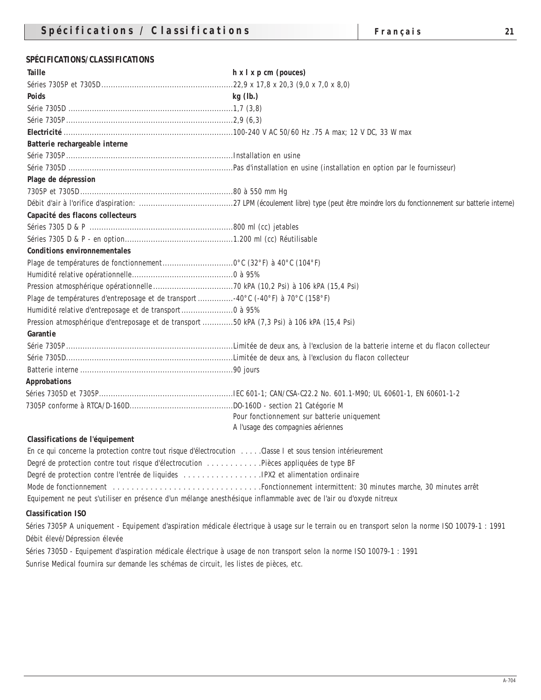# **SPÉCIFICATIONS/CLASSIFICATIONS**

| <b>Taille</b>                                                                                                    | $h \times l \times p$ cm (pouces)                                                                                                                |
|------------------------------------------------------------------------------------------------------------------|--------------------------------------------------------------------------------------------------------------------------------------------------|
|                                                                                                                  |                                                                                                                                                  |
| <b>Poids</b>                                                                                                     | kg(h.)                                                                                                                                           |
|                                                                                                                  |                                                                                                                                                  |
|                                                                                                                  |                                                                                                                                                  |
|                                                                                                                  |                                                                                                                                                  |
| Batterie rechargeable interne                                                                                    |                                                                                                                                                  |
|                                                                                                                  |                                                                                                                                                  |
|                                                                                                                  |                                                                                                                                                  |
| Plage de dépression                                                                                              |                                                                                                                                                  |
|                                                                                                                  |                                                                                                                                                  |
|                                                                                                                  |                                                                                                                                                  |
| Capacité des flacons collecteurs                                                                                 |                                                                                                                                                  |
|                                                                                                                  |                                                                                                                                                  |
|                                                                                                                  |                                                                                                                                                  |
| <b>Conditions environnementales</b>                                                                              |                                                                                                                                                  |
|                                                                                                                  |                                                                                                                                                  |
|                                                                                                                  |                                                                                                                                                  |
|                                                                                                                  |                                                                                                                                                  |
| Plage de températures d'entreposage et de transport 40°C (-40°F) à 70°C (158°F)                                  |                                                                                                                                                  |
| Humidité relative d'entreposage et de transport 0 à 95%                                                          |                                                                                                                                                  |
| Pression atmosphérique d'entreposage et de transport 50 kPA (7,3 Psi) à 106 kPA (15,4 Psi)                       |                                                                                                                                                  |
| Garantie                                                                                                         |                                                                                                                                                  |
|                                                                                                                  |                                                                                                                                                  |
|                                                                                                                  |                                                                                                                                                  |
|                                                                                                                  |                                                                                                                                                  |
| <b>Approbations</b>                                                                                              |                                                                                                                                                  |
|                                                                                                                  |                                                                                                                                                  |
|                                                                                                                  |                                                                                                                                                  |
|                                                                                                                  | Pour fonctionnement sur batterie uniquement                                                                                                      |
|                                                                                                                  | A l'usage des compagnies aériennes                                                                                                               |
| Classifications de l'équipement                                                                                  |                                                                                                                                                  |
| En ce qui concerne la protection contre tout risque d'électrocution Classe I et sous tension intérieurement      |                                                                                                                                                  |
| Degré de protection contre tout risque d'électrocution Pièces appliquées de type BF                              |                                                                                                                                                  |
|                                                                                                                  |                                                                                                                                                  |
|                                                                                                                  |                                                                                                                                                  |
| Equipement ne peut s'utiliser en présence d'un mélange anesthésique inflammable avec de l'air ou d'oxyde nitreux |                                                                                                                                                  |
| <b>Classification ISO</b>                                                                                        |                                                                                                                                                  |
|                                                                                                                  | Séries 7305P A uniquement - Equipement d'aspiration médicale électrique à usage sur le terrain ou en transport selon la norme ISO 10079-1 : 1991 |

Débit élevé/Dépression élevée

Séries 7305D - Equipement d'aspiration médicale électrique à usage de non transport selon la norme ISO 10079-1 : 1991 Sunrise Medical fournira sur demande les schémas de circuit, les listes de pièces, etc.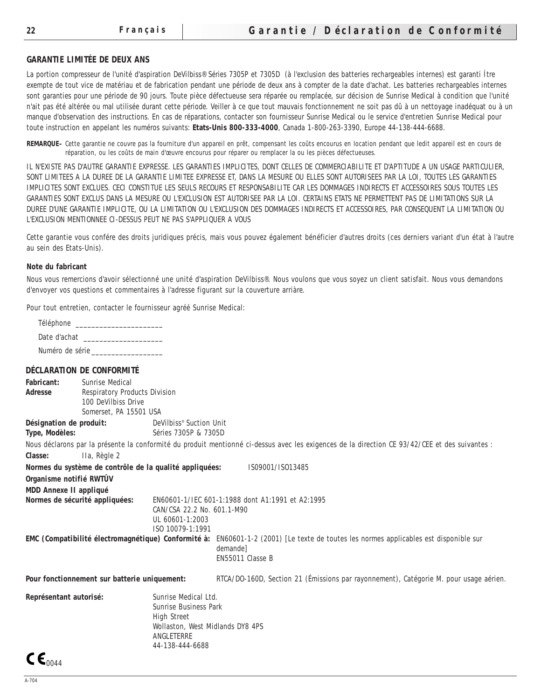#### **GARANTIE LIMITÉE DE DEUX ANS**

La portion compresseur de l'unité d'aspiration DeVilbiss® Séries 7305P et 7305D (à l'exclusion des batteries rechargeables internes) est garanti Ítre exempte de tout vice de matériau et de fabrication pendant une période de deux ans à compter de la date d'achat. Les batteries rechargeables internes sont garanties pour une période de 90 jours. Toute pièce défectueuse sera réparée ou remplacée, sur décision de Sunrise Medical à condition que l'unité n'ait pas été altérée ou mal utilisée durant cette période. Veiller à ce que tout mauvais fonctionnement ne soit pas dû à un nettoyage inadéquat ou à un manque d'observation des instructions. En cas de réparations, contacter son fournisseur Sunrise Medical ou le service d'entretien Sunrise Medical pour toute instruction en appelant les numéros suivants: **Etats-Unis 800-333-4000**, Canada 1-800-263-3390, Europe 44-138-444-6688.

**REMARQUE–** Cette garantie ne couvre pas la fourniture d'un appareil en prêt, compensant les coûts encourus en location pendant que ledit appareil est en cours de réparation, ou les coûts de main d'œuvre encourus pour réparer ou remplacer la ou les pièces défectueuses.

IL N'EXISTE PAS D'AUTRE GARANTIE EXPRESSE. LES GARANTIES IMPLICITES, DONT CELLES DE COMMERCIABILITE ET D'APTITUDE A UN USAGE PARTICULIER, SONT LIMITEES A LA DUREE DE LA GARANTIE LIMITEE EXPRESSE ET, DANS LA MESURE OU ELLES SONT AUTORISEES PAR LA LOI, TOUTES LES GARANTIES IMPLICITES SONT EXCLUES. CECI CONSTITUE LES SEULS RECOURS ET RESPONSABILITE CAR LES DOMMAGES INDIRECTS ET ACCESSOIRES SOUS TOUTES LES GARANTIES SONT EXCLUS DANS LA MESURE OU L'EXCLUSION EST AUTORISEE PAR LA LOI. CERTAINS ETATS NE PERMETTENT PAS DE LIMITATIONS SUR LA DUREE D'UNE GARANTIE IMPLICITE, OU LA LIMITATION OU L'EXCLUSION DES DOMMAGES INDIRECTS ET ACCESSOIRES, PAR CONSEQUENT LA LIMITATION OU L'EXCLUSION MENTIONNEE CI-DESSUS PEUT NE PAS S'APPLIQUER A VOUS

Cette garantie vous confére des droits juridiques précis, mais vous pouvez également bénéficier d'autres droits (ces derniers variant d'un état à l'autre au sein des Etats-Unis).

#### **Note du fabricant**

Nous vous remercions d'avoir sélectionné une unité d'aspiration DeVilbiss®. Nous voulons que vous soyez un client satisfait. Nous vous demandons d'envoyer vos questions et commentaires à l'adresse figurant sur la couverture arriàre.

Pour tout entretien, contacter le fournisseur agréé Sunrise Medical:

| Téléphone       |
|-----------------|
| Date d'achat    |
| Numéro de série |

#### **DÉCLARATION DE CONFORMITÉ**

| <b>Fabricant:</b>                                      | <b>Sunrise Medical</b>                                  |                                     |                                                                                                                                                  |
|--------------------------------------------------------|---------------------------------------------------------|-------------------------------------|--------------------------------------------------------------------------------------------------------------------------------------------------|
| <b>Respiratory Products Division</b><br><b>Adresse</b> |                                                         |                                     |                                                                                                                                                  |
|                                                        | 100 DeVilbiss Drive                                     |                                     |                                                                                                                                                  |
|                                                        | Somerset. PA 15501 USA                                  |                                     |                                                                                                                                                  |
| Désignation de produit:                                |                                                         | DeVilbiss <sup>®</sup> Suction Unit |                                                                                                                                                  |
| <b>Type, Modèles:</b>                                  |                                                         | Séries 7305P & 7305D                |                                                                                                                                                  |
|                                                        |                                                         |                                     | Nous déclarons par la présente la conformité du produit mentionné ci-dessus avec les exigences de la direction CE 93/42/CEE et des suivantes :   |
| <b>Classe:</b>                                         | IIa, Règle 2                                            |                                     |                                                                                                                                                  |
|                                                        | Normes du système de contrôle de la qualité appliquées: |                                     | IS09001/IS013485                                                                                                                                 |
| Organisme notifié RWTÛV                                |                                                         |                                     |                                                                                                                                                  |
| <b>MDD Annexe II appliqué</b>                          |                                                         |                                     |                                                                                                                                                  |
|                                                        | Normes de sécurité appliquées:                          |                                     | EN60601-1/IEC 601-1:1988 dont A1:1991 et A2:1995                                                                                                 |
|                                                        |                                                         | CAN/CSA 22.2 No. 601.1-M90          |                                                                                                                                                  |
|                                                        |                                                         | UL 60601-1:2003                     |                                                                                                                                                  |
|                                                        |                                                         | ISO 10079-1:1991                    |                                                                                                                                                  |
|                                                        |                                                         |                                     | EMC (Compatibilité électromagnétique) Conformité à: EN60601-1-2 (2001) [Le texte de toutes les normes applicables est disponible sur<br>demande] |
|                                                        |                                                         |                                     | EN55011 Classe B                                                                                                                                 |
|                                                        | Pour fonctionnement sur batterie uniquement:            |                                     | RTCA/DO-160D, Section 21 (Émissions par rayonnement), Catégorie M. pour usage aérien.                                                            |
| Représentant autorisé:                                 |                                                         | Sunrise Medical Ltd.                |                                                                                                                                                  |
|                                                        |                                                         | <b>Sunrise Business Park</b>        |                                                                                                                                                  |
|                                                        |                                                         | <b>High Street</b>                  |                                                                                                                                                  |
|                                                        |                                                         | Wollaston, West Midlands DY8 4PS    |                                                                                                                                                  |
|                                                        |                                                         | <b>ANGLETERRE</b>                   |                                                                                                                                                  |
|                                                        |                                                         | 44-138-444-6688                     |                                                                                                                                                  |
| $\mathsf{CC}_{0044}$                                   |                                                         |                                     |                                                                                                                                                  |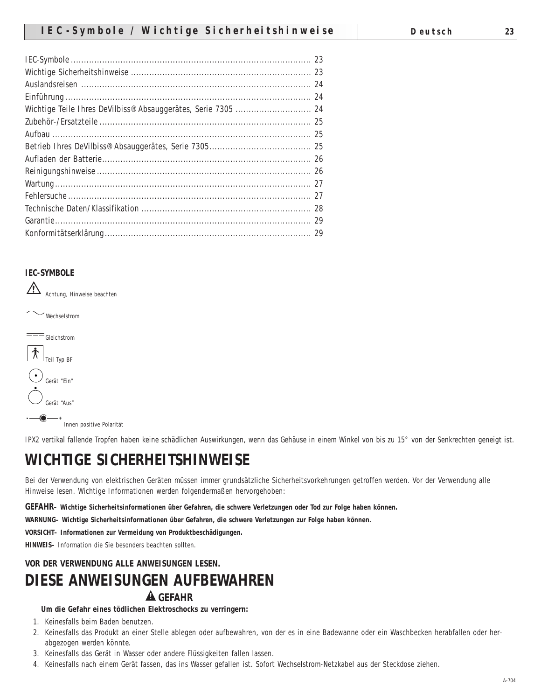#### **IEC-SYMBOLE**



IPX2 vertikal fallende Tropfen haben keine schädlichen Auswirkungen, wenn das Gehäuse in einem Winkel von bis zu 15° von der Senkrechten geneigt ist.

# **WICHTIGE SICHERHEITSHINWEISE**

Bei der Verwendung von elektrischen Geräten müssen immer grundsätzliche Sicherheitsvorkehrungen getroffen werden. Vor der Verwendung alle Hinweise lesen. Wichtige Informationen werden folgendermaßen hervorgehoben:

**GEFAHR– Wichtige Sicherheitsinformationen über Gefahren, die schwere Verletzungen oder Tod zur Folge haben können.**

**WARNUNG– Wichtige Sicherheitsinformationen über Gefahren, die schwere Verletzungen zur Folge haben können.**

**VORSICHT– Informationen zur Vermeidung von Produktbeschädigungen.**

**HINWEIS–** Information die Sie besonders beachten sollten.

# **VOR DER VERWENDUNG ALLE ANWEISUNGEN LESEN.**

# **DIESE ANWEISUNGEN AUFBEWAHREN**

# **GEFAHR**

**Um die Gefahr eines tödlichen Elektroschocks zu verringern:**

- 1. Keinesfalls beim Baden benutzen.
- 2. Keinesfalls das Produkt an einer Stelle ablegen oder aufbewahren, von der es in eine Badewanne oder ein Waschbecken herabfallen oder herabgezogen werden könnte.
- 3. Keinesfalls das Gerät in Wasser oder andere Flüssigkeiten fallen lassen.
- 4. Keinesfalls nach einem Gerät fassen, das ins Wasser gefallen ist. Sofort Wechselstrom-Netzkabel aus der Steckdose ziehen.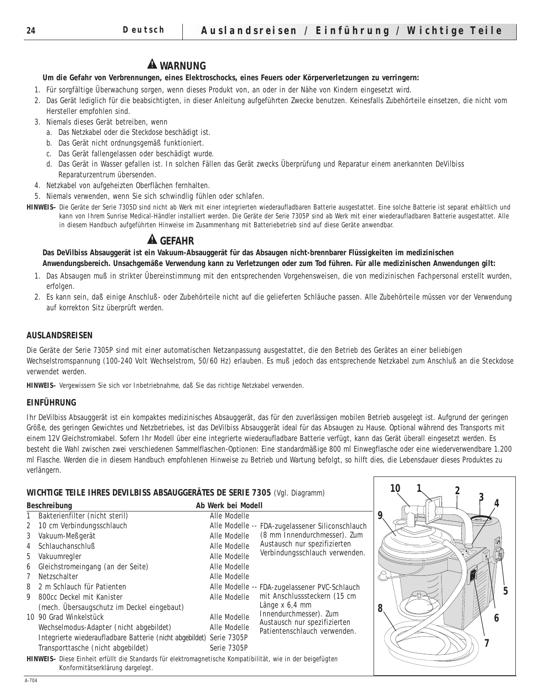# **WARNUNG**

#### **Um die Gefahr von Verbrennungen, eines Elektroschocks, eines Feuers oder Körperverletzungen zu verringern:**

- 1. Für sorgfältige Überwachung sorgen, wenn dieses Produkt von, an oder in der Nähe von Kindern eingesetzt wird.
- 2. Das Gerät lediglich für die beabsichtigten, in dieser Anleitung aufgeführten Zwecke benutzen. Keinesfalls Zubehörteile einsetzen, die nicht vom Hersteller empfohlen sind.
- 3. Niemals dieses Gerät betreiben, wenn
	- a. Das Netzkabel oder die Steckdose beschädigt ist.
	- b. Das Gerät nicht ordnungsgemäß funktioniert.
	- c. Das Gerät fallengelassen oder beschädigt wurde.
	- d. Das Gerät in Wasser gefallen ist. In solchen Fällen das Gerät zwecks Überprüfung und Reparatur einem anerkannten DeVilbiss Reparaturzentrum übersenden.
- 4. Netzkabel von aufgeheizten Oberflächen fernhalten.
- 5. Niemals verwenden, wenn Sie sich schwindlig fühlen oder schlafen.
- **HINWEIS–** Die Geräte der Serie 7305D sind nicht ab Werk mit einer integrierten wiederaufladbaren Batterie ausgestattet. Eine solche Batterie ist separat erhältlich und kann von Ihrem Sunrise Medical-Händler installiert werden. Die Geräte der Serie 7305P sind ab Werk mit einer wiederaufladbaren Batterie ausgestattet. Alle in diesem Handbuch aufgeführten Hinweise im Zusammenhang mit Batteriebetrieb sind auf diese Geräte anwendbar.

# **GEFAHR**

**Das DeVilbiss Absauggerät ist ein Vakuum-Absauggerät für das Absaugen nicht-brennbarer Flüssigkeiten im medizinischen Anwendungsbereich. Unsachgemäße Verwendung kann zu Verletzungen oder zum Tod führen. Für alle medizinischen Anwendungen gilt:** 

- 1. Das Absaugen muß in strikter Übereinstimmung mit den entsprechenden Vorgehensweisen, die von medizinischen Fachpersonal erstellt wurden, erfolgen.
- 2. Es kann sein, daß einige Anschluß- oder Zubehörteile nicht auf die gelieferten Schläuche passen. Alle Zubehörteile müssen vor der Verwendung auf korrekton Sitz überprüft werden.

#### **AUSLANDSREISEN**

Die Geräte der Serie 7305P sind mit einer automatischen Netzanpassung ausgestattet, die den Betrieb des Gerätes an einer beliebigen Wechselstromspannung (100-240 Volt Wechselstrom, 50/60 Hz) erlauben. Es muß jedoch das entsprechende Netzkabel zum Anschluß an die Steckdose verwendet werden.

**HINWEIS–** Vergewissern Sie sich vor Inbetriebnahme, daß Sie das richtige Netzkabel verwenden.

#### **EINFÜHRUNG**

Ihr DeVilbiss Absauggerät ist ein kompaktes medizinisches Absauggerät, das für den zuverlässigen mobilen Betrieb ausgelegt ist. Aufgrund der geringen Größe, des geringen Gewichtes und Netzbetriebes, ist das DeVilbiss Absauggerät ideal für das Absaugen zu Hause. Optional während des Transports mit einem 12V Gleichstromkabel. Sofern Ihr Modell über eine integrierte wiederaufladbare Batterie verfügt, kann das Gerät überall eingesetzt werden. Es besteht die Wahl zwischen zwei verschiedenen Sammelflaschen-Optionen: Eine standardmäßige 800 ml Einwegflasche oder eine wiederverwendbare 1.200 ml Flasche. Werden die in diesem Handbuch empfohlenen Hinweise zu Betrieb und Wartung befolgt, so hilft dies, die Lebensdauer dieses Produktes zu verlängern.

#### **WICHTIGE TEILE IHRES DEVILBISS ABSAUGGERÄTES DE SERIE 7305** (Vgl. Diagramm)

|                | <b>Beschreibung</b>                                                                                                                                    | Ab Werk bei Modell |                                                              |
|----------------|--------------------------------------------------------------------------------------------------------------------------------------------------------|--------------------|--------------------------------------------------------------|
|                | Bakterienfilter (nicht steril)                                                                                                                         | Alle Modelle       |                                                              |
| $\mathbf{2}^-$ | 10 cm Verbindungsschlauch                                                                                                                              |                    | Alle Modelle -- FDA-zugelassener Siliconschlauch             |
| 3              | Vakuum-Meßgerät                                                                                                                                        | Alle Modelle       | (8 mm Innendurchmesser). Zum                                 |
| 4              | <b>Schlauchanschluß</b>                                                                                                                                | Alle Modelle       | Austausch nur spezifizierten                                 |
| 5              | Vakuumregler                                                                                                                                           | Alle Modelle       | Verbindungsschlauch verwenden.                               |
| 6              | Gleichstromeingang (an der Seite)                                                                                                                      | Alle Modelle       |                                                              |
| 7              | Netzschalter                                                                                                                                           | Alle Modelle       |                                                              |
| 8              | 2 m Schlauch für Patienten                                                                                                                             |                    | Alle Modelle -- FDA-zugelassener PVC-Schlauch                |
| 9              | 800cc Deckel mit Kanister                                                                                                                              | Alle Modelle       | mit Anschlusssteckern (15 cm                                 |
|                | (mech. Übersaugschutz im Deckel eingebaut)                                                                                                             |                    | Länge x 6,4 mm                                               |
|                | 10 90 Grad Winkelstück                                                                                                                                 | Alle Modelle       | Innendurchmesser). Zum                                       |
|                | Wechselmodus-Adapter (nicht abgebildet)                                                                                                                | Alle Modelle       | Austausch nur spezifizierten<br>Patientenschlauch verwenden. |
|                | Integrierte wiederaufladbare Batterie (nicht abgebildet) Serie 7305P                                                                                   |                    |                                                              |
|                | Transporttasche (nicht abgebildet)                                                                                                                     | Serie 7305P        |                                                              |
|                | <b>HINWEIS</b> - Diese Einheit erfüllt die Standards für elektromagnetische Kompatibilität, wie in der beigefügten<br>Konformitätserklärung dargelegt. |                    |                                                              |

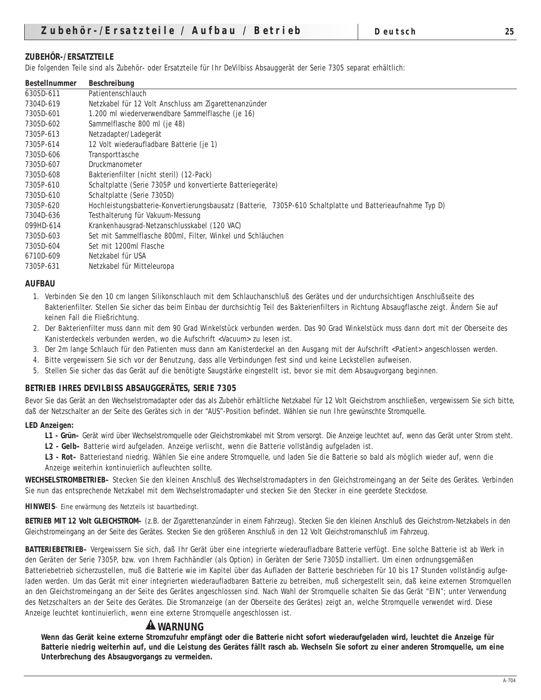#### **ZUBEHÖR-/ERSATZTEILE**

Die folgenden Teile sind als Zubehör- oder Ersatzteile für Ihr DeVilbiss Absauggerät der Serie 7305 separat erhältlich:

| <b>Bestellnummer</b> | <b>Beschreibung</b>                                                                                       |
|----------------------|-----------------------------------------------------------------------------------------------------------|
| 6305D-611            | Patientenschlauch                                                                                         |
| 7304D-619            | Netzkabel für 12 Volt Anschluss am Zigarettenanzünder                                                     |
| 7305D-601            | 1.200 ml wiederverwendbare Sammelflasche (je 16)                                                          |
| 7305D-602            | Sammelflasche 800 ml (je 48)                                                                              |
| 7305P-613            | Netzadapter/Ladegerät                                                                                     |
| 7305P-614            | 12 Volt wiederaufladbare Batterie (je 1)                                                                  |
| 7305D-606            | Transporttasche                                                                                           |
| 7305D-607            | Druckmanometer                                                                                            |
| 7305D-608            | Bakterienfilter (nicht steril) (12-Pack)                                                                  |
| 7305P-610            | Schaltplatte (Serie 7305P und konvertierte Batteriegeräte)                                                |
| 7305D-610            | Schaltplatte (Serie 7305D)                                                                                |
| 7305P-620            | Hochleistungsbatterie-Konvertierungsbausatz (Batterie, 7305P-610 Schaltplatte und Batterieaufnahme Typ D) |
| 7304D-636            | Testhalterung für Vakuum-Messung                                                                          |
| 099HD-614            | Krankenhausgrad-Netzanschlusskabel (120 VAC)                                                              |
| 7305D-603            | Set mit Sammelflasche 800ml, Filter, Winkel und Schläuchen                                                |
| 7305D-604            | Set mit 1200ml Flasche                                                                                    |
| 6710D-609            | Netzkabel für USA                                                                                         |
| 7305P-631            | Netzkabel für Mitteleuropa                                                                                |

#### **AUFBAU**

- 1. Verbinden Sie den 10 cm langen Silikonschlauch mit dem Schlauchanschluß des Gerätes und der undurchsichtigen Anschlußseite des Bakterienfilter. Stellen Sie sicher das beim Einbau der durchsichtig Teil des Bakterienfilters in Richtung Absaugflasche zeigt. Ändern Sie auf keinen Fall die Fließrichtung.
- 2. Der Bakterienfilter muss dann mit dem 90 Grad Winkelstück verbunden werden. Das 90 Grad Winkelstück muss dann dort mit der Oberseite des Kanisterdeckels verbunden werden, wo die Aufschrift <Vacuum> zu lesen ist.
- 3. Der 2m lange Schlauch für den Patienten muss dann am Kanisterdeckel an den Ausgang mit der Aufschrift <Patient> angeschlossen werden.
- 4. Bitte vergewissern Sie sich vor der Benutzung, dass alle Verbindungen fest sind und keine Leckstellen aufweisen.
- 5. Stellen Sie sicher das das Gerät auf die benötigte Saugstärke eingestellt ist, bevor sie mit dem Absaugvorgang beginnen.

#### **BETRIEB IHRES DEVILBISS ABSAUGGERÄTES, SERIE 7305**

Bevor Sie das Gerät an den Wechselstromadapter oder das als Zubehör erhältliche Netzkabel für 12 Volt Gleichstrom anschließen, vergewissern Sie sich bitte, daß der Netzschalter an der Seite des Gerätes sich in der "AUS"-Position befindet. Wählen sie nun Ihre gewünschte Stromquelle.

#### **LED Anzeigen:**

- **L1 Grün–** Gerät wird über Wechselstromquelle oder Gleichstromkabel mit Strom versorgt. Die Anzeige leuchtet auf, wenn das Gerät unter Strom steht.
- **L2 Gelb–** Batterie wird aufgeladen. Anzeige verlischt, wenn die Batterie vollständig aufgeladen ist.
- **L3 Rot–** Batteriestand niedrig. Wählen Sie eine andere Stromquelle, und laden Sie die Batterie so bald als möglich wieder auf, wenn die Anzeige weiterhin kontinuierlich aufleuchten sollte.

**WECHSELSTROMBETRIEB–** Stecken Sie den kleinen Anschluß des Wechselstromadapters in den Gleichstromeingang an der Seite des Gerätes. Verbinden Sie nun das entsprechende Netzkabel mit dem Wechselstromadapter und stecken Sie den Stecker in eine geerdete Steckdose.

**HINWEIS**– Eine erwärmung des Netzteils ist bauartbedingt.

**BETRIEB MIT 12 Volt GLEICHSTROM–** (z.B. der Zigarettenanzünder in einem Fahrzeug). Stecken Sie den kleinen Anschluß des Gleichstrom-Netzkabels in den Gleichstromeingang an der Seite des Gerätes. Stecken Sie den größeren Anschluß in den 12 Volt Gleichstromanschluß im Fahrzeug.

**BATTERIEBETRIEB–** Vergewissern Sie sich, daß Ihr Gerät über eine integrierte wiederaufladbare Batterie verfügt. Eine solche Batterie ist ab Werk in den Geräten der Serie 7305P, bzw. von Ihrem Fachhändler (als Option) in Geräten der Serie 7305D installiert. Um einen ordnungsgemäßen Batteriebetrieb sicherzustellen, muß die Batterie wie im Kapitel über das Aufladen der Batterie beschrieben für 10 bis 17 Stunden vollständig aufgeladen werden. Um das Gerät mit einer integrierten wiederaufladbaren Batterie zu betreiben, muß sichergestellt sein, daß keine externen Stromquellen an den Gleichstromeingang an der Seite des Gerätes angeschlossen sind. Nach Wahl der Stromquelle schalten Sie das Gerät "EIN"; unter Verwendung des Netzschalters an der Seite des Gerätes. Die Stromanzeige (an der Oberseite des Gerätes) zeigt an, welche Stromquelle verwendet wird. Diese Anzeige leuchtet kontinuierlich, wenn eine externe Stromquelle angeschlossen ist.

# **WARNUNG**

**Wenn das Gerät keine externe Stromzufuhr empfängt oder die Batterie nicht sofort wiederaufgeladen wird, leuchtet die Anzeige für Batterie niedrig weiterhin auf, und die Leistung des Gerätes fällt rasch ab. Wechseln Sie sofort zu einer anderen Stromquelle, um eine Unterbrechung des Absaugvorgangs zu vermeiden.**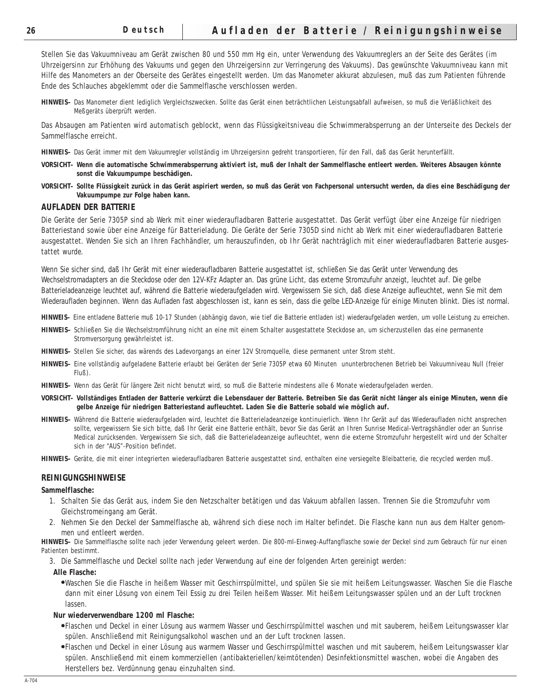Stellen Sie das Vakuumniveau am Gerät zwischen 80 und 550 mm Hg ein, unter Verwendung des Vakuumreglers an der Seite des Gerätes (im Uhrzeigersinn zur Erhöhung des Vakuums und gegen den Uhrzeigersinn zur Verringerung des Vakuums). Das gewünschte Vakuumniveau kann mit Hilfe des Manometers an der Oberseite des Gerätes eingestellt werden. Um das Manometer akkurat abzulesen, muß das zum Patienten führende Ende des Schlauches abgeklemmt oder die Sammelflasche verschlossen werden.

**HINWEIS–** Das Manometer dient lediglich Vergleichszwecken. Sollte das Gerät einen beträchtlichen Leistungsabfall aufweisen, so muß die Verläßlichkeit des Meßgeräts überprüft werden.

Das Absaugen am Patienten wird automatisch geblockt, wenn das Flüssigkeitsniveau die Schwimmerabsperrung an der Unterseite des Deckels der Sammelflasche erreicht.

**HINWEIS–** Das Gerät immer mit dem Vakuumregler vollständig im Uhrzeigersinn gedreht transportieren, für den Fall, daß das Gerät herunterfällt.

- **VORSICHT– Wenn die automatische Schwimmerabsperrung aktiviert ist, muß der Inhalt der Sammelflasche entleert werden. Weiteres Absaugen könnte sonst die Vakuumpumpe beschädigen.**
- **VORSICHT– Sollte Flüssigkeit zurück in das Gerät aspiriert werden, so muß das Gerät von Fachpersonal untersucht werden, da dies eine Beschädigung der Vakuumpumpe zur Folge haben kann.**

#### **AUFLADEN DER BATTERIE**

Die Geräte der Serie 7305P sind ab Werk mit einer wiederaufladbaren Batterie ausgestattet. Das Gerät verfügt über eine Anzeige für niedrigen Batteriestand sowie über eine Anzeige für Batterieladung. Die Geräte der Serie 7305D sind nicht ab Werk mit einer wiederaufladbaren Batterie ausgestattet. Wenden Sie sich an Ihren Fachhändler, um herauszufinden, ob Ihr Gerät nachträglich mit einer wiederaufladbaren Batterie ausgestattet wurde.

Wenn Sie sicher sind, daß Ihr Gerät mit einer wiederaufladbaren Batterie ausgestattet ist, schließen Sie das Gerät unter Verwendung des Wechselstromadapters an die Steckdose oder den 12V-KFz Adapter an. Das grüne Licht, das externe Stromzufuhr anzeigt, leuchtet auf. Die gelbe Batterieladeanzeige leuchtet auf, während die Batterie wiederaufgeladen wird. Vergewissern Sie sich, daß diese Anzeige aufleuchtet, wenn Sie mit dem Wiederaufladen beginnen. Wenn das Aufladen fast abgeschlossen ist, kann es sein, dass die gelbe LED-Anzeige für einige Minuten blinkt. Dies ist normal.

**HINWEIS–** Eine entladene Batterie muß 10-17 Stunden (abhängig davon, wie tief die Batterie entladen ist) wiederaufgeladen werden, um volle Leistung zu erreichen.

- **HINWEIS–** Schließen Sie die Wechselstromführung nicht an eine mit einem Schalter ausgestattete Steckdose an, um sicherzustellen das eine permanente Stromversorgung gewährleistet ist.
- **HINWEIS–** Stellen Sie sicher, das wärends des Ladevorgangs an einer 12V Stromquelle, diese permanent unter Strom steht.
- **HINWEIS–** Eine vollständig aufgeladene Batterie erlaubt bei Geräten der Serie 7305P etwa 60 Minuten ununterbrochenen Betrieb bei Vakuumniveau Null (freier Fluß).
- **HINWEIS–** Wenn das Gerät für längere Zeit nicht benutzt wird, so muß die Batterie mindestens alle 6 Monate wiederaufgeladen werden.
- **VORSICHT– Vollständiges Entladen der Batterie verkürzt die Lebensdauer der Batterie. Betreiben Sie das Gerät nicht länger als einige Minuten, wenn die gelbe Anzeige für niedrigen Batteriestand aufleuchtet. Laden Sie die Batterie sobald wie möglich auf.**
- **HINWEIS–** Während die Batterie wiederaufgeladen wird, leuchtet die Batterieladeanzeige kontinuierlich. Wenn Ihr Gerät auf das Wiederaufladen nicht ansprechen sollte, vergewissern Sie sich bitte, daß Ihr Gerät eine Batterie enthält, bevor Sie das Gerät an Ihren Sunrise Medical-Vertragshändler oder an Sunrise Medical zurücksenden. Vergewissern Sie sich, daß die Batterieladeanzeige aufleuchtet, wenn die externe Stromzufuhr hergestellt wird und der Schalter sich in der "AUS"-Position befindet.
- **HINWEIS–** Geräte, die mit einer integrierten wiederaufladbaren Batterie ausgestattet sind, enthalten eine versiegelte Bleibatterie, die recycled werden muß.

#### **REINIGUNGSHINWEISE**

#### **Sammelflasche:**

- 1. Schalten Sie das Gerät aus, indem Sie den Netzschalter betätigen und das Vakuum abfallen lassen. Trennen Sie die Stromzufuhr vom Gleichstromeingang am Gerät.
- 2. Nehmen Sie den Deckel der Sammelflasche ab, während sich diese noch im Halter befindet. Die Flasche kann nun aus dem Halter genommen und entleert werden.

**HINWEIS–** Die Sammelflasche sollte nach jeder Verwendung geleert werden. Die 800-ml-Einweg-Auffangflasche sowie der Deckel sind zum Gebrauch für nur einen Patienten bestimmt.

3. Die Sammelflasche und Deckel sollte nach jeder Verwendung auf eine der folgenden Arten gereinigt werden:

#### **Alle Flasche:**

●Waschen Sie die Flasche in heißem Wasser mit Geschirrspülmittel, und spülen Sie sie mit heißem Leitungswasser. Waschen Sie die Flasche dann mit einer Lösung von einem Teil Essig zu drei Teilen heißem Wasser. Mit heißem Leitungswasser spülen und an der Luft trocknen lassen.

#### **Nur wiederverwendbare 1200 ml Flasche:**

- ●Flaschen und Deckel in einer Lösung aus warmem Wasser und Geschirrspülmittel waschen und mit sauberem, heißem Leitungswasser klar spülen. Anschließend mit Reinigungsalkohol waschen und an der Luft trocknen lassen.
- ●Flaschen und Deckel in einer Lösung aus warmem Wasser und Geschirrspülmittel waschen und mit sauberem, heißem Leitungswasser klar spülen. Anschließend mit einem kommerziellen (antibakteriellen/keimtötenden) Desinfektionsmittel waschen, wobei die Angaben des Herstellers bez. Verdünnung genau einzuhalten sind.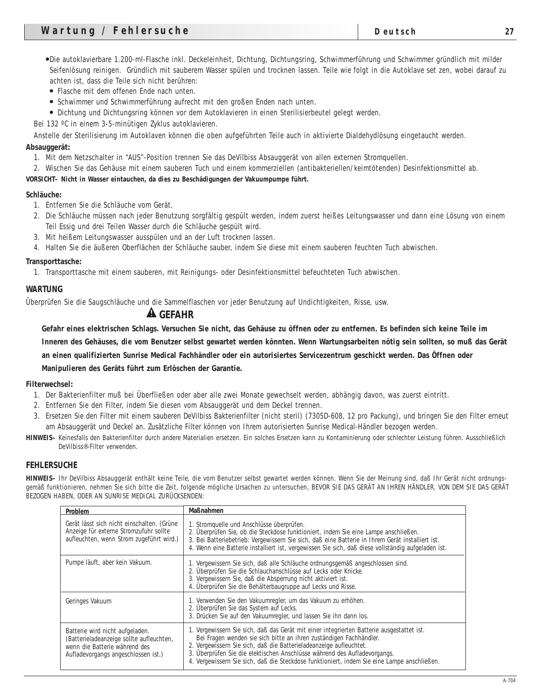- Flasche mit dem offenen Ende nach unten.
- Schwimmer und Schwimmerführung aufrecht mit den großen Enden nach unten.
- Dichtung und Dichtungsring können vor dem Autoklavieren in einen Sterilisierbeutel gelegt werden.
- Bei 132 ºC in einem 3-5-minütigen Zyklus autoklavieren.

Anstelle der Sterilisierung im Autoklaven können die oben aufgeführten Teile auch in aktivierte Dialdehydlösung eingetaucht werden. **Absauggerät:**

- 1. Mit dem Netzschalter in "AUS"-Position trennen Sie das DeVilbiss Absauggerät von allen externen Stromquellen.
- 2. Wischen Sie das Gehäuse mit einem sauberen Tuch und einem kommerziellen (antibakteriellen/keimtötenden) Desinfektionsmittel ab.

#### **VORSICHT– Nicht in Wasser eintauchen, da dies zu Beschädigungen der Vakuumpumpe führt.**

#### **Schläuche:**

- 1. Entfernen Sie die Schläuche vom Gerät.
- 2. Die Schläuche müssen nach jeder Benutzung sorgfältig gespült werden, indem zuerst heißes Leitungswasser und dann eine Lösung von einem Teil Essig und drei Teilen Wasser durch die Schläuche gespült wird.
- 3. Mit heißem Leitungswasser ausspülen und an der Luft trocknen lassen.
- 4. Halten Sie die äußeren Oberflächen der Schläuche sauber, indem Sie diese mit einem sauberen feuchten Tuch abwischen.

#### **Transporttasche:**

1. Transporttasche mit einem sauberen, mit Reinigungs- oder Desinfektionsmittel befeuchteten Tuch abwischen.

#### **WARTUNG**

Überprüfen Sie die Saugschläuche und die Sammelflaschen vor jeder Benutzung auf Undichtigkeiten, Risse, usw.

#### **GEFAHR**

**Gefahr eines elektrischen Schlags. Versuchen Sie nicht, das Gehäuse zu öffnen oder zu entfernen. Es befinden sich keine Teile im Inneren des Gehäuses, die vom Benutzer selbst gewartet werden könnten. Wenn Wartungsarbeiten nötig sein sollten, so muß das Gerät an einen qualifizierten Sunrise Medical Fachhändler oder ein autorisiertes Servicezentrum geschickt werden. Das Öffnen oder Manipulieren des Geräts führt zum Erlöschen der Garantie.**

#### **Filterwechsel:**

- 1. Der Bakterienfilter muß bei Überfließen oder aber alle zwei Monate gewechselt werden, abhängig davon, was zuerst eintritt.
- 2. Entfernen Sie den Filter, indem Sie diesen vom Absauggerät und dem Deckel trennen.
- 3. Ersetzen Sie den Filter mit einem sauberen DeVilbiss Bakterienfilter (nicht steril) (7305D-608, 12 pro Packung), und bringen Sie den Filter erneut am Absauggerät und Deckel an. Zusätzliche Filter können von Ihrem autorisierten Sunrise Medical-Händler bezogen werden.
- **HINWEIS–** Keinesfalls den Bakterienfilter durch andere Materialien ersetzen. Ein solches Ersetzen kann zu Kontaminierung oder schlechter Leistung führen. Ausschließlich DeVilbiss®-Filter verwenden.

#### **FEHLERSUCHE**

**HINWEIS–** Ihr DeVilbiss Absauggerät enthält keine Teile, die vom Benutzer selbst gewartet werden können. Wenn Sie der Meinung sind, daß Ihr Gerät nicht ordnungsgemäß funktionieren, nehmen Sie sich bitte die Zeit, folgende mögliche Ursachen zu untersuchen, BEVOR SIE DAS GERÄT AN IHREN HÄNDLER, VON DEM SIE DAS GERÄT BEZOGEN HABEN, ODER AN SUNRISE MEDICAL ZURÜCKSENDEN:

| <b>Problem</b>                                                                                                                                      | <b>Maßnahmen</b>                                                                                                                                                                                                                                                                                                                                                                                                  |
|-----------------------------------------------------------------------------------------------------------------------------------------------------|-------------------------------------------------------------------------------------------------------------------------------------------------------------------------------------------------------------------------------------------------------------------------------------------------------------------------------------------------------------------------------------------------------------------|
| Gerät lässt sich nicht einschalten. (Grüne<br>Anzeige für externe Stromzufuhr sollte<br>aufleuchten, wenn Strom zugeführt wird.)                    | 1. Stromquelle und Anschlüsse überprüfen.<br>2. Überprüfen Sie, ob die Steckdose funktioniert, indem Sie eine Lampe anschließen.<br>3. Bei Batteriebetrieb: Vergewissern Sie sich, daß eine Batterie in Ihrem Gerät installiert ist.<br>4. Wenn eine Batterie installiert ist, vergewissen Sie sich, daß diese vollständig aufgeladen ist.                                                                        |
| Pumpe läuft, aber kein Vakuum.                                                                                                                      | 1. Vergewissern Sie sich, daß alle Schläuche ordnungsgemäß angeschlossen sind.<br>2. Überprüfen Sie die Schlauchanschlüsse auf Lecks oder Knicke.<br>3. Vergewissern Sie, daß die Absperrung nicht aktiviert ist.<br>4. Überprüfen Sie die Behälterbaugruppe auf Lecks und Risse.                                                                                                                                 |
| Geringes Vakuum                                                                                                                                     | 1. Verwenden Sie den Vakuumregler, um das Vakuum zu erhöhen.<br>2. Überprüfen Sie das System auf Lecks.<br>3. Drücken Sie auf den Vakuumregler, und lassen Sie ihn dann los.                                                                                                                                                                                                                                      |
| Batterie wird nicht aufgeladen.<br>(Batterieladeanzeige sollte aufleuchten,<br>wenn die Batterie während des<br>Aufladevorgangs angeschlossen ist.) | 1. Vergewissern Sie sich, daß das Gerät mit einer integrierten Batterie ausgestattet ist.<br>Bei Fragen wenden sie sich bitte an ihren zuständigen Fachhändler.<br>2. Vergewissern Sie sich, daß die Batterieladeanzeige aufleuchtet.<br>3. Überprüfen Sie die elektischen Anschlüsse während des Aufladevorgangs.<br>4. Vergewissern Sie sich, daß die Steckdose funktioniert, indem Sie eine Lampe anschließen. |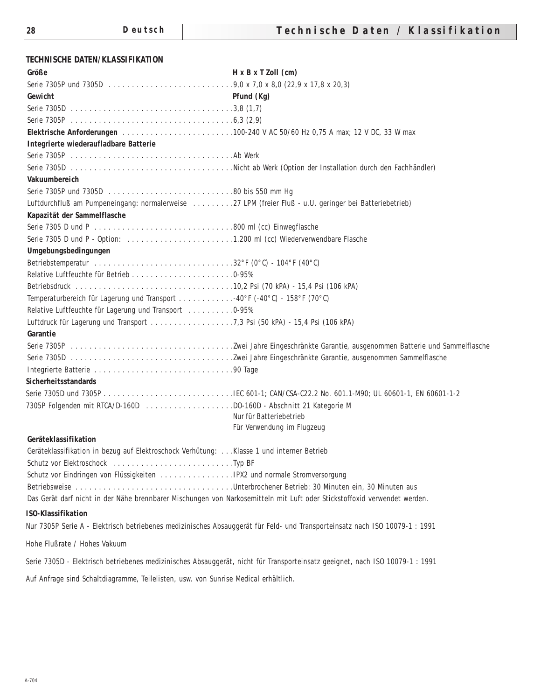## **TECHNISCHE DATEN/KLASSIFIKATION**

| Größe                                                                                                                    | $H \times B \times T$ Zoll $(cm)$                                                                                           |
|--------------------------------------------------------------------------------------------------------------------------|-----------------------------------------------------------------------------------------------------------------------------|
|                                                                                                                          |                                                                                                                             |
| Gewicht                                                                                                                  | Pfund (Kg)                                                                                                                  |
|                                                                                                                          |                                                                                                                             |
|                                                                                                                          |                                                                                                                             |
|                                                                                                                          |                                                                                                                             |
| Integrierte wiederaufladbare Batterie                                                                                    |                                                                                                                             |
|                                                                                                                          |                                                                                                                             |
|                                                                                                                          |                                                                                                                             |
| Vakuumbereich                                                                                                            |                                                                                                                             |
|                                                                                                                          |                                                                                                                             |
| Luftdurchfluß am Pumpeneingang: normalerweise 27 LPM (freier Fluß - u.U. geringer bei Batteriebetrieb)                   |                                                                                                                             |
| Kapazität der Sammelflasche                                                                                              |                                                                                                                             |
|                                                                                                                          |                                                                                                                             |
|                                                                                                                          |                                                                                                                             |
| Umgebungsbedingungen                                                                                                     |                                                                                                                             |
|                                                                                                                          |                                                                                                                             |
|                                                                                                                          |                                                                                                                             |
|                                                                                                                          |                                                                                                                             |
| Temperaturbereich für Lagerung und Transport 40°F (-40°C) - 158°F (70°C)                                                 |                                                                                                                             |
| Relative Luftfeuchte für Lagerung und Transport  0-95%                                                                   |                                                                                                                             |
|                                                                                                                          |                                                                                                                             |
| <b>Garantie</b>                                                                                                          |                                                                                                                             |
|                                                                                                                          |                                                                                                                             |
|                                                                                                                          |                                                                                                                             |
|                                                                                                                          |                                                                                                                             |
| <b>Sicherheitsstandards</b>                                                                                              |                                                                                                                             |
|                                                                                                                          |                                                                                                                             |
| 7305P Folgenden mit RTCA/D-160D DO-160D - Abschnitt 21 Kategorie M                                                       | Nur für Batteriebetrieb                                                                                                     |
|                                                                                                                          | Für Verwendung im Flugzeug                                                                                                  |
| Geräteklassifikation                                                                                                     |                                                                                                                             |
| Geräteklassifikation in bezug auf Elektroschock Verhütung:  Klasse 1 und interner Betrieb                                |                                                                                                                             |
|                                                                                                                          |                                                                                                                             |
|                                                                                                                          |                                                                                                                             |
| Betriebsweise Unterbrochener Betrieb: 30 Minuten ein, 30 Minuten aus                                                     |                                                                                                                             |
| Das Gerät darf nicht in der Nähe brennbarer Mischungen von Narkosemitteln mit Luft oder Stickstoffoxid verwendet werden. |                                                                                                                             |
| <b>ISO-Klassifikation</b>                                                                                                |                                                                                                                             |
|                                                                                                                          | Nur 7305P Serie A - Elektrisch betriebenes medizinisches Absauggerät für Feld- und Transporteinsatz nach ISO 10079-1: 1991  |
|                                                                                                                          |                                                                                                                             |
| Hohe Flußrate / Hohes Vakuum                                                                                             |                                                                                                                             |
|                                                                                                                          | Serie 7305D - Elektrisch betriebenes medizinisches Absauggerät, nicht für Transporteinsatz geeignet, nach ISO 10079-1: 1991 |
| Auf Antrogo sind Scholtdiogramme Teilelisten, usw. von Sunrise Medical erhältlich                                        |                                                                                                                             |

Auf Anfrage sind Schaltdiagramme, Teilelisten, usw. von Sunrise Medical erhältlich.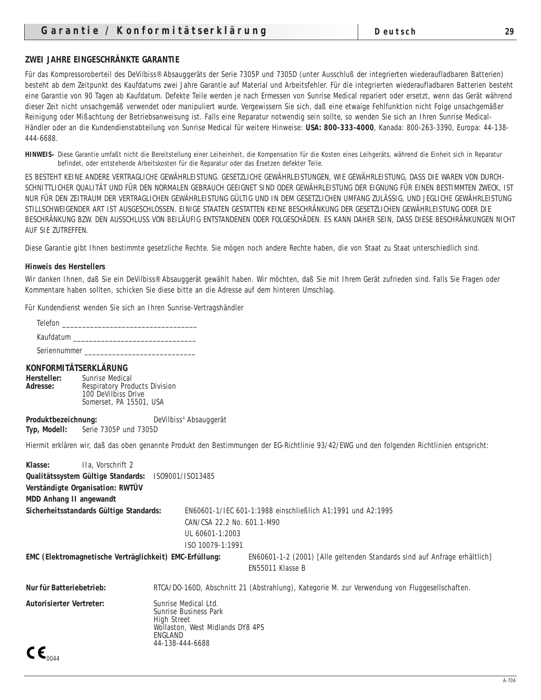#### **ZWEI JAHRE EINGESCHRÄNKTE GARANTIE**

Für das Kompressoroberteil des DeVilbiss® Absauggeräts der Serie 7305P und 7305D (unter Ausschluß der integrierten wiederaufladbaren Batterien) besteht ab dem Zeitpunkt des Kaufdatums zwei Jahre Garantie auf Material und Arbeitsfehler. Für die integrierten wiederaufladbaren Batterien besteht eine Garantie von 90 Tagen ab Kaufdatum. Defekte Teile werden je nach Ermessen von Sunrise Medical repariert oder ersetzt, wenn das Gerät während dieser Zeit nicht unsachgemäß verwendet oder manipuliert wurde. Vergewissern Sie sich, daß eine etwaige Fehlfunktion nicht Folge unsachgemäßer Reinigung oder Mißachtung der Betriebsanweisung ist. Falls eine Reparatur notwendig sein sollte, so wenden Sie sich an Ihren Sunrise Medical-Händler oder an die Kundendienstabteilung von Sunrise Medical für weitere Hinweise: **USA: 800-333-4000**, Kanada: 800-263-3390, Europa: 44-138- 444-6688.

**HINWEIS–** Diese Garantie umfaßt nicht die Bereitstellung einer Leiheinheit, die Kompensation für die Kosten eines Leihgeräts, während die Einheit sich in Reparatur befindet, oder entstehende Arbeitskosten für die Reparatur oder das Ersetzen defekter Teile.

ES BESTEHT KEINE ANDERE VERTRAGLICHE GEWÄHRLEISTUNG. GESETZLICHE GEWÄHRLEISTUNGEN, WIE GEWÄHRLEISTUNG, DASS DIE WAREN VON DURCH-SCHNITTLICHER QUALITÄT UND FÜR DEN NORMALEN GEBRAUCH GEEIGNET SIND ODER GEWÄHRLEISTUNG DER EIGNUNG FÜR EINEN BESTIMMTEN ZWECK, IST NUR FÜR DEN ZEITRAUM DER VERTRAGLICHEN GEWÄHRLEISTUNG GÜLTIG UND IN DEM GESETZLICHEN UMFANG ZULÄSSIG, UND JEGLICHE GEWÄHRLEISTUNG STILLSCHWEIGENDER ART IST AUSGESCHLOSSEN. EINIGE STAATEN GESTATTEN KEINE BESCHRÄNKUNG DER GESETZLICHEN GEWÄHRLEISTUNG ODER DIE BESCHRÄNKUNG BZW. DEN AUSSCHLUSS VON BEILÄUFIG ENTSTANDENEN ODER FOLGESCHÄDEN. ES KANN DAHER SEIN, DASS DIESE BESCHRÄNKUNGEN NICHT AUF SIE ZUTREFFEN.

Diese Garantie gibt Ihnen bestimmte gesetzliche Rechte. Sie mögen noch andere Rechte haben, die von Staat zu Staat unterschiedlich sind.

#### **Hinweis des Herstellers**

Wir danken Ihnen, daß Sie ein DeVilbiss® Absauggerät gewählt haben. Wir möchten, daß Sie mit Ihrem Gerät zufrieden sind. Falls Sie Fragen oder Kommentare haben sollten, schicken Sie diese bitte an die Adresse auf dem hinteren Umschlag.

Für Kundendienst wenden Sie sich an Ihren Sunrise-Vertragshändler

| Telefon      |  |
|--------------|--|
| Kaufdatum    |  |
| Seriennummer |  |

#### **KONFORMITÄTSERKLÄRUNG**

**Hersteller:** Sunrise Medical Adresse: Respiratory Products Division 100 DeVilbiss Drive Somerset, PA 15501, USA

**Produktbezeichnung:** DeVilbiss<sup>®</sup> Absauggerät **Typ, Modell:** Serie 7305P und 7305D

Hiermit erklären wir, daß das oben genannte Produkt den Bestimmungen der EG-Richtlinie 93/42/EWG und den folgenden Richtlinien entspricht:

| <b>Klasse:</b><br>IIa. Vorschrift 2                     |                                                                                            |                                  |                                                                                               |
|---------------------------------------------------------|--------------------------------------------------------------------------------------------|----------------------------------|-----------------------------------------------------------------------------------------------|
| Qualitätssystem Gültige Standards: IS09001/IS013485     |                                                                                            |                                  |                                                                                               |
| Verständigte Organisation: RWTÜV                        |                                                                                            |                                  |                                                                                               |
| <b>MDD Anhang II angewandt</b>                          |                                                                                            |                                  |                                                                                               |
| Sicherheitsstandards Gültige Standards:                 |                                                                                            |                                  | EN60601-1/IEC 601-1:1988 einschließlich A1:1991 und A2:1995                                   |
|                                                         |                                                                                            | CAN/CSA 22.2 No. 601.1-M90       |                                                                                               |
|                                                         |                                                                                            | UL 60601-1:2003                  |                                                                                               |
|                                                         |                                                                                            | ISO 10079-1:1991                 |                                                                                               |
| EMC (Elektromagnetische Verträglichkeit) EMC-Erfüllung: |                                                                                            |                                  | EN60601-1-2 (2001) [Alle geltenden Standards sind auf Anfrage erhältlich]<br>EN55011 Klasse B |
| Nur für Batteriebetrieb:                                |                                                                                            |                                  | RTCA/DO-160D, Abschnitt 21 (Abstrahlung), Kategorie M. zur Verwendung von Fluggesellschaften. |
| <b>Autorisierter Vertreter:</b><br>C C                  | Sunrise Medical Ltd.<br>Sunrise Business Park<br>High Street<br>ENGLAND<br>44-138-444-6688 | Wollaston, West Midlands DY8 4PS |                                                                                               |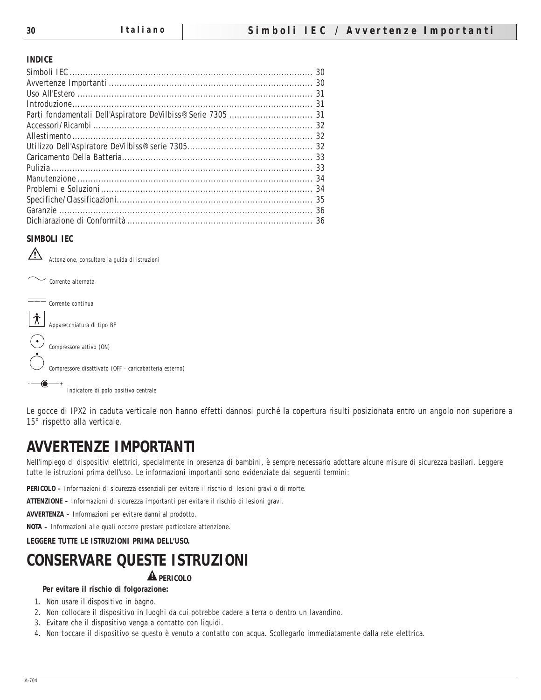#### **INDICE**

## **SIMBOLI IEC**

 $\sqrt{2}$ Attenzione, consultare la guida di istruzioni



Le gocce di IPX2 in caduta verticale non hanno effetti dannosi purché la copertura risulti posizionata entro un angolo non superiore a 15° rispetto alla verticale.

# **AVVERTENZE IMPORTANTI**

Nell'impiego di dispositivi elettrici, specialmente in presenza di bambini, è sempre necessario adottare alcune misure di sicurezza basilari. Leggere tutte le istruzioni prima dell'uso. Le informazioni importanti sono evidenziate dai seguenti termini:

**PERICOLO –** Informazioni di sicurezza essenziali per evitare il rischio di lesioni gravi o di morte.

**ATTENZIONE –** Informazioni di sicurezza importanti per evitare il rischio di lesioni gravi.

**AVVERTENZA –** Informazioni per evitare danni al prodotto.

**NOTA –** Informazioni alle quali occorre prestare particolare attenzione.

**LEGGERE TUTTE LE ISTRUZIONI PRIMA DELL'USO.**

# **CONSERVARE QUESTE ISTRUZIONI**

## **A** PERICOLO

#### **Per evitare il rischio di folgorazione:**

- 1. Non usare il dispositivo in bagno.
- 2. Non collocare il dispositivo in luoghi da cui potrebbe cadere a terra o dentro un lavandino.
- 3. Evitare che il dispositivo venga a contatto con liquidi.
- 4. Non toccare il dispositivo se questo è venuto a contatto con acqua. Scollegarlo immediatamente dalla rete elettrica.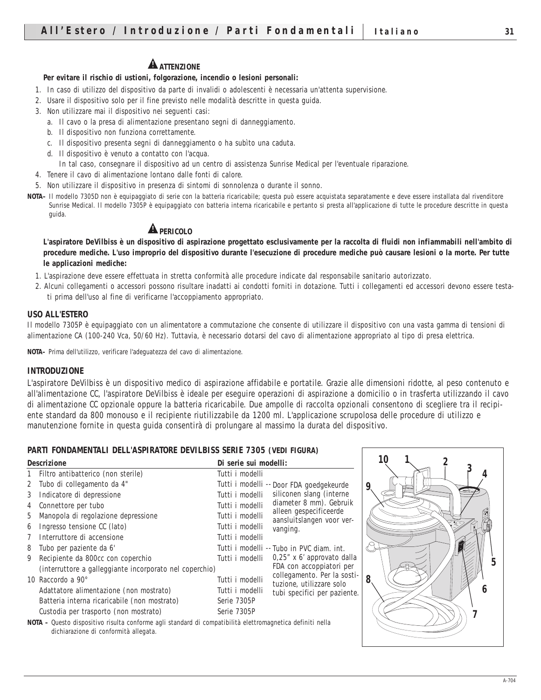#### **Per evitare il rischio di ustioni, folgorazione, incendio o lesioni personali:**

- 1. In caso di utilizzo del dispositivo da parte di invalidi o adolescenti è necessaria un'attenta supervisione.
- 2. Usare il dispositivo solo per il fine previsto nelle modalità descritte in questa guida.
- 3. Non utilizzare mai il dispositivo nei seguenti casi:
	- a. Il cavo o la presa di alimentazione presentano segni di danneggiamento.
	- b. Il dispositivo non funziona correttamente.
	- c. Il dispositivo presenta segni di danneggiamento o ha subìto una caduta.
	- d. Il dispositivo è venuto a contatto con l'acqua.
		- In tal caso, consegnare il dispositivo ad un centro di assistenza Sunrise Medical per l'eventuale riparazione.
- 4. Tenere il cavo di alimentazione lontano dalle fonti di calore.
- 5. Non utilizzare il dispositivo in presenza di sintomi di sonnolenza o durante il sonno.
- **NOTA–** Il modello 7305D non è equipaggiato di serie con la batteria ricaricabile; questa può essere acquistata separatamente e deve essere installata dal rivenditore Sunrise Medical. Il modello 7305P è equipaggiato con batteria interna ricaricabile e pertanto si presta all'applicazione di tutte le procedure descritte in questa guida.

# **A PERICOLO**

**L'aspiratore DeVilbiss è un dispositivo di aspirazione progettato esclusivamente per la raccolta di fluidi non infiammabili nell'ambito di procedure mediche. L'uso improprio del dispositivo durante l'esecuzione di procedure mediche può causare lesioni o la morte. Per tutte le applicazioni mediche:**

- 1. L'aspirazione deve essere effettuata in stretta conformità alle procedure indicate dal responsabile sanitario autorizzato.
- 2. Alcuni collegamenti o accessori possono risultare inadatti ai condotti forniti in dotazione. Tutti i collegamenti ed accessori devono essere testati prima dell'uso al fine di verificarne l'accoppiamento appropriato.

#### **USO ALL'ESTERO**

Il modello 7305P è equipaggiato con un alimentatore a commutazione che consente di utilizzare il dispositivo con una vasta gamma di tensioni di alimentazione CA (100-240 Vca, 50/60 Hz). Tuttavia, è necessario dotarsi del cavo di alimentazione appropriato al tipo di presa elettrica.

**NOTA–** Prima dell'utilizzo, verificare l'adeguatezza del cavo di alimentazione.

#### **INTRODUZIONE**

L'aspiratore DeVilbiss è un dispositivo medico di aspirazione affidabile e portatile. Grazie alle dimensioni ridotte, al peso contenuto e all'alimentazione CC, l'aspiratore DeVilbiss è ideale per eseguire operazioni di aspirazione a domicilio o in trasferta utilizzando il cavo di alimentazione CC opzionale oppure la batteria ricaricabile. Due ampolle di raccolta opzionali consentono di scegliere tra il recipiente standard da 800 monouso e il recipiente riutilizzabile da 1200 ml. L'applicazione scrupolosa delle procedure di utilizzo e manutenzione fornite in questa guida consentirà di prolungare al massimo la durata del dispositivo.

#### **PARTI FONDAMENTALI DELL'ASPIRATORE DEVILBISS SERIE 7305 (VEDI FIGURA)**

|              | <b>Descrizione</b>                                      | Di serie sui modelli: |                                                         |
|--------------|---------------------------------------------------------|-----------------------|---------------------------------------------------------|
| $\mathbf{1}$ | Filtro antibatterico (non sterile)                      | Tutti i modelli       |                                                         |
| $\mathbf{2}$ | Tubo di collegamento da 4"                              |                       | Tutti i modelli -- Door FDA goedgekeurde                |
| 3            | Indicatore di depressione                               | Tutti i modelli       | siliconen slang (interne                                |
| 4            | Connettore per tubo                                     | Tutti i modelli       | diameter 8 mm). Gebruik                                 |
| 5            | Manopola di regolazione depressione                     | Tutti i modelli       | alleen gespecificeerde<br>aansluitslangen voor ver-     |
| 6            | Ingresso tensione CC (lato)                             | Tutti i modelli       | vanging.                                                |
| 7            | Interruttore di accensione                              | Tutti i modelli       |                                                         |
| 8            | Tubo per paziente da 6'                                 |                       | Tutti i modelli -- Tubo in PVC diam. int.               |
| 9            | Recipiente da 800cc con coperchio                       | Tutti i modelli       | $0.25$ " x 6' approvato dalla                           |
|              | (interruttore a galleggiante incorporato nel coperchio) |                       | FDA con accoppiatori per                                |
|              | 10 Raccordo a $90^\circ$                                | Tutti i modelli       | collegamento. Per la sosti-<br>tuzione, utilizzare solo |
|              | Adattatore alimentazione (non mostrato)                 | Tutti i modelli       | tubi specifici per paziente.                            |
|              | Batteria interna ricaricabile <i>(non mostrato)</i>     | Serie 7305P           |                                                         |
|              | Custodia per trasporto <i>(non mostrato)</i>            | Serie 7305P           |                                                         |
|              |                                                         |                       |                                                         |

**NOTA –** Questo dispositivo risulta conforme agli standard di compatibilità elettromagnetica definiti nella dichiarazione di conformità allegata.

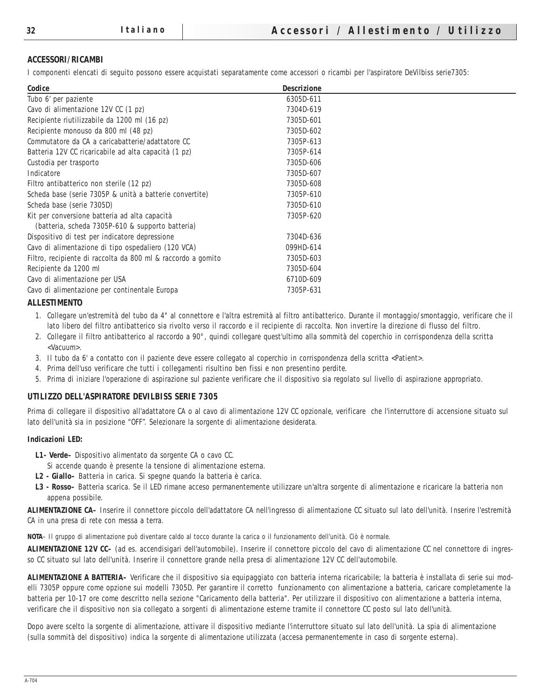#### **ACCESSORI/RICAMBI**

I componenti elencati di seguito possono essere acquistati separatamente come accessori o ricambi per l'aspiratore DeVilbiss serie7305:

| Codice                                                       | <b>Descrizione</b> |  |
|--------------------------------------------------------------|--------------------|--|
| Tubo 6' per paziente                                         | 6305D-611          |  |
| Cavo di alimentazione 12V CC (1 pz)                          | 7304D-619          |  |
| Recipiente riutilizzabile da 1200 ml (16 pz)                 | 7305D-601          |  |
| Recipiente monouso da 800 ml (48 pz)                         | 7305D-602          |  |
| Commutatore da CA a caricabatterie/adattatore CC             | 7305P-613          |  |
| Batteria 12V CC ricaricabile ad alta capacità (1 pz)         | 7305P-614          |  |
| Custodia per trasporto                                       | 7305D-606          |  |
| Indicatore                                                   | 7305D-607          |  |
| Filtro antibatterico non sterile (12 pz)                     | 7305D-608          |  |
| Scheda base (serie 7305P & unità a batterie convertite)      | 7305P-610          |  |
| Scheda base (serie 7305D)                                    | 7305D-610          |  |
| Kit per conversione batteria ad alta capacità                | 7305P-620          |  |
| (batteria, scheda 7305P-610 & supporto batteria)             |                    |  |
| Dispositivo di test per indicatore depressione               | 7304D-636          |  |
| Cavo di alimentazione di tipo ospedaliero (120 VCA)          | 099HD-614          |  |
| Filtro, recipiente di raccolta da 800 ml & raccordo a gomito | 7305D-603          |  |
| Recipiente da 1200 ml                                        | 7305D-604          |  |
| Cavo di alimentazione per USA                                | 6710D-609          |  |
| Cavo di alimentazione per continentale Europa                | 7305P-631          |  |
| A T T ECTRA HEALTO                                           |                    |  |

#### **ALLESTIMENTO**

- 1. Collegare un'estremità del tubo da 4" al connettore e l'altra estremità al filtro antibatterico. Durante il montaggio/smontaggio, verificare che il lato libero del filtro antibatterico sia rivolto verso il raccordo e il recipiente di raccolta. Non invertire la direzione di flusso del filtro.
- 2. Collegare il filtro antibatterico al raccordo a 90°, quindi collegare quest'ultimo alla sommità del coperchio in corrispondenza della scritta <Vacuum>.
- 3. Il tubo da 6' a contatto con il paziente deve essere collegato al coperchio in corrispondenza della scritta <Patient>.
- 4. Prima dell'uso verificare che tutti i collegamenti risultino ben fissi e non presentino perdite.
- 5. Prima di iniziare l'operazione di aspirazione sul paziente verificare che il dispositivo sia regolato sul livello di aspirazione appropriato.

#### **UTILIZZO DELL'ASPIRATORE DEVILBISS SERIE 7305**

Prima di collegare il dispositivo all'adattatore CA o al cavo di alimentazione 12V CC opzionale, verificare che l'interruttore di accensione situato sul lato dell'unità sia in posizione "OFF". Selezionare la sorgente di alimentazione desiderata.

#### **Indicazioni LED:**

- **L1- Verde–** Dispositivo alimentato da sorgente CA o cavo CC.
- Si accende quando è presente la tensione di alimentazione esterna.
- **L2 Giallo–** Batteria in carica. Si spegne quando la batteria è carica.
- **L3 Rosso–** Batteria scarica. Se il LED rimane acceso permanentemente utilizzare un'altra sorgente di alimentazione e ricaricare la batteria non appena possibile.

**ALIMENTAZIONE CA–** Inserire il connettore piccolo dell'adattatore CA nell'ingresso di alimentazione CC situato sul lato dell'unità. Inserire l'estremità CA in una presa di rete con messa a terra.

**NOTA**– Il gruppo di alimentazione può diventare caldo al tocco durante la carica o il funzionamento dell'unità. Ciò è normale.

**ALIMENTAZIONE 12V CC–** (ad es. accendisigari dell'automobile). Inserire il connettore piccolo del cavo di alimentazione CC nel connettore di ingresso CC situato sul lato dell'unità. Inserire il connettore grande nella presa di alimentazione 12V CC dell'automobile.

**ALIMENTAZIONE A BATTERIA–** Verificare che il dispositivo sia equipaggiato con batteria interna ricaricabile; la batteria è installata di serie sui modelli 7305P oppure come opzione sui modelli 7305D. Per garantire il corretto funzionamento con alimentazione a batteria, caricare completamente la batteria per 10-17 ore come descritto nella sezione "Caricamento della batteria". Per utilizzare il dispositivo con alimentazione a batteria interna, verificare che il dispositivo non sia collegato a sorgenti di alimentazione esterne tramite il connettore CC posto sul lato dell'unità.

Dopo avere scelto la sorgente di alimentazione, attivare il dispositivo mediante l'interruttore situato sul lato dell'unità. La spia di alimentazione (sulla sommità del dispositivo) indica la sorgente di alimentazione utilizzata (accesa permanentemente in caso di sorgente esterna).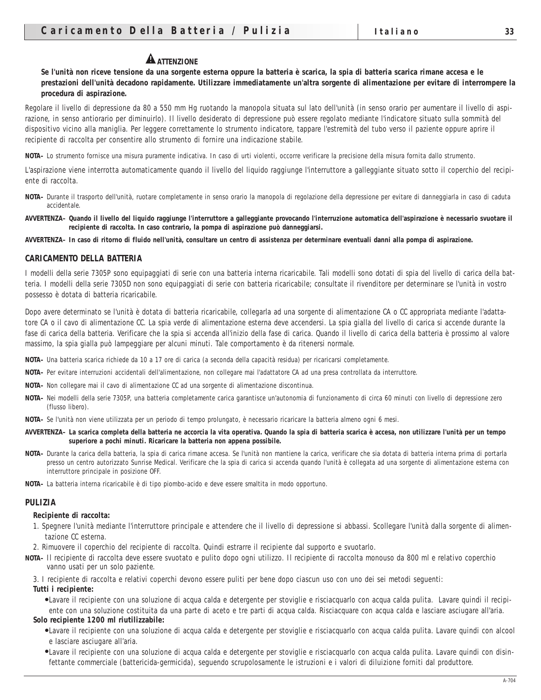# **A** ATTENZIONE

**Se l'unità non riceve tensione da una sorgente esterna oppure la batteria è scarica, la spia di batteria scarica rimane accesa e le prestazioni dell'unità decadono rapidamente. Utilizzare immediatamente un'altra sorgente di alimentazione per evitare di interrompere la procedura di aspirazione.**

Regolare il livello di depressione da 80 a 550 mm Hg ruotando la manopola situata sul lato dell'unità (in senso orario per aumentare il livello di aspirazione, in senso antiorario per diminuirlo). Il livello desiderato di depressione può essere regolato mediante l'indicatore situato sulla sommità del dispositivo vicino alla maniglia. Per leggere correttamente lo strumento indicatore, tappare l'estremità del tubo verso il paziente oppure aprire il recipiente di raccolta per consentire allo strumento di fornire una indicazione stabile.

**NOTA–** Lo strumento fornisce una misura puramente indicativa. In caso di urti violenti, occorre verificare la precisione della misura fornita dallo strumento.

L'aspirazione viene interrotta automaticamente quando il livello del liquido raggiunge l'interruttore a galleggiante situato sotto il coperchio del recipiente di raccolta.

- **NOTA–** Durante il trasporto dell'unità, ruotare completamente in senso orario la manopola di regolazione della depressione per evitare di danneggiarla in caso di caduta accidentale.
- **AVVERTENZA– Quando il livello del liquido raggiunge l'interruttore a galleggiante provocando l'interruzione automatica dell'aspirazione è necessario svuotare il recipiente di raccolta. In caso contrario, la pompa di aspirazione può danneggiarsi.**

**AVVERTENZA– In caso di ritorno di fluido nell'unità, consultare un centro di assistenza per determinare eventuali danni alla pompa di aspirazione.**

#### **CARICAMENTO DELLA BATTERIA**

I modelli della serie 7305P sono equipaggiati di serie con una batteria interna ricaricabile. Tali modelli sono dotati di spia del livello di carica della batteria. I modelli della serie 7305D non sono equipaggiati di serie con batteria ricaricabile; consultate il rivenditore per determinare se l'unità in vostro possesso è dotata di batteria ricaricabile.

Dopo avere determinato se l'unità è dotata di batteria ricaricabile, collegarla ad una sorgente di alimentazione CA o CC appropriata mediante l'adattatore CA o il cavo di alimentazione CC. La spia verde di alimentazione esterna deve accendersi. La spia gialla del livello di carica si accende durante la fase di carica della batteria. Verificare che la spia si accenda all'inizio della fase di carica. Quando il livello di carica della batteria è prossimo al valore massimo, la spia gialla può lampeggiare per alcuni minuti. Tale comportamento è da ritenersi normale.

- **NOTA–** Una batteria scarica richiede da 10 a 17 ore di carica (a seconda della capacità residua) per ricaricarsi completamente.
- **NOTA–** Per evitare interruzioni accidentali dell'alimentazione, non collegare mai l'adattatore CA ad una presa controllata da interruttore.
- **NOTA–** Non collegare mai il cavo di alimentazione CC ad una sorgente di alimentazione discontinua.
- **NOTA–** Nei modelli della serie 7305P, una batteria completamente carica garantisce un'autonomia di funzionamento di circa 60 minuti con livello di depressione zero (flusso libero).
- **NOTA–** Se l'unità non viene utilizzata per un periodo di tempo prolungato, è necessario ricaricare la batteria almeno ogni 6 mesi.
- **AVVERTENZA– La scarica completa della batteria ne accorcia la vita operativa. Quando la spia di batteria scarica è accesa, non utilizzare l'unità per un tempo superiore a pochi minuti. Ricaricare la batteria non appena possibile.**
- **NOTA–** Durante la carica della batteria, la spia di carica rimane accesa. Se l'unità non mantiene la carica, verificare che sia dotata di batteria interna prima di portarla presso un centro autorizzato Sunrise Medical. Verificare che la spia di carica si accenda quando l'unità è collegata ad una sorgente di alimentazione esterna con interruttore principale in posizione OFF.
- **NOTA–** La batteria interna ricaricabile è di tipo piombo-acido e deve essere smaltita in modo opportuno.

#### **PULIZIA**

#### **Recipiente di raccolta:**

- 1. Spegnere l'unità mediante l'interruttore principale e attendere che il livello di depressione si abbassi. Scollegare l'unità dalla sorgente di alimentazione CC esterna.
- 2. Rimuovere il coperchio del recipiente di raccolta. Quindi estrarre il recipiente dal supporto e svuotarlo.
- **NOTA–** Il recipiente di raccolta deve essere svuotato e pulito dopo ogni utilizzo. Il recipiente di raccolta monouso da 800 ml e relativo coperchio vanno usati per un solo paziente.
	- 3. I recipiente di raccolta e relativi coperchi devono essere puliti per bene dopo ciascun uso con uno dei sei metodi seguenti:

**Tutti i recipiente:** 

●Lavare il recipiente con una soluzione di acqua calda e detergente per stoviglie e risciacquarlo con acqua calda pulita. Lavare quindi il recipiente con una soluzione costituita da una parte di aceto e tre parti di acqua calda. Risciacquare con acqua calda e lasciare asciugare all'aria.

#### **Solo recipiente 1200 ml riutilizzabile:**

- ●Lavare il recipiente con una soluzione di acqua calda e detergente per stoviglie e risciacquarlo con acqua calda pulita. Lavare quindi con alcool e lasciare asciugare all'aria.
- ●Lavare il recipiente con una soluzione di acqua calda e detergente per stoviglie e risciacquarlo con acqua calda pulita. Lavare quindi con disinfettante commerciale (battericida-germicida), seguendo scrupolosamente le istruzioni e i valori di diluizione forniti dal produttore.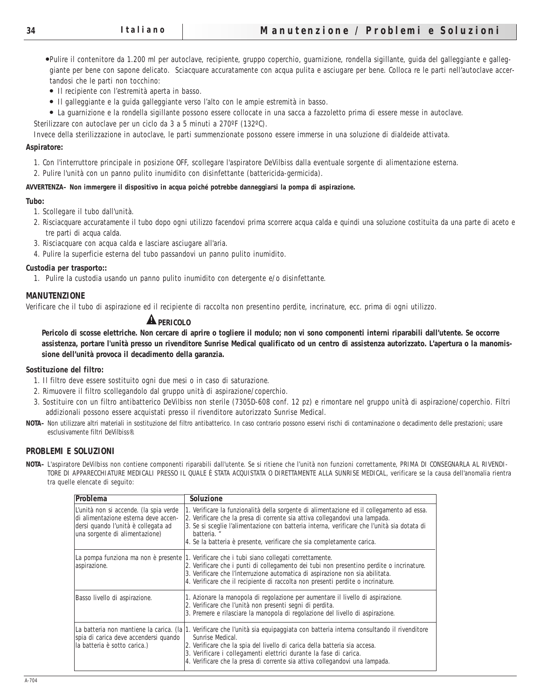●Pulire il contenitore da 1.200 ml per autoclave, recipiente, gruppo coperchio, guarnizione, rondella sigillante, guida del galleggiante e galleggiante per bene con sapone delicato. Sciacquare accuratamente con acqua pulita e asciugare per bene. Colloca re le parti nell'autoclave accertandosi che le parti non tocchino:

- Il recipiente con l'estremità aperta in basso.
- Il galleggiante e la guida galleggiante verso l'alto con le ampie estremità in basso.
- La guarnizione e la rondella sigillante possono essere collocate in una sacca a fazzoletto prima di essere messe in autoclave.
- Sterilizzare con autoclave per un ciclo da 3 a 5 minuti a 270ºF (132ºC).

Invece della sterilizzazione in autoclave, le parti summenzionate possono essere immerse in una soluzione di dialdeide attivata.

#### **Aspiratore:**

1. Con l'interruttore principale in posizione OFF, scollegare l'aspiratore DeVilbiss dalla eventuale sorgente di alimentazione esterna.

2. Pulire l'unità con un panno pulito inumidito con disinfettante (battericida-germicida).

#### **AVVERTENZA– Non immergere il dispositivo in acqua poiché potrebbe danneggiarsi la pompa di aspirazione.**

#### **Tubo:**

- 1. Scollegare il tubo dall'unità.
- 2. Risciacquare accuratamente il tubo dopo ogni utilizzo facendovi prima scorrere acqua calda e quindi una soluzione costituita da una parte di aceto e tre parti di acqua calda.
- 3. Risciacquare con acqua calda e lasciare asciugare all'aria.
- 4. Pulire la superficie esterna del tubo passandovi un panno pulito inumidito.

#### **Custodia per trasporto::**

1. Pulire la custodia usando un panno pulito inumidito con detergente e/o disinfettante.

#### **MANUTENZIONE**

Verificare che il tubo di aspirazione ed il recipiente di raccolta non presentino perdite, incrinature, ecc. prima di ogni utilizzo.

## **A** PERICOLO

**Pericolo di scosse elettriche. Non cercare di aprire o togliere il modulo; non vi sono componenti interni riparabili dall'utente. Se occorre assistenza, portare l'unità presso un rivenditore Sunrise Medical qualificato od un centro di assistenza autorizzato. L'apertura o la manomissione dell'unità provoca il decadimento della garanzia.** 

#### **Sostituzione del filtro:**

- 1. Il filtro deve essere sostituito ogni due mesi o in caso di saturazione.
- 2. Rimuovere il filtro scollegandolo dal gruppo unità di aspirazione/coperchio.
- 3. Sostituire con un filtro antibatterico DeVilbiss non sterile (7305D-608 conf. 12 pz) e rimontare nel gruppo unità di aspirazione/coperchio. Filtri addizionali possono essere acquistati presso il rivenditore autorizzato Sunrise Medical.
- **NOTA–** Non utilizzare altri materiali in sostituzione del filtro antibatterico. In caso contrario possono esservi rischi di contaminazione o decadimento delle prestazioni; usare esclusivamente filtri DeVilbiss®.

#### **PROBLEMI E SOLUZIONI**

**NOTA–** L'aspiratore DeVilbiss non contiene componenti riparabili dall'utente. Se si ritiene che l'unità non funzioni correttamente, PRIMA DI CONSEGNARLA AL RIVENDI-TORE DI APPARECCHIATURE MEDICALI PRESSO IL QUALE È STATA ACQUISTATA O DIRETTAMENTE ALLA SUNRISE MEDICAL, verificare se la causa dell'anomalia rientra tra quelle elencate di seguito:

| Problema                                                                                                                                                | <b>Soluzione</b>                                                                                                                                                                                                                                                                                                                                                 |
|---------------------------------------------------------------------------------------------------------------------------------------------------------|------------------------------------------------------------------------------------------------------------------------------------------------------------------------------------------------------------------------------------------------------------------------------------------------------------------------------------------------------------------|
| L'unità non si accende. (la spia verde<br>di alimentazione esterna deve accen-<br>dersi quando l'unità è collegata ad<br>una sorgente di alimentazione) | 1. Verificare la funzionalità della sorgente di alimentazione ed il collegamento ad essa.<br>2. Verificare che la presa di corrente sia attiva collegandovi una lampada.<br>3. Se si sceglie l'alimentazione con batteria interna, verificare che l'unità sia dotata di<br>batteria. "<br>4. Se la batteria è presente, verificare che sia completamente carica. |
| aspirazione.                                                                                                                                            | La pompa funziona ma non è presente 1. Verificare che i tubi siano collegati correttamente.<br>2. Verificare che i punti di collegamento dei tubi non presentino perdite o incrinature.<br>3. Verificare che l'interruzione automatica di aspirazione non sia abilitata.<br>4. Verificare che il recipiente di raccolta non presenti perdite o incrinature.      |
| Basso livello di aspirazione.                                                                                                                           | 1. Azionare la manopola di regolazione per aumentare il livello di aspirazione.<br>2. Verificare che l'unità non presenti segni di perdita.<br>3. Premere e rilasciare la manopola di regolazione del livello di aspirazione.                                                                                                                                    |
| La batteria non mantiene la carica. (la<br>spia di carica deve accendersi quando<br>la batteria è sotto carica.)                                        | 1. Verificare che l'unità sia equipaggiata con batteria interna consultando il rivenditore<br>Sunrise Medical.<br>2. Verificare che la spia del livello di carica della batteria sia accesa.<br>3. Verificare i collegamenti elettrici durante la fase di carica.<br>4. Verificare che la presa di corrente sia attiva collegandovi una lampada.                 |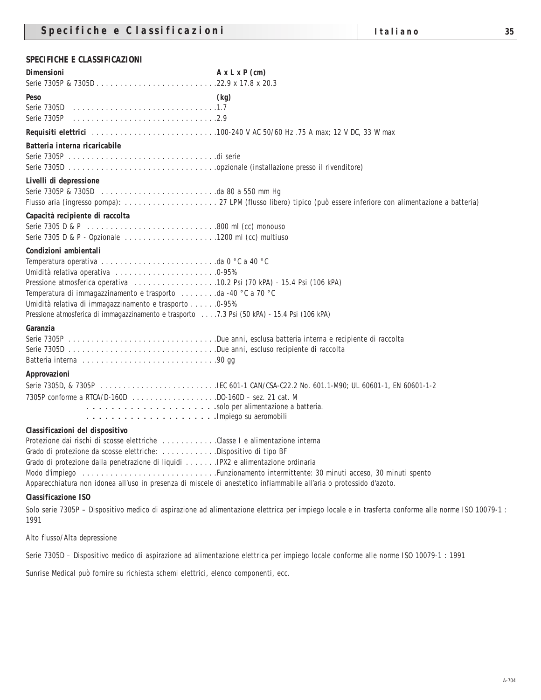## **SPECIFICHE E CLASSIFICAZIONI**

| Dimensioni                                                                                                                                                                                                                                                                                                                                                                                                                  | $A \times L \times P$ (cm) |
|-----------------------------------------------------------------------------------------------------------------------------------------------------------------------------------------------------------------------------------------------------------------------------------------------------------------------------------------------------------------------------------------------------------------------------|----------------------------|
| Peso<br>Serie 7305D                                                                                                                                                                                                                                                                                                                                                                                                         | (kg)                       |
|                                                                                                                                                                                                                                                                                                                                                                                                                             |                            |
| Batteria interna ricaricabile                                                                                                                                                                                                                                                                                                                                                                                               |                            |
| Livelli di depressione                                                                                                                                                                                                                                                                                                                                                                                                      |                            |
| Capacità recipiente di raccolta                                                                                                                                                                                                                                                                                                                                                                                             |                            |
| Condizioni ambientali<br>Umidità relativa operativa 0-95%<br>Temperatura di immagazzinamento e trasporto da -40 °C a 70 °C<br>Umidità relativa di immagazzinamento e trasporto 0-95%<br>Pressione atmosferica di immagazzinamento e trasporto 7.3 Psi (50 kPA) - 15.4 Psi (106 kPA)                                                                                                                                         |                            |
| Garanzia                                                                                                                                                                                                                                                                                                                                                                                                                    |                            |
| <b>Approvazioni</b>                                                                                                                                                                                                                                                                                                                                                                                                         |                            |
| Classificazioni del dispositivo<br>Protezione dai rischi di scosse elettriche Classe I e alimentazione interna<br>Grado di protezione da scosse elettriche: Dispositivo di tipo BF<br>Grado di protezione dalla penetrazione di liquidi IPX2 e alimentazione ordinaria<br>Apparecchiatura non idonea all'uso in presenza di miscele di anestetico infiammabile all'aria o protossido d'azoto.<br><b>Classificazione ISO</b> |                            |

Solo serie 7305P – Dispositivo medico di aspirazione ad alimentazione elettrica per impiego locale e in trasferta conforme alle norme ISO 10079-1 : 1991

Alto flusso/Alta depressione

Serie 7305D – Dispositivo medico di aspirazione ad alimentazione elettrica per impiego locale conforme alle norme ISO 10079-1 : 1991

Sunrise Medical può fornire su richiesta schemi elettrici, elenco componenti, ecc.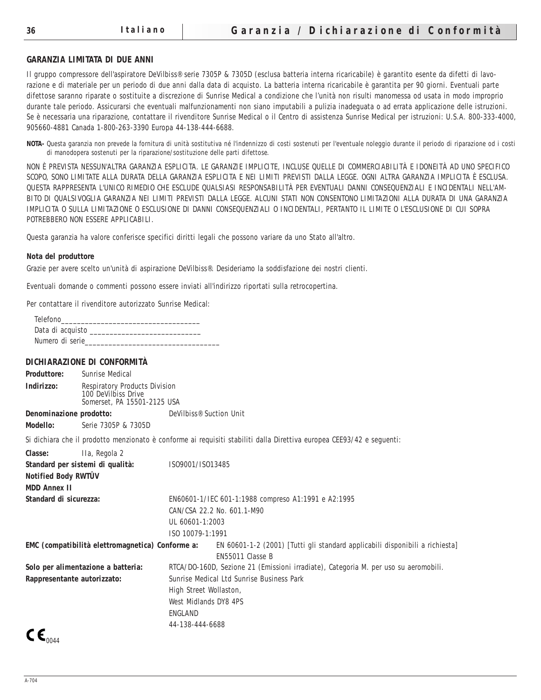#### **GARANZIA LIMITATA DI DUE ANNI**

Il gruppo compressore dell'aspiratore DeVilbiss® serie 7305P & 7305D (esclusa batteria interna ricaricabile) è garantito esente da difetti di lavorazione e di materiale per un periodo di due anni dalla data di acquisto. La batteria interna ricaricabile è garantita per 90 giorni. Eventuali parte difettose saranno riparate o sostituite a discrezione di Sunrise Medical a condizione che l'unità non risulti manomessa od usata in modo improprio durante tale periodo. Assicurarsi che eventuali malfunzionamenti non siano imputabili a pulizia inadeguata o ad errata applicazione delle istruzioni. Se è necessaria una riparazione, contattare il rivenditore Sunrise Medical o il Centro di assistenza Sunrise Medical per istruzioni: U.S.A. 800-333-4000, 905660-4881 Canada 1-800-263-3390 Europa 44-138-444-6688.

**NOTA-** Questa garanzia non prevede la fornitura di unità sostitutiva né l'indennizzo di costi sostenuti per l'eventuale noleggio durante il periodo di riparazione od i costi di manodopera sostenuti per la riparazione/sostituzione delle parti difettose.

NON È PREVISTA NESSUN'ALTRA GARANZIA ESPLICITA. LE GARANZIE IMPLICITE, INCLUSE QUELLE DI COMMERCIABILITÀ E IDONEITÀ AD UNO SPECIFICO SCOPO, SONO LIMITATE ALLA DURATA DELLA GARANZIA ESPLICITA E NEI LIMITI PREVISTI DALLA LEGGE. OGNI ALTRA GARANZIA IMPLICITA È ESCLUSA. QUESTA RAPPRESENTA L'UNICO RIMEDIO CHE ESCLUDE QUALSIASI RESPONSABILITÀ PER EVENTUALI DANNI CONSEQUENZIALI E INCIDENTALI NELL'AM-BITO DI QUALSIVOGLIA GARANZIA NEI LIMITI PREVISTI DALLA LEGGE. ALCUNI STATI NON CONSENTONO LIMITAZIONI ALLA DURATA DI UNA GARANZIA IMPLICITA O SULLA LIMITAZIONE O ESCLUSIONE DI DANNI CONSEQUENZIALI O INCIDENTALI, PERTANTO IL LIMITE O L'ESCLUSIONE DI CUI SOPRA POTREBBERO NON ESSERE APPLICABILI.

Questa garanzia ha valore conferisce specifici diritti legali che possono variare da uno Stato all'altro.

#### **Nota del produttore**

Grazie per avere scelto un'unità di aspirazione DeVilbiss®. Desideriamo la soddisfazione dei nostri clienti.

Eventuali domande o commenti possono essere inviati all'indirizzo riportati sulla retrocopertina.

Per contattare il rivenditore autorizzato Sunrise Medical:

| Telefono         |  |
|------------------|--|
| Data di acquisto |  |
| Numero di serie  |  |

#### **DICHIARAZIONE DI CONFORMITÀ**

| <b>Produttore:</b>                                      | <b>Sunrise Medical</b>                                                              |                                                                                                                       |  |  |
|---------------------------------------------------------|-------------------------------------------------------------------------------------|-----------------------------------------------------------------------------------------------------------------------|--|--|
| Indirizzo:                                              | Respiratory Products Division<br>100 DeVilbiss Drive<br>Somerset, PA 15501-2125 USA |                                                                                                                       |  |  |
| Denominazione prodotto:                                 |                                                                                     | DeVilbiss <sup>®</sup> Suction Unit                                                                                   |  |  |
| <b>Modello:</b>                                         | Serie 7305P & 7305D                                                                 |                                                                                                                       |  |  |
|                                                         |                                                                                     | Si dichiara che il prodotto menzionato è conforme ai requisiti stabiliti dalla Direttiva europea CEE93/42 e seguenti: |  |  |
| <b>Classe:</b>                                          | IIa, Regola 2                                                                       |                                                                                                                       |  |  |
|                                                         | Standard per sistemi di qualità:                                                    | IS09001/IS013485                                                                                                      |  |  |
| <b>Notified Body RWTÛV</b>                              |                                                                                     |                                                                                                                       |  |  |
| <b>MDD Annex II</b>                                     |                                                                                     |                                                                                                                       |  |  |
| Standard di sicurezza:                                  |                                                                                     | EN60601-1/IEC 601-1:1988 compreso A1:1991 e A2:1995                                                                   |  |  |
|                                                         |                                                                                     | CAN/CSA 22.2 No. 601.1-M90                                                                                            |  |  |
|                                                         |                                                                                     | UL 60601-1:2003                                                                                                       |  |  |
|                                                         |                                                                                     | ISO 10079-1:1991                                                                                                      |  |  |
| <b>EMC</b> (compatibilità elettromagnetica) Conforme a: |                                                                                     | EN 60601-1-2 (2001) [Tutti gli standard applicabili disponibili a richiesta]                                          |  |  |
|                                                         |                                                                                     | EN55011 Classe B                                                                                                      |  |  |
| Solo per alimentazione a batteria:                      |                                                                                     | RTCA/DO-160D, Sezione 21 (Emissioni irradiate), Categoria M. per uso su aeromobili.                                   |  |  |
| Rappresentante autorizzato:                             |                                                                                     | Sunrise Medical Ltd Sunrise Business Park                                                                             |  |  |
|                                                         |                                                                                     | High Street Wollaston,                                                                                                |  |  |
|                                                         |                                                                                     | West Midlands DY8 4PS                                                                                                 |  |  |
|                                                         |                                                                                     | <b>ENGLAND</b>                                                                                                        |  |  |
| - -                                                     |                                                                                     | 44-138-444-6688                                                                                                       |  |  |
|                                                         |                                                                                     |                                                                                                                       |  |  |

 $C_{0044}$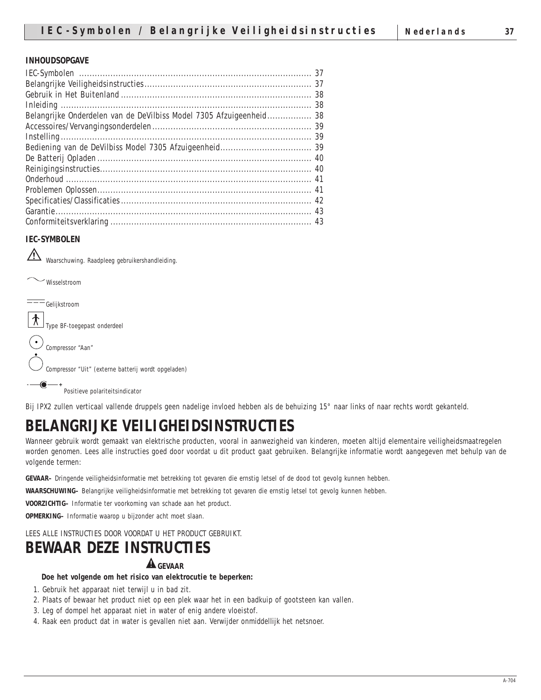#### **INHOUDSOPGAVE**

| Belangrijke Onderdelen van de DeVilbiss Model 7305 Afzuigeenheid 38 |  |
|---------------------------------------------------------------------|--|
|                                                                     |  |
|                                                                     |  |
|                                                                     |  |
|                                                                     |  |
|                                                                     |  |
|                                                                     |  |
|                                                                     |  |
|                                                                     |  |
|                                                                     |  |
|                                                                     |  |
|                                                                     |  |
|                                                                     |  |
|                                                                     |  |
|                                                                     |  |

#### **IEC-SYMBOLEN**

 $\triangle$ Waarschuwing. Raadpleeg gebruikershandleiding.



Bij IPX2 zullen verticaal vallende druppels geen nadelige invloed hebben als de behuizing 15° naar links of naar rechts wordt gekanteld.

# **BELANGRIJKE VEILIGHEIDSINSTRUCTIES**

Wanneer gebruik wordt gemaakt van elektrische producten, vooral in aanwezigheid van kinderen, moeten altijd elementaire veiligheidsmaatregelen worden genomen. Lees alle instructies goed door voordat u dit product gaat gebruiken. Belangrijke informatie wordt aangegeven met behulp van de volgende termen:

**GEVAAR–** Dringende veiligheidsinformatie met betrekking tot gevaren die ernstig letsel of de dood tot gevolg kunnen hebben.

**WAARSCHUWING–** Belangrijke veiligheidsinformatie met betrekking tot gevaren die ernstig letsel tot gevolg kunnen hebben.

**VOORZICHTIG–** Informatie ter voorkoming van schade aan het product.

**OPMERKING–** Informatie waarop u bijzonder acht moet slaan.

LEES ALLE INSTRUCTIES DOOR VOORDAT U HET PRODUCT GEBRUIKT.

# **BEWAAR DEZE INSTRUCTIES**

## **GEVAAR**

#### **Doe het volgende om het risico van elektrocutie te beperken:**

- 1. Gebruik het apparaat niet terwijl u in bad zit.
- 2. Plaats of bewaar het product niet op een plek waar het in een badkuip of gootsteen kan vallen.
- 3. Leg of dompel het apparaat niet in water of enig andere vloeistof.
- 4. Raak een product dat in water is gevallen niet aan. Verwijder onmiddellijk het netsnoer.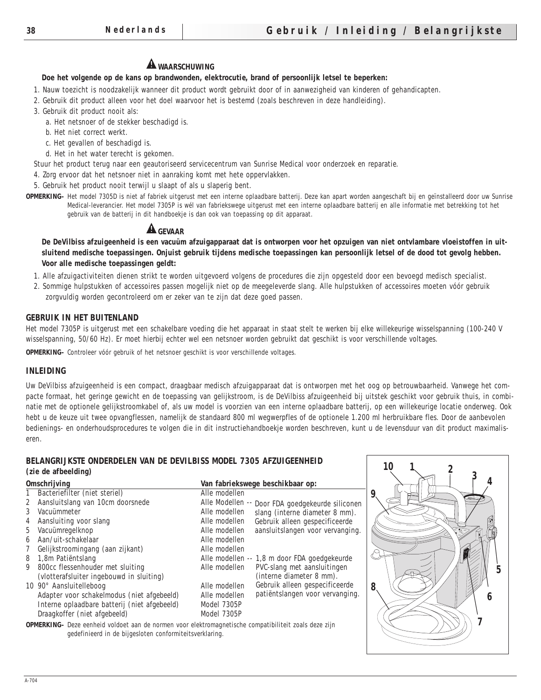# **A** WAARSCHUWING

## **Doe het volgende op de kans op brandwonden, elektrocutie, brand of persoonlijk letsel te beperken:**

1. Nauw toezicht is noodzakelijk wanneer dit product wordt gebruikt door of in aanwezigheid van kinderen of gehandicapten.

- 2. Gebruik dit product alleen voor het doel waarvoor het is bestemd (zoals beschreven in deze handleiding).
- 3. Gebruik dit product nooit als:

a. Het netsnoer of de stekker beschadigd is.

- b. Het niet correct werkt.
- c. Het gevallen of beschadigd is.
- d. Het in het water terecht is gekomen.

Stuur het product terug naar een geautoriseerd servicecentrum van Sunrise Medical voor onderzoek en reparatie.

4. Zorg ervoor dat het netsnoer niet in aanraking komt met hete oppervlakken.

5. Gebruik het product nooit terwijl u slaapt of als u slaperig bent.

**OPMERKING–** Het model 7305D is niet af fabriek uitgerust met een interne oplaadbare batterij. Deze kan apart worden aangeschaft bij en geïnstalleerd door uw Sunrise Medical-leverancier. Het model 7305P is wél van fabriekswege uitgerust met een interne oplaadbare batterij en alle informatie met betrekking tot het gebruik van de batterij in dit handboekje is dan ook van toepassing op dit apparaat.

# **GEVAAR**

**De DeVilbiss afzuigeenheid is een vacuüm afzuigapparaat dat is ontworpen voor het opzuigen van niet ontvlambare vloeistoffen in uitsluitend medische toepassingen. Onjuist gebruik tijdens medische toepassingen kan persoonlijk letsel of de dood tot gevolg hebben. Voor alle medische toepassingen geldt:**

1. Alle afzuigactiviteiten dienen strikt te worden uitgevoerd volgens de procedures die zijn opgesteld door een bevoegd medisch specialist.

2. Sommige hulpstukken of accessoires passen mogelijk niet op de meegeleverde slang. Alle hulpstukken of accessoires moeten vóór gebruik zorgvuldig worden gecontroleerd om er zeker van te zijn dat deze goed passen.

#### **GEBRUIK IN HET BUITENLAND**

Het model 7305P is uitgerust met een schakelbare voeding die het apparaat in staat stelt te werken bij elke willekeurige wisselspanning (100-240 V wisselspanning, 50/60 Hz). Er moet hierbij echter wel een netsnoer worden gebruikt dat geschikt is voor verschillende voltages.

**OPMERKING–** Controleer vóór gebruik of het netsnoer geschikt is voor verschillende voltages.

#### **INLEIDING**

Uw DeVilbiss afzuigeenheid is een compact, draagbaar medisch afzuigapparaat dat is ontworpen met het oog op betrouwbaarheid. Vanwege het compacte formaat, het geringe gewicht en de toepassing van gelijkstroom, is de DeVilbiss afzuigeenheid bij uitstek geschikt voor gebruik thuis, in combinatie met de optionele gelijkstroomkabel of, als uw model is voorzien van een interne oplaadbare batterij, op een willekeurige locatie onderweg. Ook hebt u de keuze uit twee opvangflessen, namelijk de standaard 800 ml wegwerpfles of de optionele 1.200 ml herbruikbare fles. Door de aanbevolen bedienings- en onderhoudsprocedures te volgen die in dit instructiehandboekje worden beschreven, kunt u de levensduur van dit product maximaliseren.

#### **BELANGRIJKSTE ONDERDELEN VAN DE DEVILBISS MODEL 7305 AFZUIGEENHEID (zie de afbeelding)**

| <b>Omschrijving</b> |                                              | Van fabriekswege beschikbaar op:                  |
|---------------------|----------------------------------------------|---------------------------------------------------|
| $1 \quad$           | Bacteriefilter (niet steriel)                | Alle modellen                                     |
| $\mathbf{2}$        | Aansluitslang van 10cm doorsnede             | Alle Modellen -- Door FDA goedgekeurde siliconen  |
| 3                   | Vacuümmeter                                  | Alle modellen<br>slang (interne diameter 8 mm).   |
| 4                   | Aansluiting voor slang                       | Gebruik alleen gespecificeerde<br>Alle modellen   |
| 5 <sup>5</sup>      | Vacuümregelknop                              | aansluitslangen voor vervanging.<br>Alle modellen |
| 6                   | Aan/uit-schakelaar                           | Alle modellen                                     |
| 7                   | Gelijkstroomingang (aan zijkant)             | Alle modellen                                     |
| 8                   | 1,8m Patiëntslang                            | Alle modellen -- 1,8 m door FDA goedgekeurde      |
| 9                   | 800cc flessenhouder met sluiting             | PVC-slang met aansluitingen<br>Alle modellen      |
|                     | (vlotterafsluiter ingebouwd in sluiting)     | (interne diameter 8 mm).                          |
|                     | 10 90° Aansluitelleboog                      | Gebruik alleen gespecificeerde<br>Alle modellen   |
|                     | Adapter voor schakelmodus (niet afgebeeld)   | patiëntslangen voor vervanging.<br>Alle modellen  |
|                     | Interne oplaadbare batterij (niet afgebeeld) | Model 7305P                                       |
|                     | Draagkoffer (niet afgebeeld)                 | Model 7305P                                       |

**OPMERKING–** Deze eenheid voldoet aan de normen voor elektromagnetische compatibiliteit zoals deze zijn gedefinieerd in de bijgesloten conformiteitsverklaring.

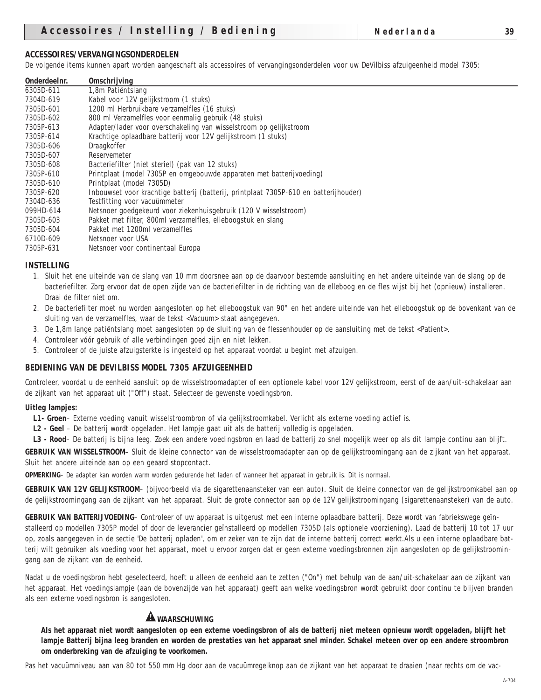# **ACCESSOIRES/VERVANGINGSONDERDELEN**

De volgende items kunnen apart worden aangeschaft als accessoires of vervangingsonderdelen voor uw DeVilbiss afzuigeenheid model 7305:

| <b>Onderdeelnr.</b> | <b>Omschrijving</b>                                                                  |
|---------------------|--------------------------------------------------------------------------------------|
| 6305D-611           | 1,8m Patiëntslang                                                                    |
| 7304D-619           | Kabel voor 12V gelijkstroom (1 stuks)                                                |
| 7305D-601           | 1200 ml Herbruikbare verzamelfles (16 stuks)                                         |
| 7305D-602           | 800 ml Verzamelfles voor eenmalig gebruik (48 stuks)                                 |
| 7305P-613           | Adapter/lader voor overschakeling van wisselstroom op gelijkstroom                   |
| 7305P-614           | Krachtige oplaadbare batterij voor 12V gelijkstroom (1 stuks)                        |
| 7305D-606           | Draagkoffer                                                                          |
| 7305D-607           | Reservemeter                                                                         |
| 7305D-608           | Bacteriefilter (niet steriel) (pak van 12 stuks)                                     |
| 7305P-610           | Printplaat (model 7305P en omgebouwde apparaten met batterijvoeding)                 |
| 7305D-610           | Printplaat (model 7305D)                                                             |
| 7305P-620           | Inbouwset voor krachtige batterij (batterij, printplaat 7305P-610 en batterijhouder) |
| 7304D-636           | Testfitting voor vacuümmeter                                                         |
| 099HD-614           | Netsnoer goedgekeurd voor ziekenhuisgebruik (120 V wisselstroom)                     |
| 7305D-603           | Pakket met filter, 800ml verzamelfles, elleboogstuk en slang                         |
| 7305D-604           | Pakket met 1200ml verzamelfles                                                       |
| 6710D-609           | Netsnoer voor USA                                                                    |
| 7305P-631           | Netsnoer voor continentaal Europa                                                    |

#### **INSTELLING**

- 1. Sluit het ene uiteinde van de slang van 10 mm doorsnee aan op de daarvoor bestemde aansluiting en het andere uiteinde van de slang op de bacteriefilter. Zorg ervoor dat de open zijde van de bacteriefilter in de richting van de elleboog en de fles wijst bij het (opnieuw) installeren. Draai de filter niet om.
- 2. De bacteriefilter moet nu worden aangesloten op het elleboogstuk van 90° en het andere uiteinde van het elleboogstuk op de bovenkant van de sluiting van de verzamelfles, waar de tekst <Vacuum> staat aangegeven.
- 3. De 1,8m lange patiëntslang moet aangesloten op de sluiting van de flessenhouder op de aansluiting met de tekst <Patient>.
- 4. Controleer vóór gebruik of alle verbindingen goed zijn en niet lekken.
- 5. Controleer of de juiste afzuigsterkte is ingesteld op het apparaat voordat u begint met afzuigen.

#### **BEDIENING VAN DE DEVILBISS MODEL 7305 AFZUIGEENHEID**

Controleer, voordat u de eenheid aansluit op de wisselstroomadapter of een optionele kabel voor 12V gelijkstroom, eerst of de aan/uit-schakelaar aan de zijkant van het apparaat uit ("Off") staat. Selecteer de gewenste voedingsbron.

#### **Uitleg lampjes:**

- **L1- Groen** Externe voeding vanuit wisselstroombron of via gelijkstroomkabel. Verlicht als externe voeding actief is.
- **L2 Geel**  De batterij wordt opgeladen. Het lampje gaat uit als de batterij volledig is opgeladen.
- **L3 Rood** De batterij is bijna leeg. Zoek een andere voedingsbron en laad de batterij zo snel mogelijk weer op als dit lampje continu aan blijft.

**GEBRUIK VAN WISSELSTROOM**– Sluit de kleine connector van de wisselstroomadapter aan op de gelijkstroomingang aan de zijkant van het apparaat. Sluit het andere uiteinde aan op een geaard stopcontact.

**OPMERKING**– De adapter kan worden warm worden gedurende het laden of wanneer het apparaat in gebruik is. Dit is normaal.

**GEBRUIK VAN 12V GELIJKSTROOM**– (bijvoorbeeld via de sigarettenaansteker van een auto). Sluit de kleine connector van de gelijkstroomkabel aan op de gelijkstroomingang aan de zijkant van het apparaat. Sluit de grote connector aan op de 12V gelijkstroomingang (sigarettenaansteker) van de auto.

**GEBRUIK VAN BATTERIJVOEDING**– Controleer of uw apparaat is uitgerust met een interne oplaadbare batterij. Deze wordt van fabriekswege geïnstalleerd op modellen 7305P model of door de leverancier geïnstalleerd op modellen 7305D (als optionele voorziening). Laad de batterij 10 tot 17 uur op, zoals aangegeven in de sectie 'De batterij opladen', om er zeker van te zijn dat de interne batterij correct werkt.Als u een interne oplaadbare batterij wilt gebruiken als voeding voor het apparaat, moet u ervoor zorgen dat er geen externe voedingsbronnen zijn aangesloten op de gelijkstroomingang aan de zijkant van de eenheid.

Nadat u de voedingsbron hebt geselecteerd, hoeft u alleen de eenheid aan te zetten ("On") met behulp van de aan/uit-schakelaar aan de zijkant van het apparaat. Het voedingslampje (aan de bovenzijde van het apparaat) geeft aan welke voedingsbron wordt gebruikt door continu te blijven branden als een externe voedingsbron is aangesloten.

## **A** WAARSCHUWING

**Als het apparaat niet wordt aangesloten op een externe voedingsbron of als de batterij niet meteen opnieuw wordt opgeladen, blijft het lampje Batterij bijna leeg branden en worden de prestaties van het apparaat snel minder. Schakel meteen over op een andere stroombron om onderbreking van de afzuiging te voorkomen.**

Pas het vacuümniveau aan van 80 tot 550 mm Hg door aan de vacuümregelknop aan de zijkant van het apparaat te draaien (naar rechts om de vac-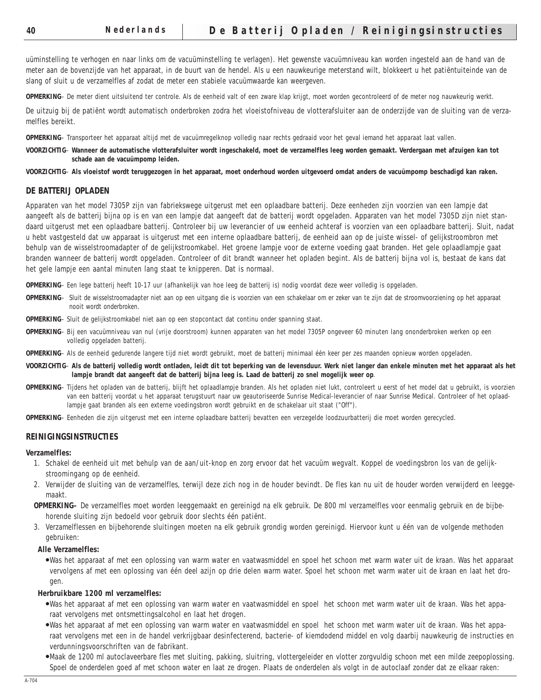uüminstelling te verhogen en naar links om de vacuüminstelling te verlagen). Het gewenste vacuümniveau kan worden ingesteld aan de hand van de meter aan de bovenzijde van het apparaat, in de buurt van de hendel. Als u een nauwkeurige meterstand wilt, blokkeert u het patiëntuiteinde van de slang of sluit u de verzamelfles af zodat de meter een stabiele vacuümwaarde kan weergeven.

**OPMERKING**– De meter dient uitsluitend ter controle. Als de eenheid valt of een zware klap krijgt, moet worden gecontroleerd of de meter nog nauwkeurig werkt.

De uitzuig bij de patiënt wordt automatisch onderbroken zodra het vloeistofniveau de vlotterafsluiter aan de onderzijde van de sluiting van de verzamelfles bereikt.

**OPMERKING**– Transporteer het apparaat altijd met de vacuümregelknop volledig naar rechts gedraaid voor het geval iemand het apparaat laat vallen.

**VOORZICHTIG**– **Wanneer de automatische vlotterafsluiter wordt ingeschakeld, moet de verzamelfles leeg worden gemaakt. Verdergaan met afzuigen kan tot schade aan de vacuümpomp leiden.**

**VOORZICHTIG**– **Als vloeistof wordt teruggezogen in het apparaat, moet onderhoud worden uitgevoerd omdat anders de vacuümpomp beschadigd kan raken.**

#### **DE BATTERIJ OPLADEN**

Apparaten van het model 7305P zijn van fabriekswege uitgerust met een oplaadbare batterij. Deze eenheden zijn voorzien van een lampje dat aangeeft als de batterij bijna op is en van een lampje dat aangeeft dat de batterij wordt opgeladen. Apparaten van het model 7305D zijn niet standaard uitgerust met een oplaadbare batterij. Controleer bij uw leverancier of uw eenheid achteraf is voorzien van een oplaadbare batterij. Sluit, nadat u hebt vastgesteld dat uw apparaat is uitgerust met een interne oplaadbare batterij, de eenheid aan op de juiste wissel- of gelijkstroombron met behulp van de wisselstroomadapter of de gelijkstroomkabel. Het groene lampje voor de externe voeding gaat branden. Het gele oplaadlampje gaat branden wanneer de batterij wordt opgeladen. Controleer of dit brandt wanneer het opladen begint. Als de batterij bijna vol is, bestaat de kans dat het gele lampje een aantal minuten lang staat te knipperen. Dat is normaal.

**OPMERKING**– Een lege batterij heeft 10-17 uur (afhankelijk van hoe leeg de batterij is) nodig voordat deze weer volledig is opgeladen.

- **OPMERKING** Sluit de wisselstroomadapter niet aan op een uitgang die is voorzien van een schakelaar om er zeker van te zijn dat de stroomvoorziening op het apparaat nooit wordt onderbroken.
- **OPMERKING** Sluit de gelijkstroomkabel niet aan op een stopcontact dat continu onder spanning staat.
- **OPMERKING** Bij een vacuümniveau van nul (vrije doorstroom) kunnen apparaten van het model 7305P ongeveer 60 minuten lang ononderbroken werken op een volledig opgeladen batterij.
- **OPMERKING** Als de eenheid gedurende langere tijd niet wordt gebruikt, moet de batterij minimaal één keer per zes maanden opnieuw worden opgeladen.
- **VOORZICHTIG Als de batterij volledig wordt ontladen, leidt dit tot beperking van de levensduur. Werk niet langer dan enkele minuten met het apparaat als het lampje brandt dat aangeeft dat de batterij bijna leeg is. Laad de batterij zo snel mogelijk weer op**.
- **OPMERKING** Tijdens het opladen van de batterij, blijft het oplaadlampje branden. Als het opladen niet lukt, controleert u eerst of het model dat u gebruikt, is voorzien van een batterij voordat u het apparaat terugstuurt naar uw geautoriseerde Sunrise Medical-leverancier of naar Sunrise Medical. Controleer of het oplaadlampje gaat branden als een externe voedingsbron wordt gebruikt en de schakelaar uit staat ("Off").
- **OPMERKING** Eenheden die zijn uitgerust met een interne oplaadbare batterij bevatten een verzegelde loodzuurbatterij die moet worden gerecycled.

#### **REINIGINGSINSTRUCTIES**

#### **Verzamelfles:**

- 1. Schakel de eenheid uit met behulp van de aan/uit-knop en zorg ervoor dat het vacuüm wegvalt. Koppel de voedingsbron los van de gelijkstroomingang op de eenheid.
- 2. Verwijder de sluiting van de verzamelfles, terwijl deze zich nog in de houder bevindt. De fles kan nu uit de houder worden verwijderd en leeggemaakt.
- **OPMERKING–** De verzamelfles moet worden leeggemaakt en gereinigd na elk gebruik. De 800 ml verzamelfles voor eenmalig gebruik en de bijbehorende sluiting zijn bedoeld voor gebruik door slechts één patiënt.
- 3. Verzamelflessen en bijbehorende sluitingen moeten na elk gebruik grondig worden gereinigd. Hiervoor kunt u één van de volgende methoden gebruiken:

#### **Alle Verzamelfles:**

●Was het apparaat af met een oplossing van warm water en vaatwasmiddel en spoel het schoon met warm water uit de kraan. Was het apparaat vervolgens af met een oplossing van één deel azijn op drie delen warm water. Spoel het schoon met warm water uit de kraan en laat het drogen.

#### **Herbruikbare 1200 ml verzamelfles:**

- ●Was het apparaat af met een oplossing van warm water en vaatwasmiddel en spoel het schoon met warm water uit de kraan. Was het apparaat vervolgens met ontsmettingsalcohol en laat het drogen.
- ●Was het apparaat af met een oplossing van warm water en vaatwasmiddel en spoel het schoon met warm water uit de kraan. Was het apparaat vervolgens met een in de handel verkrijgbaar desinfecterend, bacterie- of kiemdodend middel en volg daarbij nauwkeurig de instructies en verdunningsvoorschriften van de fabrikant.
- ●Maak de 1200 ml autoclaveerbare fles met sluiting, pakking, sluitring, vlottergeleider en vlotter zorgvuldig schoon met een milde zeepoplossing. Spoel de onderdelen goed af met schoon water en laat ze drogen. Plaats de onderdelen als volgt in de autoclaaf zonder dat ze elkaar raken: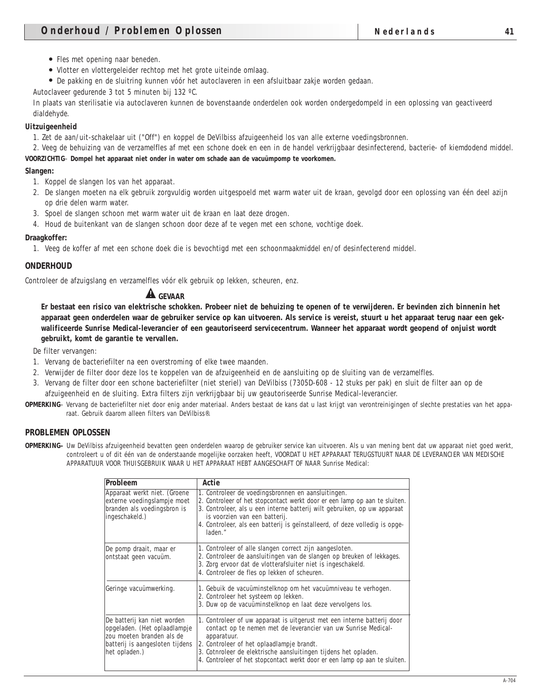- Fles met opening naar beneden.
- Vlotter en vlottergeleider rechtop met het grote uiteinde omlaag.
- De pakking en de sluitring kunnen vóór het autoclaveren in een afsluitbaar zakje worden gedaan.

Autoclaveer gedurende 3 tot 5 minuten bij 132 ºC.

In plaats van sterilisatie via autoclaveren kunnen de bovenstaande onderdelen ook worden ondergedompeld in een oplossing van geactiveerd dialdehyde.

## **Uitzuigeenheid**

1. Zet de aan/uit-schakelaar uit ("Off") en koppel de DeVilbiss afzuigeenheid los van alle externe voedingsbronnen.

2. Veeg de behuizing van de verzamelfles af met een schone doek en een in de handel verkrijgbaar desinfecterend, bacterie- of kiemdodend middel. **VOORZICHTIG**– **Dompel het apparaat niet onder in water om schade aan de vacuümpomp te voorkomen.**

#### **Slangen:**

- 1. Koppel de slangen los van het apparaat.
- 2. De slangen moeten na elk gebruik zorgvuldig worden uitgespoeld met warm water uit de kraan, gevolgd door een oplossing van één deel azijn op drie delen warm water.
- 3. Spoel de slangen schoon met warm water uit de kraan en laat deze drogen.
- 4. Houd de buitenkant van de slangen schoon door deze af te vegen met een schone, vochtige doek.

#### **Draagkoffer:**

1. Veeg de koffer af met een schone doek die is bevochtigd met een schoonmaakmiddel en/of desinfecterend middel.

#### **ONDERHOUD**

Controleer de afzuigslang en verzamelfles vóór elk gebruik op lekken, scheuren, enz.

# **GEVAAR**

**Er bestaat een risico van elektrische schokken. Probeer niet de behuizing te openen of te verwijderen. Er bevinden zich binnenin het apparaat geen onderdelen waar de gebruiker service op kan uitvoeren. Als service is vereist, stuurt u het apparaat terug naar een gekwalificeerde Sunrise Medical-leverancier of een geautoriseerd servicecentrum. Wanneer het apparaat wordt geopend of onjuist wordt gebruikt, komt de garantie te vervallen.** 

De filter vervangen:

- 1. Vervang de bacteriefilter na een overstroming of elke twee maanden.
- 2. Verwijder de filter door deze los te koppelen van de afzuigeenheid en de aansluiting op de sluiting van de verzamelfles.
- 3. Vervang de filter door een schone bacteriefilter (niet steriel) van DeVilbiss (7305D-608 12 stuks per pak) en sluit de filter aan op de afzuigeenheid en de sluiting. Extra filters zijn verkrijgbaar bij uw geautoriseerde Sunrise Medical-leverancier.
- **OPMERKING** Vervang de bacteriefilter niet door enig ander materiaal. Anders bestaat de kans dat u last krijgt van verontreinigingen of slechte prestaties van het apparaat. Gebruik daarom alleen filters van DeVilbiss®.

#### **PROBLEMEN OPLOSSEN**

**OPMERKING–** Uw DeVilbiss afzuigeenheid bevatten geen onderdelen waarop de gebruiker service kan uitvoeren. Als u van mening bent dat uw apparaat niet goed werkt, controleert u of dit één van de onderstaande mogelijke oorzaken heeft, VOORDAT U HET APPARAAT TERUGSTUURT NAAR DE LEVERANCIER VAN MEDISCHE APPARATUUR VOOR THUISGEBRUIK WAAR U HET APPARAAT HEBT AANGESCHAFT OF NAAR Sunrise Medical:

| Probleem                                                                                                                                     | Actie                                                                                                                                                                                                                                                                                                                                                  |  |  |
|----------------------------------------------------------------------------------------------------------------------------------------------|--------------------------------------------------------------------------------------------------------------------------------------------------------------------------------------------------------------------------------------------------------------------------------------------------------------------------------------------------------|--|--|
| Apparaat werkt niet. (Groene<br>externe voedingslampje moet<br>branden als voedingsbron is<br>ingeschakeld.)                                 | 1. Controleer de voedingsbronnen en aansluitingen.<br>2. Controleer of het stopcontact werkt door er een lamp op aan te sluiten.<br>3. Controleer, als u een interne batterij wilt gebruiken, op uw apparaat<br>is voorzien van een batterij.<br>4. Controleer, als een batterij is geïnstalleerd, of deze volledig is opge-<br>laden."                |  |  |
| De pomp draait, maar er<br>ontstaat geen vacuüm.                                                                                             | 1. Controleer of alle slangen correct zijn aangesloten.<br>2. Controleer de aansluitingen van de slangen op breuken of lekkages.<br>3. Zorg ervoor dat de vlotterafsluiter niet is ingeschakeld.<br>4. Controleer de fles op lekken of scheuren.                                                                                                       |  |  |
| Geringe vacuümwerking.                                                                                                                       | 1. Gebuik de vacuüminstelknop om het vacuümniveau te verhogen.<br>2. Controleer het systeem op lekken.<br>3. Duw op de vacuüminstelknop en laat deze vervolgens los.                                                                                                                                                                                   |  |  |
| De batterij kan niet worden<br>opgeladen. (Het oplaadlampje<br>zou moeten branden als de<br>batterij is aangesloten tijdens<br>het opladen.) | 1. Controleer of uw apparaat is uitgerust met een interne batterij door<br>contact op te nemen met de leverancier van uw Sunrise Medical-<br>apparatuur.<br>2. Controleer of het oplaadlampje brandt.<br>3. Cotnroleer de elektrische aansluitingen tijdens het opladen.<br>4. Controleer of het stopcontact werkt door er een lamp op aan te sluiten. |  |  |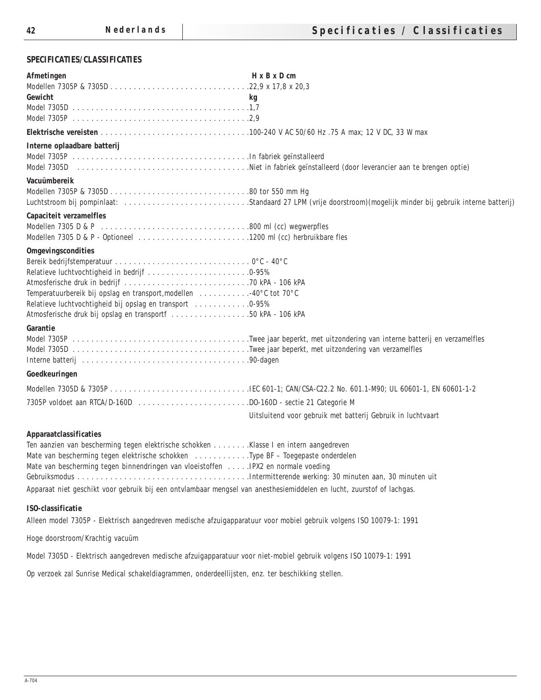## **SPECIFICATIES/CLASSIFICATIES**

| <b>Afmetingen</b>                                                                                                     | $H \times B \times D$ cm                                                                                       |
|-----------------------------------------------------------------------------------------------------------------------|----------------------------------------------------------------------------------------------------------------|
|                                                                                                                       |                                                                                                                |
| Gewicht                                                                                                               | kg                                                                                                             |
|                                                                                                                       |                                                                                                                |
|                                                                                                                       |                                                                                                                |
| Interne oplaadbare batterij                                                                                           |                                                                                                                |
|                                                                                                                       |                                                                                                                |
|                                                                                                                       |                                                                                                                |
| <b>Vacuümbereik</b>                                                                                                   |                                                                                                                |
|                                                                                                                       |                                                                                                                |
|                                                                                                                       | Luchtstroom bij pompinlaat: Standaard 27 LPM (vrije doorstroom) (mogelijk minder bij gebruik interne batterij) |
| <b>Capaciteit verzamelfles</b>                                                                                        |                                                                                                                |
|                                                                                                                       |                                                                                                                |
| Modellen 7305 D & P - Optioneel 1200 ml (cc) herbruikbare fles                                                        |                                                                                                                |
| <b>Omgevingscondities</b>                                                                                             |                                                                                                                |
|                                                                                                                       |                                                                                                                |
| Relatieve luchtvochtigheid in bedrijf 0-95%                                                                           |                                                                                                                |
|                                                                                                                       |                                                                                                                |
| Temperatuurbereik bij opslag en transport, modellen 40°C tot 70°C                                                     |                                                                                                                |
| Relatieve luchtvochtigheid bij opslag en transport 0-95%                                                              |                                                                                                                |
| Atmosferische druk bij opslag en transportf 50 kPA - 106 kPA                                                          |                                                                                                                |
| Garantie                                                                                                              |                                                                                                                |
|                                                                                                                       |                                                                                                                |
|                                                                                                                       |                                                                                                                |
|                                                                                                                       |                                                                                                                |
| Goedkeuringen                                                                                                         |                                                                                                                |
|                                                                                                                       |                                                                                                                |
|                                                                                                                       |                                                                                                                |
|                                                                                                                       | Uitsluitend voor gebruik met batterij Gebruik in luchtvaart                                                    |
|                                                                                                                       |                                                                                                                |
| Apparaatclassificaties                                                                                                |                                                                                                                |
| Ten aanzien van bescherming tegen elektrische schokken Klasse I en intern aangedreven                                 |                                                                                                                |
| Mate van bescherming tegen elektrische schokken Type BF - Toegepaste onderdelen                                       |                                                                                                                |
| Mate van bescherming tegen binnendringen van vloeistoffen  IPX2 en normale voeding                                    |                                                                                                                |
|                                                                                                                       |                                                                                                                |
| Apparaat niet geschikt voor gebruik bij een ontvlambaar mengsel van anesthesiemiddelen en lucht, zuurstof of lachgas. |                                                                                                                |
| ISO-classificatie                                                                                                     |                                                                                                                |
| Alleen model 7305P - Elektrisch aangedreven medische afzuigapparatuur voor mobiel gebruik volgens ISO 10079-1: 1991   |                                                                                                                |
|                                                                                                                       |                                                                                                                |
| Hoge doorstroom/Krachtig vacuüm                                                                                       |                                                                                                                |
| Model 7305D - Elektrisch aangedreven medische afzuigapparatuur voor niet-mobiel gebruik volgens ISO 10079-1: 1991     |                                                                                                                |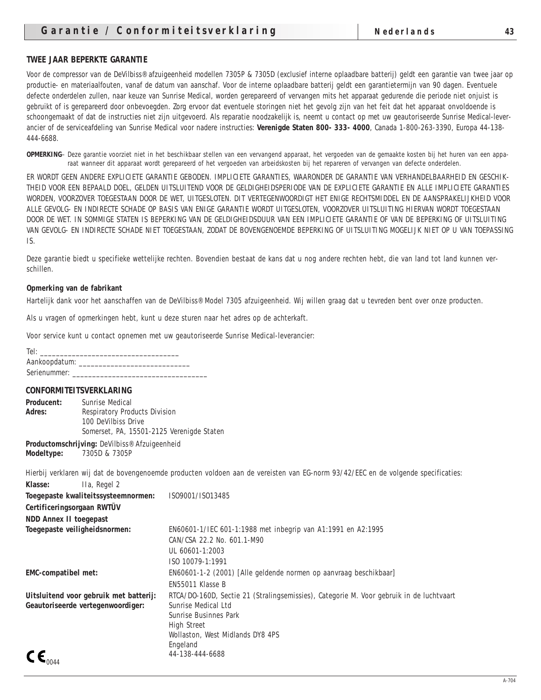#### **TWEE JAAR BEPERKTE GARANTIE**

Voor de compressor van de DeVilbiss® afzuigeenheid modellen 7305P & 7305D (exclusief interne oplaadbare batterij) geldt een garantie van twee jaar op productie- en materiaalfouten, vanaf de datum van aanschaf. Voor de interne oplaadbare batterij geldt een garantietermijn van 90 dagen. Eventuele defecte onderdelen zullen, naar keuze van Sunrise Medical, worden gerepareerd of vervangen mits het apparaat gedurende die periode niet onjuist is gebruikt of is gerepareerd door onbevoegden. Zorg ervoor dat eventuele storingen niet het gevolg zijn van het feit dat het apparaat onvoldoende is schoongemaakt of dat de instructies niet zijn uitgevoerd. Als reparatie noodzakelijk is, neemt u contact op met uw geautoriseerde Sunrise Medical-leverancier of de serviceafdeling van Sunrise Medical voor nadere instructies: **Verenigde Staten 800- 333- 4000**, Canada 1-800-263-3390, Europa 44-138- 444-6688.

**OPMERKING**– Deze garantie voorziet niet in het beschikbaar stellen van een vervangend apparaat, het vergoeden van de gemaakte kosten bij het huren van een apparaat wanneer dit apparaat wordt gerepareerd of het vergoeden van arbeidskosten bij het repareren of vervangen van defecte onderdelen.

ER WORDT GEEN ANDERE EXPLICIETE GARANTIE GEBODEN. IMPLICIETE GARANTIES, WAARONDER DE GARANTIE VAN VERHANDELBAARHEID EN GESCHIK-THEID VOOR EEN BEPAALD DOEL, GELDEN UITSLUITEND VOOR DE GELDIGHEIDSPERIODE VAN DE EXPLICIETE GARANTIE EN ALLE IMPLICIETE GARANTIES WORDEN, VOORZOVER TOEGESTAAN DOOR DE WET, UITGESLOTEN. DIT VERTEGENWOORDIGT HET ENIGE RECHTSMIDDEL EN DE AANSPRAKELIJKHEID VOOR ALLE GEVOLG- EN INDIRECTE SCHADE OP BASIS VAN ENIGE GARANTIE WORDT UITGESLOTEN, VOORZOVER UITSLUITING HIERVAN WORDT TOEGESTAAN DOOR DE WET. IN SOMMIGE STATEN IS BEPERKING VAN DE GELDIGHEIDSDUUR VAN EEN IMPLICIETE GARANTIE OF VAN DE BEPERKING OF UITSLUITING VAN GEVOLG- EN INDIRECTE SCHADE NIET TOEGESTAAN, ZODAT DE BOVENGENOEMDE BEPERKING OF UITSLUITING MOGELIJK NIET OP U VAN TOEPASSING IS.

Deze garantie biedt u specifieke wettelijke rechten. Bovendien bestaat de kans dat u nog andere rechten hebt, die van land tot land kunnen verschillen.

#### **Opmerking van de fabrikant**

Hartelijk dank voor het aanschaffen van de DeVilbiss® Model 7305 afzuigeenheid. Wij willen graag dat u tevreden bent over onze producten.

Als u vragen of opmerkingen hebt, kunt u deze sturen naar het adres op de achterkaft.

Voor service kunt u contact opnemen met uw geautoriseerde Sunrise Medical-leverancier:

Tel: \_\_\_\_\_\_\_\_\_\_\_\_\_\_\_\_\_\_\_\_\_\_\_\_\_\_\_\_\_\_\_\_\_\_\_ Aankoopdatum: Serienummer:

#### **CONFORMITEITSVERKLARING**

| <b>Producent:</b> | Sunrise Medical                           |
|-------------------|-------------------------------------------|
| <b>Adres:</b>     | <b>Respiratory Products Division</b>      |
|                   | 100 DeVilbiss Drive                       |
|                   | Somerset, PA, 15501-2125 Verenigde Staten |
|                   |                                           |

**Productomschrijving:** DeVilbiss® Afzuigeenheid **Modeltype:** 7305D & 7305P

Hierbij verklaren wij dat de bovengenoemde producten voldoen aan de vereisten van EG-norm 93/42/EEC en de volgende specificaties:

| IIa, Regel 2<br><b>Klasse:</b>         |                                                                                         |
|----------------------------------------|-----------------------------------------------------------------------------------------|
| Toegepaste kwaliteitssysteemnormen:    | IS09001/IS013485                                                                        |
| Certificeringsorgaan RWTÜV             |                                                                                         |
| <b>NDD Annex II toegepast</b>          |                                                                                         |
| Toegepaste veiligheidsnormen:          | EN60601-1/IEC 601-1:1988 met inbegrip van A1:1991 en A2:1995                            |
|                                        | CAN/CSA 22.2 No. 601.1-M90                                                              |
|                                        | UL 60601-1:2003                                                                         |
|                                        | ISO 10079-1:1991                                                                        |
| <b>EMC-compatibel met:</b>             | EN60601-1-2 (2001) [Alle geldende normen op aanvraag beschikbaar]                       |
|                                        | EN55011 Klasse B                                                                        |
| Uitsluitend voor gebruik met batterij: | RTCA/D0-160D, Sectie 21 (Stralingsemissies), Categorie M. Voor gebruik in de luchtvaart |
| Geautoriseerde vertegenwoordiger:      | Sunrise Medical Ltd                                                                     |
|                                        | <b>Sunrise Businnes Park</b>                                                            |
|                                        | <b>High Street</b>                                                                      |
|                                        | Wollaston, West Midlands DY8 4PS                                                        |
|                                        | Engeland                                                                                |
| $\mathsf{CE}_{\mathsf{0044}}$          | 44-138-444-6688                                                                         |